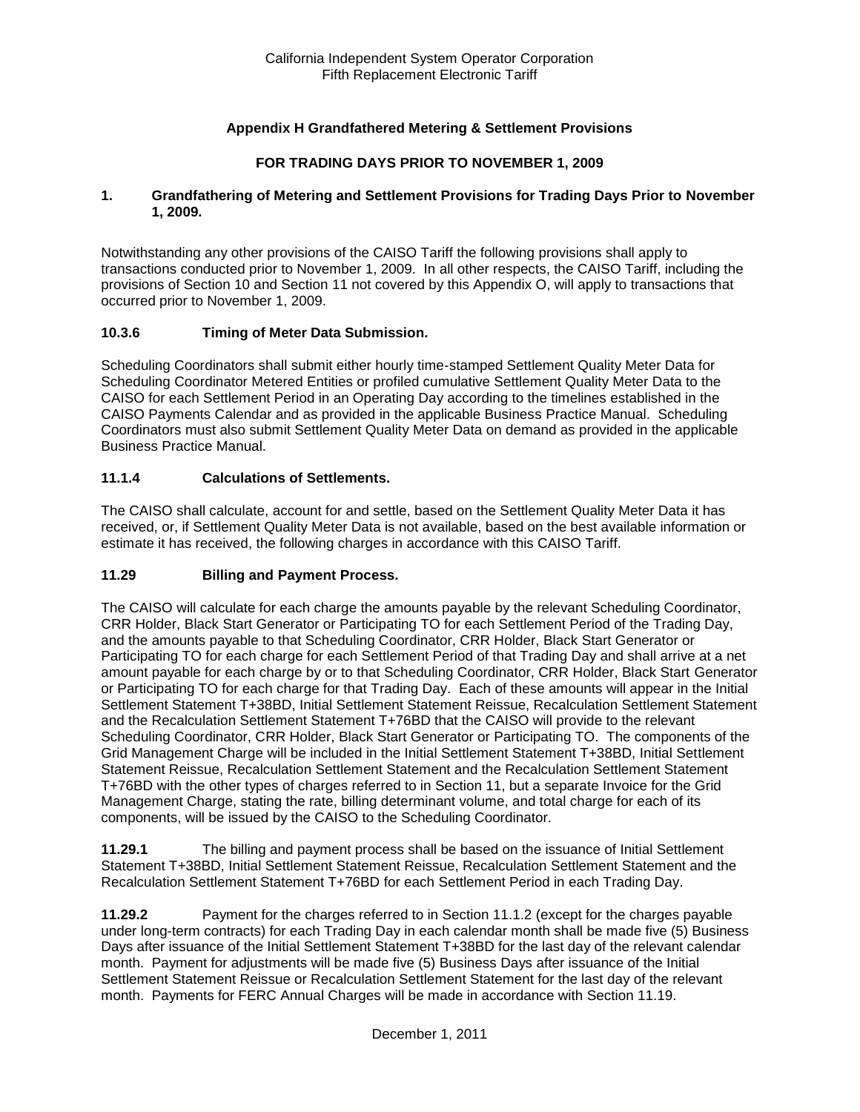## **Appendix H Grandfathered Metering & Settlement Provisions**

## **FOR TRADING DAYS PRIOR TO NOVEMBER 1, 2009**

#### **1. Grandfathering of Metering and Settlement Provisions for Trading Days Prior to November 1, 2009.**

Notwithstanding any other provisions of the CAISO Tariff the following provisions shall apply to transactions conducted prior to November 1, 2009. In all other respects, the CAISO Tariff, including the provisions of Section 10 and Section 11 not covered by this Appendix O, will apply to transactions that occurred prior to November 1, 2009.

## **10.3.6 Timing of Meter Data Submission.**

Scheduling Coordinators shall submit either hourly time-stamped Settlement Quality Meter Data for Scheduling Coordinator Metered Entities or profiled cumulative Settlement Quality Meter Data to the CAISO for each Settlement Period in an Operating Day according to the timelines established in the CAISO Payments Calendar and as provided in the applicable Business Practice Manual. Scheduling Coordinators must also submit Settlement Quality Meter Data on demand as provided in the applicable Business Practice Manual.

## **11.1.4 Calculations of Settlements.**

The CAISO shall calculate, account for and settle, based on the Settlement Quality Meter Data it has received, or, if Settlement Quality Meter Data is not available, based on the best available information or estimate it has received, the following charges in accordance with this CAISO Tariff.

## **11.29 Billing and Payment Process.**

The CAISO will calculate for each charge the amounts payable by the relevant Scheduling Coordinator, CRR Holder, Black Start Generator or Participating TO for each Settlement Period of the Trading Day, and the amounts payable to that Scheduling Coordinator, CRR Holder, Black Start Generator or Participating TO for each charge for each Settlement Period of that Trading Day and shall arrive at a net amount payable for each charge by or to that Scheduling Coordinator, CRR Holder, Black Start Generator or Participating TO for each charge for that Trading Day. Each of these amounts will appear in the Initial Settlement Statement T+38BD, Initial Settlement Statement Reissue, Recalculation Settlement Statement and the Recalculation Settlement Statement T+76BD that the CAISO will provide to the relevant Scheduling Coordinator, CRR Holder, Black Start Generator or Participating TO. The components of the Grid Management Charge will be included in the Initial Settlement Statement T+38BD, Initial Settlement Statement Reissue, Recalculation Settlement Statement and the Recalculation Settlement Statement T+76BD with the other types of charges referred to in Section 11, but a separate Invoice for the Grid Management Charge, stating the rate, billing determinant volume, and total charge for each of its components, will be issued by the CAISO to the Scheduling Coordinator.

**11.29.1** The billing and payment process shall be based on the issuance of Initial Settlement Statement T+38BD, Initial Settlement Statement Reissue, Recalculation Settlement Statement and the Recalculation Settlement Statement T+76BD for each Settlement Period in each Trading Day.

**11.29.2** Payment for the charges referred to in Section 11.1.2 (except for the charges payable under long-term contracts) for each Trading Day in each calendar month shall be made five (5) Business Days after issuance of the Initial Settlement Statement T+38BD for the last day of the relevant calendar month. Payment for adjustments will be made five (5) Business Days after issuance of the Initial Settlement Statement Reissue or Recalculation Settlement Statement for the last day of the relevant month. Payments for FERC Annual Charges will be made in accordance with Section 11.19.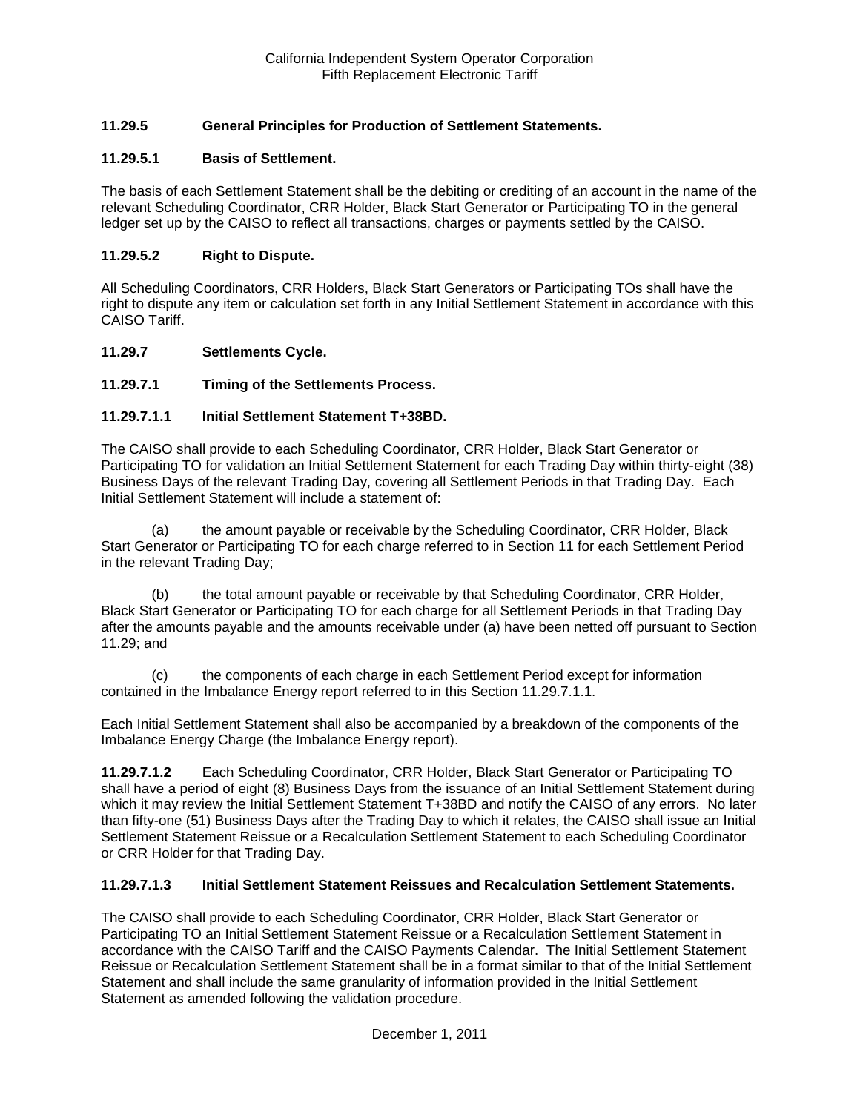# **11.29.5 General Principles for Production of Settlement Statements.**

### **11.29.5.1 Basis of Settlement.**

The basis of each Settlement Statement shall be the debiting or crediting of an account in the name of the relevant Scheduling Coordinator, CRR Holder, Black Start Generator or Participating TO in the general ledger set up by the CAISO to reflect all transactions, charges or payments settled by the CAISO.

#### **11.29.5.2 Right to Dispute.**

All Scheduling Coordinators, CRR Holders, Black Start Generators or Participating TOs shall have the right to dispute any item or calculation set forth in any Initial Settlement Statement in accordance with this CAISO Tariff.

#### **11.29.7 Settlements Cycle.**

## **11.29.7.1 Timing of the Settlements Process.**

#### **11.29.7.1.1 Initial Settlement Statement T+38BD.**

The CAISO shall provide to each Scheduling Coordinator, CRR Holder, Black Start Generator or Participating TO for validation an Initial Settlement Statement for each Trading Day within thirty-eight (38) Business Days of the relevant Trading Day, covering all Settlement Periods in that Trading Day. Each Initial Settlement Statement will include a statement of:

(a) the amount payable or receivable by the Scheduling Coordinator, CRR Holder, Black Start Generator or Participating TO for each charge referred to in Section 11 for each Settlement Period in the relevant Trading Day;

(b) the total amount payable or receivable by that Scheduling Coordinator, CRR Holder, Black Start Generator or Participating TO for each charge for all Settlement Periods in that Trading Day after the amounts payable and the amounts receivable under (a) have been netted off pursuant to Section 11.29; and

(c) the components of each charge in each Settlement Period except for information contained in the Imbalance Energy report referred to in this Section 11.29.7.1.1.

Each Initial Settlement Statement shall also be accompanied by a breakdown of the components of the Imbalance Energy Charge (the Imbalance Energy report).

**11.29.7.1.2** Each Scheduling Coordinator, CRR Holder, Black Start Generator or Participating TO shall have a period of eight (8) Business Days from the issuance of an Initial Settlement Statement during which it may review the Initial Settlement Statement T+38BD and notify the CAISO of any errors. No later than fifty-one (51) Business Days after the Trading Day to which it relates, the CAISO shall issue an Initial Settlement Statement Reissue or a Recalculation Settlement Statement to each Scheduling Coordinator or CRR Holder for that Trading Day.

#### **11.29.7.1.3 Initial Settlement Statement Reissues and Recalculation Settlement Statements.**

The CAISO shall provide to each Scheduling Coordinator, CRR Holder, Black Start Generator or Participating TO an Initial Settlement Statement Reissue or a Recalculation Settlement Statement in accordance with the CAISO Tariff and the CAISO Payments Calendar. The Initial Settlement Statement Reissue or Recalculation Settlement Statement shall be in a format similar to that of the Initial Settlement Statement and shall include the same granularity of information provided in the Initial Settlement Statement as amended following the validation procedure.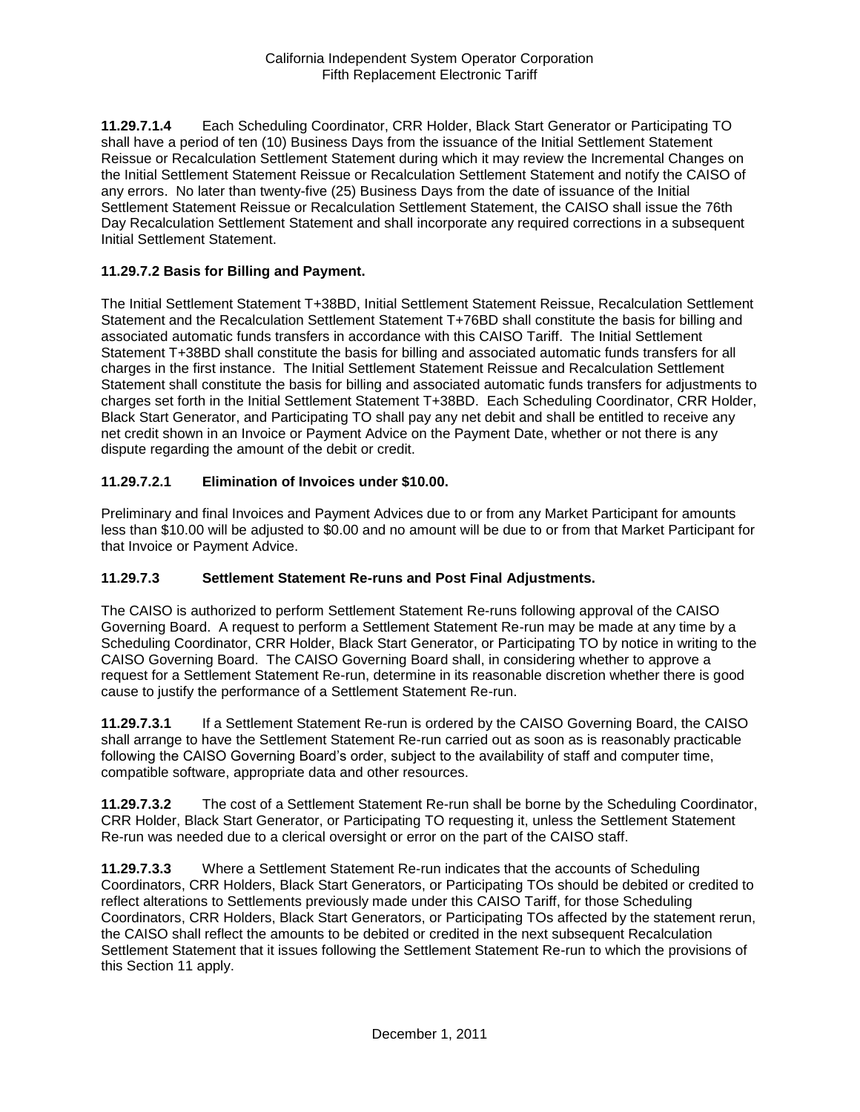**11.29.7.1.4** Each Scheduling Coordinator, CRR Holder, Black Start Generator or Participating TO shall have a period of ten (10) Business Days from the issuance of the Initial Settlement Statement Reissue or Recalculation Settlement Statement during which it may review the Incremental Changes on the Initial Settlement Statement Reissue or Recalculation Settlement Statement and notify the CAISO of any errors. No later than twenty-five (25) Business Days from the date of issuance of the Initial Settlement Statement Reissue or Recalculation Settlement Statement, the CAISO shall issue the 76th Day Recalculation Settlement Statement and shall incorporate any required corrections in a subsequent Initial Settlement Statement.

## **11.29.7.2 Basis for Billing and Payment.**

The Initial Settlement Statement T+38BD, Initial Settlement Statement Reissue, Recalculation Settlement Statement and the Recalculation Settlement Statement T+76BD shall constitute the basis for billing and associated automatic funds transfers in accordance with this CAISO Tariff. The Initial Settlement Statement T+38BD shall constitute the basis for billing and associated automatic funds transfers for all charges in the first instance. The Initial Settlement Statement Reissue and Recalculation Settlement Statement shall constitute the basis for billing and associated automatic funds transfers for adjustments to charges set forth in the Initial Settlement Statement T+38BD. Each Scheduling Coordinator, CRR Holder, Black Start Generator, and Participating TO shall pay any net debit and shall be entitled to receive any net credit shown in an Invoice or Payment Advice on the Payment Date, whether or not there is any dispute regarding the amount of the debit or credit.

## **11.29.7.2.1 Elimination of Invoices under \$10.00.**

Preliminary and final Invoices and Payment Advices due to or from any Market Participant for amounts less than \$10.00 will be adjusted to \$0.00 and no amount will be due to or from that Market Participant for that Invoice or Payment Advice.

## **11.29.7.3 Settlement Statement Re-runs and Post Final Adjustments.**

The CAISO is authorized to perform Settlement Statement Re-runs following approval of the CAISO Governing Board. A request to perform a Settlement Statement Re-run may be made at any time by a Scheduling Coordinator, CRR Holder, Black Start Generator, or Participating TO by notice in writing to the CAISO Governing Board. The CAISO Governing Board shall, in considering whether to approve a request for a Settlement Statement Re-run, determine in its reasonable discretion whether there is good cause to justify the performance of a Settlement Statement Re-run.

**11.29.7.3.1** If a Settlement Statement Re-run is ordered by the CAISO Governing Board, the CAISO shall arrange to have the Settlement Statement Re-run carried out as soon as is reasonably practicable following the CAISO Governing Board's order, subject to the availability of staff and computer time, compatible software, appropriate data and other resources.

**11.29.7.3.2** The cost of a Settlement Statement Re-run shall be borne by the Scheduling Coordinator, CRR Holder, Black Start Generator, or Participating TO requesting it, unless the Settlement Statement Re-run was needed due to a clerical oversight or error on the part of the CAISO staff.

**11.29.7.3.3** Where a Settlement Statement Re-run indicates that the accounts of Scheduling Coordinators, CRR Holders, Black Start Generators, or Participating TOs should be debited or credited to reflect alterations to Settlements previously made under this CAISO Tariff, for those Scheduling Coordinators, CRR Holders, Black Start Generators, or Participating TOs affected by the statement rerun, the CAISO shall reflect the amounts to be debited or credited in the next subsequent Recalculation Settlement Statement that it issues following the Settlement Statement Re-run to which the provisions of this Section 11 apply.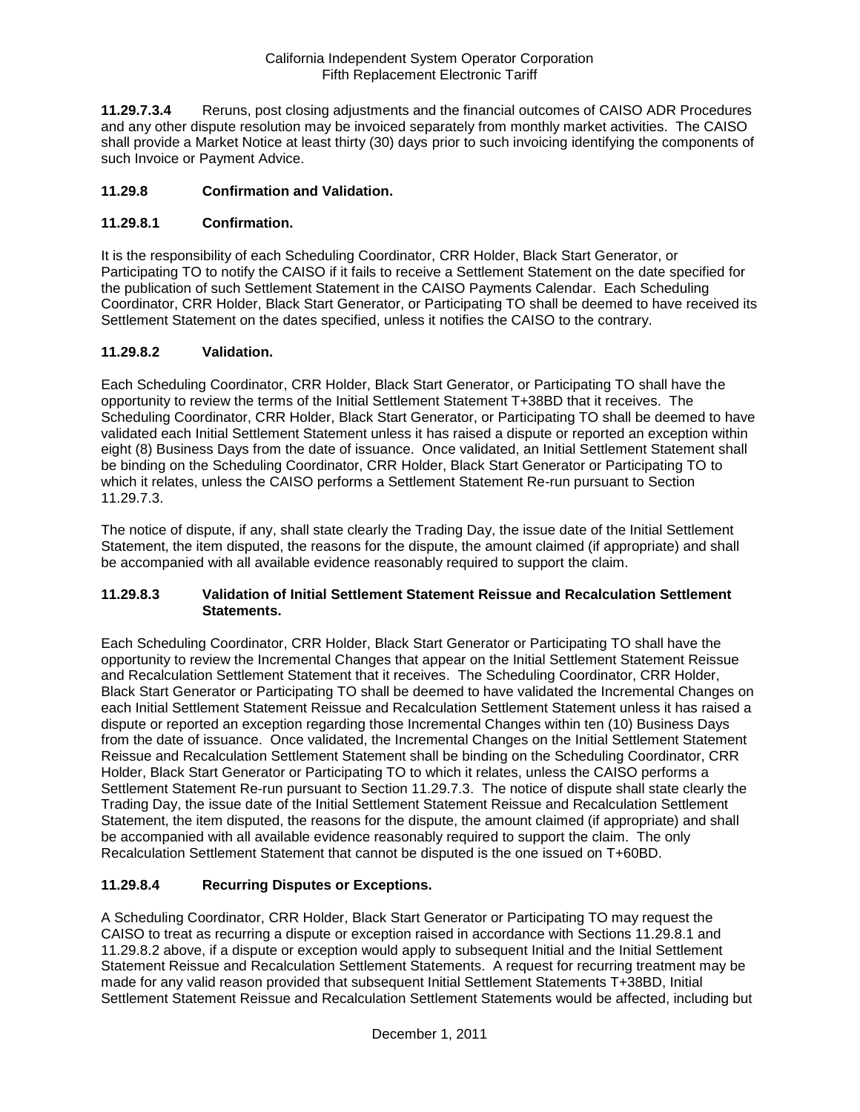**11.29.7.3.4** Reruns, post closing adjustments and the financial outcomes of CAISO ADR Procedures and any other dispute resolution may be invoiced separately from monthly market activities. The CAISO shall provide a Market Notice at least thirty (30) days prior to such invoicing identifying the components of such Invoice or Payment Advice.

## **11.29.8 Confirmation and Validation.**

## **11.29.8.1 Confirmation.**

It is the responsibility of each Scheduling Coordinator, CRR Holder, Black Start Generator, or Participating TO to notify the CAISO if it fails to receive a Settlement Statement on the date specified for the publication of such Settlement Statement in the CAISO Payments Calendar. Each Scheduling Coordinator, CRR Holder, Black Start Generator, or Participating TO shall be deemed to have received its Settlement Statement on the dates specified, unless it notifies the CAISO to the contrary.

## **11.29.8.2 Validation.**

Each Scheduling Coordinator, CRR Holder, Black Start Generator, or Participating TO shall have the opportunity to review the terms of the Initial Settlement Statement T+38BD that it receives. The Scheduling Coordinator, CRR Holder, Black Start Generator, or Participating TO shall be deemed to have validated each Initial Settlement Statement unless it has raised a dispute or reported an exception within eight (8) Business Days from the date of issuance. Once validated, an Initial Settlement Statement shall be binding on the Scheduling Coordinator, CRR Holder, Black Start Generator or Participating TO to which it relates, unless the CAISO performs a Settlement Statement Re-run pursuant to Section 11.29.7.3.

The notice of dispute, if any, shall state clearly the Trading Day, the issue date of the Initial Settlement Statement, the item disputed, the reasons for the dispute, the amount claimed (if appropriate) and shall be accompanied with all available evidence reasonably required to support the claim.

## **11.29.8.3 Validation of Initial Settlement Statement Reissue and Recalculation Settlement Statements.**

Each Scheduling Coordinator, CRR Holder, Black Start Generator or Participating TO shall have the opportunity to review the Incremental Changes that appear on the Initial Settlement Statement Reissue and Recalculation Settlement Statement that it receives. The Scheduling Coordinator, CRR Holder, Black Start Generator or Participating TO shall be deemed to have validated the Incremental Changes on each Initial Settlement Statement Reissue and Recalculation Settlement Statement unless it has raised a dispute or reported an exception regarding those Incremental Changes within ten (10) Business Days from the date of issuance. Once validated, the Incremental Changes on the Initial Settlement Statement Reissue and Recalculation Settlement Statement shall be binding on the Scheduling Coordinator, CRR Holder, Black Start Generator or Participating TO to which it relates, unless the CAISO performs a Settlement Statement Re-run pursuant to Section 11.29.7.3. The notice of dispute shall state clearly the Trading Day, the issue date of the Initial Settlement Statement Reissue and Recalculation Settlement Statement, the item disputed, the reasons for the dispute, the amount claimed (if appropriate) and shall be accompanied with all available evidence reasonably required to support the claim. The only Recalculation Settlement Statement that cannot be disputed is the one issued on T+60BD.

## **11.29.8.4 Recurring Disputes or Exceptions.**

A Scheduling Coordinator, CRR Holder, Black Start Generator or Participating TO may request the CAISO to treat as recurring a dispute or exception raised in accordance with Sections 11.29.8.1 and 11.29.8.2 above, if a dispute or exception would apply to subsequent Initial and the Initial Settlement Statement Reissue and Recalculation Settlement Statements. A request for recurring treatment may be made for any valid reason provided that subsequent Initial Settlement Statements T+38BD, Initial Settlement Statement Reissue and Recalculation Settlement Statements would be affected, including but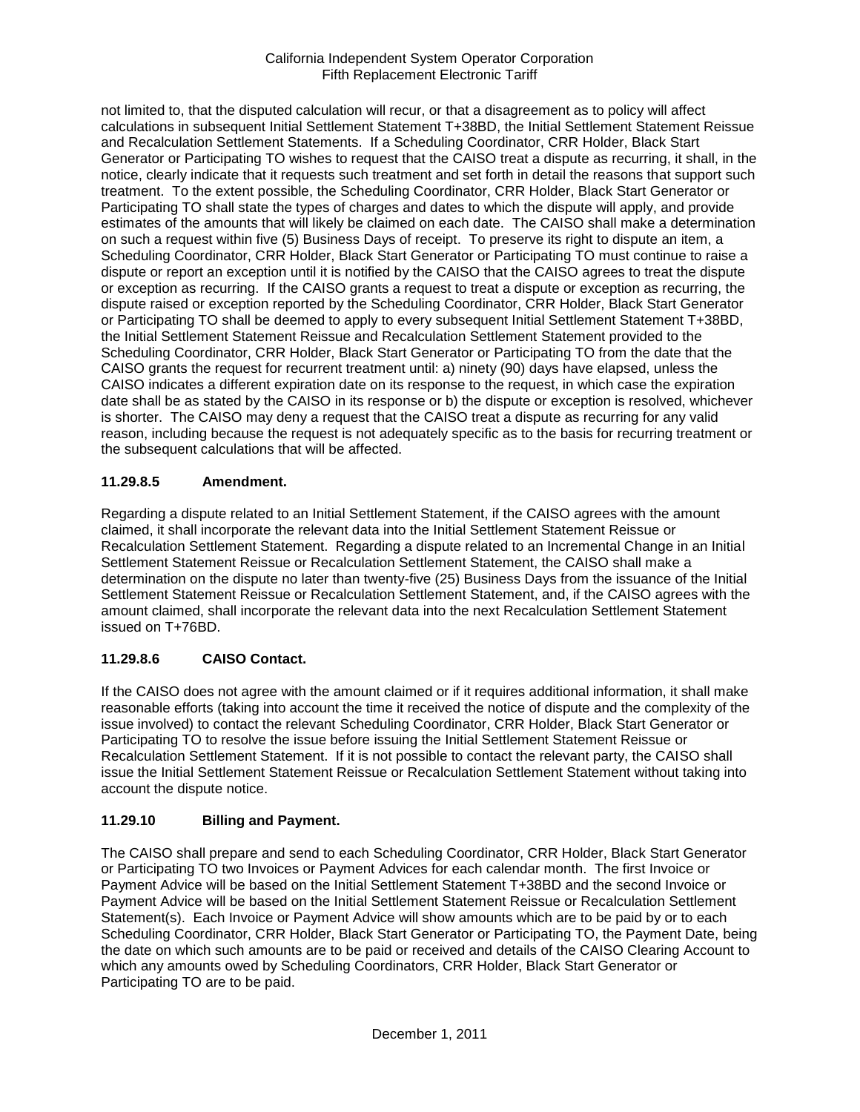not limited to, that the disputed calculation will recur, or that a disagreement as to policy will affect calculations in subsequent Initial Settlement Statement T+38BD, the Initial Settlement Statement Reissue and Recalculation Settlement Statements. If a Scheduling Coordinator, CRR Holder, Black Start Generator or Participating TO wishes to request that the CAISO treat a dispute as recurring, it shall, in the notice, clearly indicate that it requests such treatment and set forth in detail the reasons that support such treatment. To the extent possible, the Scheduling Coordinator, CRR Holder, Black Start Generator or Participating TO shall state the types of charges and dates to which the dispute will apply, and provide estimates of the amounts that will likely be claimed on each date. The CAISO shall make a determination on such a request within five (5) Business Days of receipt. To preserve its right to dispute an item, a Scheduling Coordinator, CRR Holder, Black Start Generator or Participating TO must continue to raise a dispute or report an exception until it is notified by the CAISO that the CAISO agrees to treat the dispute or exception as recurring. If the CAISO grants a request to treat a dispute or exception as recurring, the dispute raised or exception reported by the Scheduling Coordinator, CRR Holder, Black Start Generator or Participating TO shall be deemed to apply to every subsequent Initial Settlement Statement T+38BD, the Initial Settlement Statement Reissue and Recalculation Settlement Statement provided to the Scheduling Coordinator, CRR Holder, Black Start Generator or Participating TO from the date that the CAISO grants the request for recurrent treatment until: a) ninety (90) days have elapsed, unless the CAISO indicates a different expiration date on its response to the request, in which case the expiration date shall be as stated by the CAISO in its response or b) the dispute or exception is resolved, whichever is shorter. The CAISO may deny a request that the CAISO treat a dispute as recurring for any valid reason, including because the request is not adequately specific as to the basis for recurring treatment or the subsequent calculations that will be affected.

# **11.29.8.5 Amendment.**

Regarding a dispute related to an Initial Settlement Statement, if the CAISO agrees with the amount claimed, it shall incorporate the relevant data into the Initial Settlement Statement Reissue or Recalculation Settlement Statement. Regarding a dispute related to an Incremental Change in an Initial Settlement Statement Reissue or Recalculation Settlement Statement, the CAISO shall make a determination on the dispute no later than twenty-five (25) Business Days from the issuance of the Initial Settlement Statement Reissue or Recalculation Settlement Statement, and, if the CAISO agrees with the amount claimed, shall incorporate the relevant data into the next Recalculation Settlement Statement issued on T+76BD.

# **11.29.8.6 CAISO Contact.**

If the CAISO does not agree with the amount claimed or if it requires additional information, it shall make reasonable efforts (taking into account the time it received the notice of dispute and the complexity of the issue involved) to contact the relevant Scheduling Coordinator, CRR Holder, Black Start Generator or Participating TO to resolve the issue before issuing the Initial Settlement Statement Reissue or Recalculation Settlement Statement. If it is not possible to contact the relevant party, the CAISO shall issue the Initial Settlement Statement Reissue or Recalculation Settlement Statement without taking into account the dispute notice.

# **11.29.10 Billing and Payment.**

The CAISO shall prepare and send to each Scheduling Coordinator, CRR Holder, Black Start Generator or Participating TO two Invoices or Payment Advices for each calendar month. The first Invoice or Payment Advice will be based on the Initial Settlement Statement T+38BD and the second Invoice or Payment Advice will be based on the Initial Settlement Statement Reissue or Recalculation Settlement Statement(s). Each Invoice or Payment Advice will show amounts which are to be paid by or to each Scheduling Coordinator, CRR Holder, Black Start Generator or Participating TO, the Payment Date, being the date on which such amounts are to be paid or received and details of the CAISO Clearing Account to which any amounts owed by Scheduling Coordinators, CRR Holder, Black Start Generator or Participating TO are to be paid.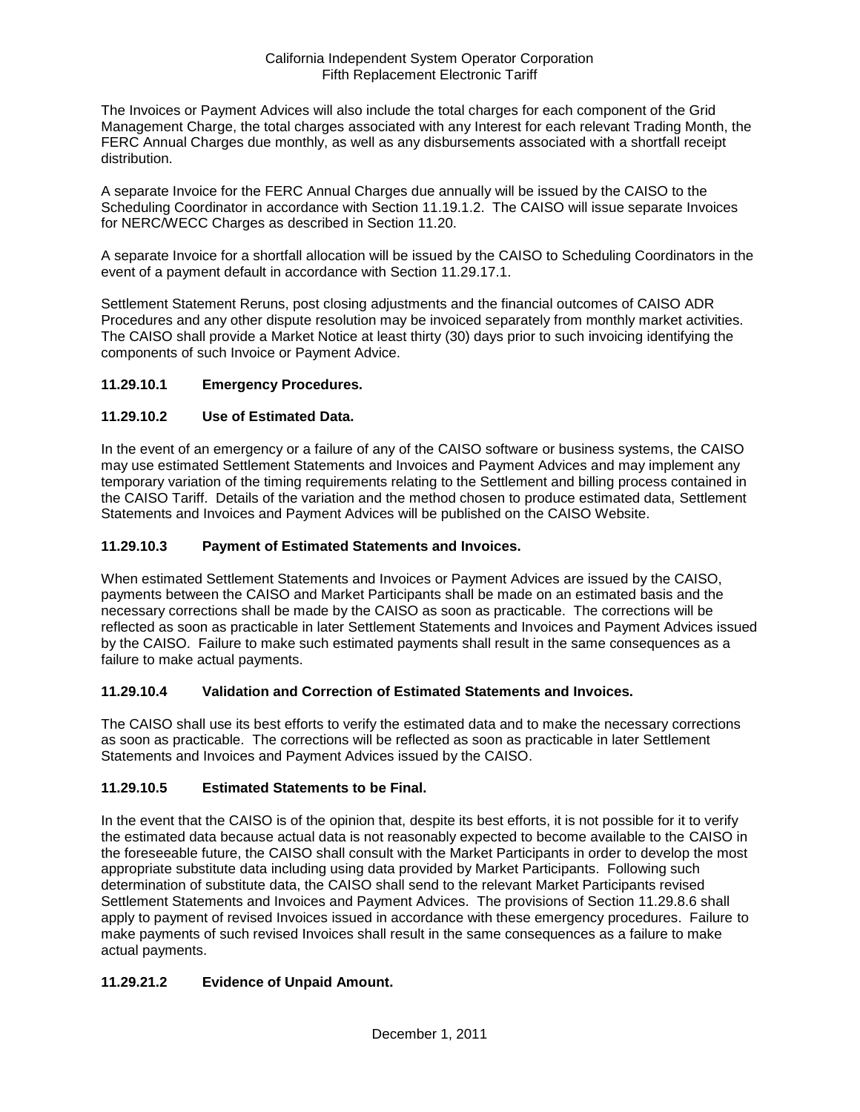The Invoices or Payment Advices will also include the total charges for each component of the Grid Management Charge, the total charges associated with any Interest for each relevant Trading Month, the FERC Annual Charges due monthly, as well as any disbursements associated with a shortfall receipt distribution.

A separate Invoice for the FERC Annual Charges due annually will be issued by the CAISO to the Scheduling Coordinator in accordance with Section 11.19.1.2. The CAISO will issue separate Invoices for NERC/WECC Charges as described in Section 11.20.

A separate Invoice for a shortfall allocation will be issued by the CAISO to Scheduling Coordinators in the event of a payment default in accordance with Section 11.29.17.1.

Settlement Statement Reruns, post closing adjustments and the financial outcomes of CAISO ADR Procedures and any other dispute resolution may be invoiced separately from monthly market activities. The CAISO shall provide a Market Notice at least thirty (30) days prior to such invoicing identifying the components of such Invoice or Payment Advice.

## **11.29.10.1 Emergency Procedures.**

## **11.29.10.2 Use of Estimated Data.**

In the event of an emergency or a failure of any of the CAISO software or business systems, the CAISO may use estimated Settlement Statements and Invoices and Payment Advices and may implement any temporary variation of the timing requirements relating to the Settlement and billing process contained in the CAISO Tariff. Details of the variation and the method chosen to produce estimated data, Settlement Statements and Invoices and Payment Advices will be published on the CAISO Website.

## **11.29.10.3 Payment of Estimated Statements and Invoices.**

When estimated Settlement Statements and Invoices or Payment Advices are issued by the CAISO, payments between the CAISO and Market Participants shall be made on an estimated basis and the necessary corrections shall be made by the CAISO as soon as practicable. The corrections will be reflected as soon as practicable in later Settlement Statements and Invoices and Payment Advices issued by the CAISO. Failure to make such estimated payments shall result in the same consequences as a failure to make actual payments.

## **11.29.10.4 Validation and Correction of Estimated Statements and Invoices.**

The CAISO shall use its best efforts to verify the estimated data and to make the necessary corrections as soon as practicable. The corrections will be reflected as soon as practicable in later Settlement Statements and Invoices and Payment Advices issued by the CAISO.

## **11.29.10.5 Estimated Statements to be Final.**

In the event that the CAISO is of the opinion that, despite its best efforts, it is not possible for it to verify the estimated data because actual data is not reasonably expected to become available to the CAISO in the foreseeable future, the CAISO shall consult with the Market Participants in order to develop the most appropriate substitute data including using data provided by Market Participants. Following such determination of substitute data, the CAISO shall send to the relevant Market Participants revised Settlement Statements and Invoices and Payment Advices. The provisions of Section 11.29.8.6 shall apply to payment of revised Invoices issued in accordance with these emergency procedures. Failure to make payments of such revised Invoices shall result in the same consequences as a failure to make actual payments.

# **11.29.21.2 Evidence of Unpaid Amount.**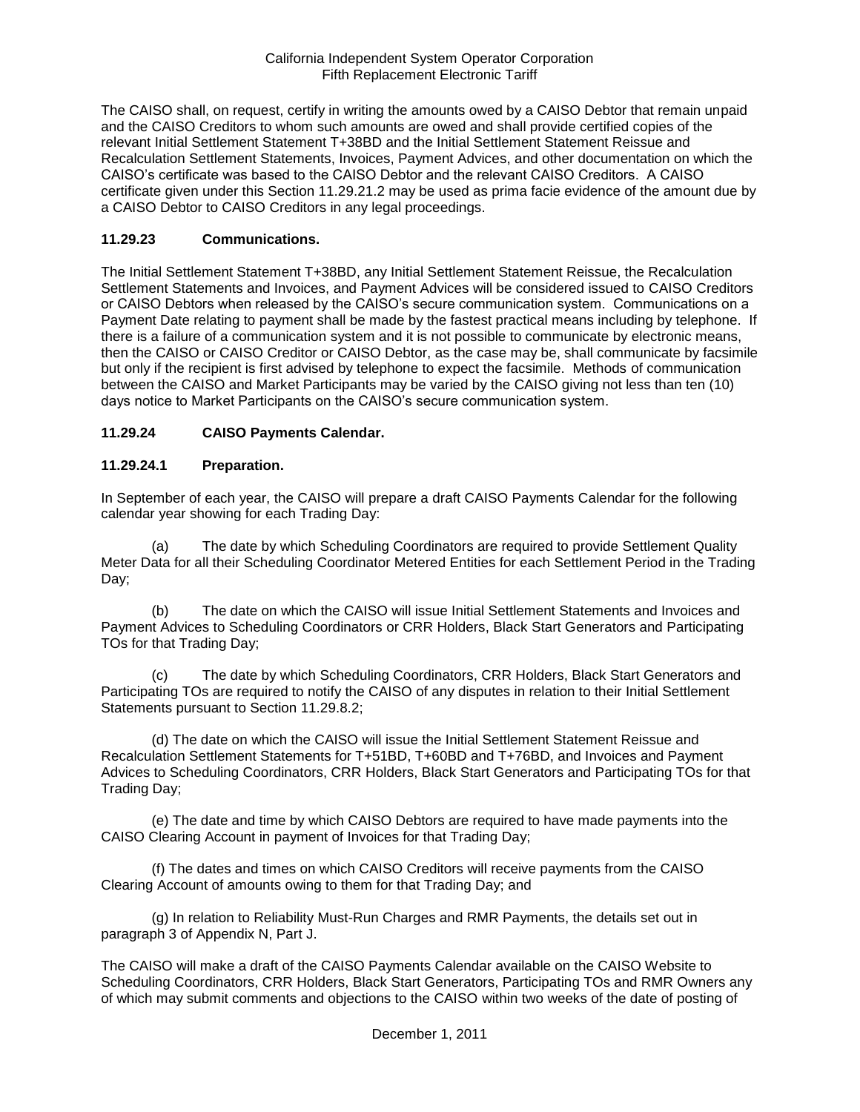The CAISO shall, on request, certify in writing the amounts owed by a CAISO Debtor that remain unpaid and the CAISO Creditors to whom such amounts are owed and shall provide certified copies of the relevant Initial Settlement Statement T+38BD and the Initial Settlement Statement Reissue and Recalculation Settlement Statements, Invoices, Payment Advices, and other documentation on which the CAISO's certificate was based to the CAISO Debtor and the relevant CAISO Creditors. A CAISO certificate given under this Section 11.29.21.2 may be used as prima facie evidence of the amount due by a CAISO Debtor to CAISO Creditors in any legal proceedings.

## **11.29.23 Communications.**

The Initial Settlement Statement T+38BD, any Initial Settlement Statement Reissue, the Recalculation Settlement Statements and Invoices, and Payment Advices will be considered issued to CAISO Creditors or CAISO Debtors when released by the CAISO's secure communication system. Communications on a Payment Date relating to payment shall be made by the fastest practical means including by telephone. If there is a failure of a communication system and it is not possible to communicate by electronic means, then the CAISO or CAISO Creditor or CAISO Debtor, as the case may be, shall communicate by facsimile but only if the recipient is first advised by telephone to expect the facsimile. Methods of communication between the CAISO and Market Participants may be varied by the CAISO giving not less than ten (10) days notice to Market Participants on the CAISO's secure communication system.

## **11.29.24 CAISO Payments Calendar.**

## **11.29.24.1 Preparation.**

In September of each year, the CAISO will prepare a draft CAISO Payments Calendar for the following calendar year showing for each Trading Day:

(a) The date by which Scheduling Coordinators are required to provide Settlement Quality Meter Data for all their Scheduling Coordinator Metered Entities for each Settlement Period in the Trading Day;

(b) The date on which the CAISO will issue Initial Settlement Statements and Invoices and Payment Advices to Scheduling Coordinators or CRR Holders, Black Start Generators and Participating TOs for that Trading Day;

(c) The date by which Scheduling Coordinators, CRR Holders, Black Start Generators and Participating TOs are required to notify the CAISO of any disputes in relation to their Initial Settlement Statements pursuant to Section 11.29.8.2;

(d) The date on which the CAISO will issue the Initial Settlement Statement Reissue and Recalculation Settlement Statements for T+51BD, T+60BD and T+76BD, and Invoices and Payment Advices to Scheduling Coordinators, CRR Holders, Black Start Generators and Participating TOs for that Trading Day;

(e) The date and time by which CAISO Debtors are required to have made payments into the CAISO Clearing Account in payment of Invoices for that Trading Day;

(f) The dates and times on which CAISO Creditors will receive payments from the CAISO Clearing Account of amounts owing to them for that Trading Day; and

(g) In relation to Reliability Must-Run Charges and RMR Payments, the details set out in paragraph 3 of Appendix N, Part J.

The CAISO will make a draft of the CAISO Payments Calendar available on the CAISO Website to Scheduling Coordinators, CRR Holders, Black Start Generators, Participating TOs and RMR Owners any of which may submit comments and objections to the CAISO within two weeks of the date of posting of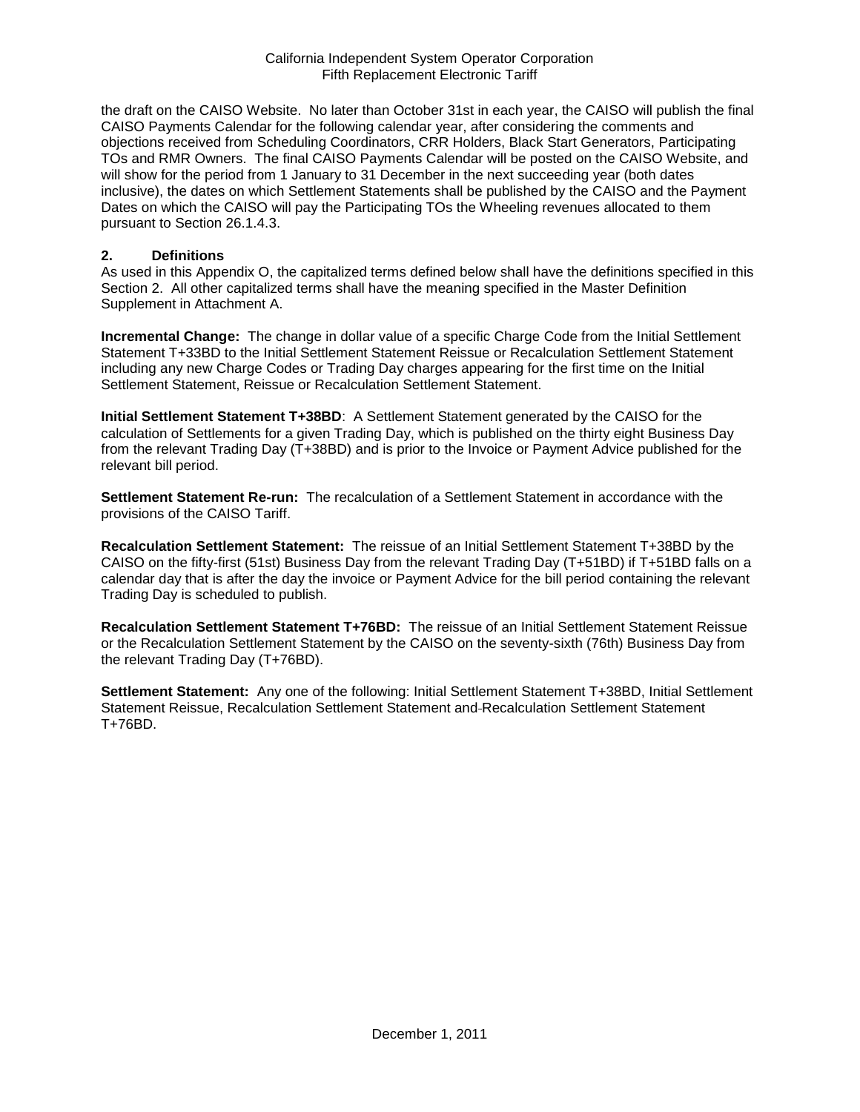the draft on the CAISO Website. No later than October 31st in each year, the CAISO will publish the final CAISO Payments Calendar for the following calendar year, after considering the comments and objections received from Scheduling Coordinators, CRR Holders, Black Start Generators, Participating TOs and RMR Owners. The final CAISO Payments Calendar will be posted on the CAISO Website, and will show for the period from 1 January to 31 December in the next succeeding year (both dates inclusive), the dates on which Settlement Statements shall be published by the CAISO and the Payment Dates on which the CAISO will pay the Participating TOs the Wheeling revenues allocated to them pursuant to Section 26.1.4.3.

#### **2. Definitions**

As used in this Appendix O, the capitalized terms defined below shall have the definitions specified in this Section 2. All other capitalized terms shall have the meaning specified in the Master Definition Supplement in Attachment A.

**Incremental Change:** The change in dollar value of a specific Charge Code from the Initial Settlement Statement T+33BD to the Initial Settlement Statement Reissue or Recalculation Settlement Statement including any new Charge Codes or Trading Day charges appearing for the first time on the Initial Settlement Statement, Reissue or Recalculation Settlement Statement.

**Initial Settlement Statement T+38BD**: A Settlement Statement generated by the CAISO for the calculation of Settlements for a given Trading Day, which is published on the thirty eight Business Day from the relevant Trading Day (T+38BD) and is prior to the Invoice or Payment Advice published for the relevant bill period.

**Settlement Statement Re-run:** The recalculation of a Settlement Statement in accordance with the provisions of the CAISO Tariff.

**Recalculation Settlement Statement:** The reissue of an Initial Settlement Statement T+38BD by the CAISO on the fifty-first (51st) Business Day from the relevant Trading Day (T+51BD) if T+51BD falls on a calendar day that is after the day the invoice or Payment Advice for the bill period containing the relevant Trading Day is scheduled to publish.

**Recalculation Settlement Statement T+76BD:** The reissue of an Initial Settlement Statement Reissue or the Recalculation Settlement Statement by the CAISO on the seventy-sixth (76th) Business Day from the relevant Trading Day (T+76BD).

**Settlement Statement:** Any one of the following: Initial Settlement Statement T+38BD, Initial Settlement Statement Reissue, Recalculation Settlement Statement and Recalculation Settlement Statement T+76BD.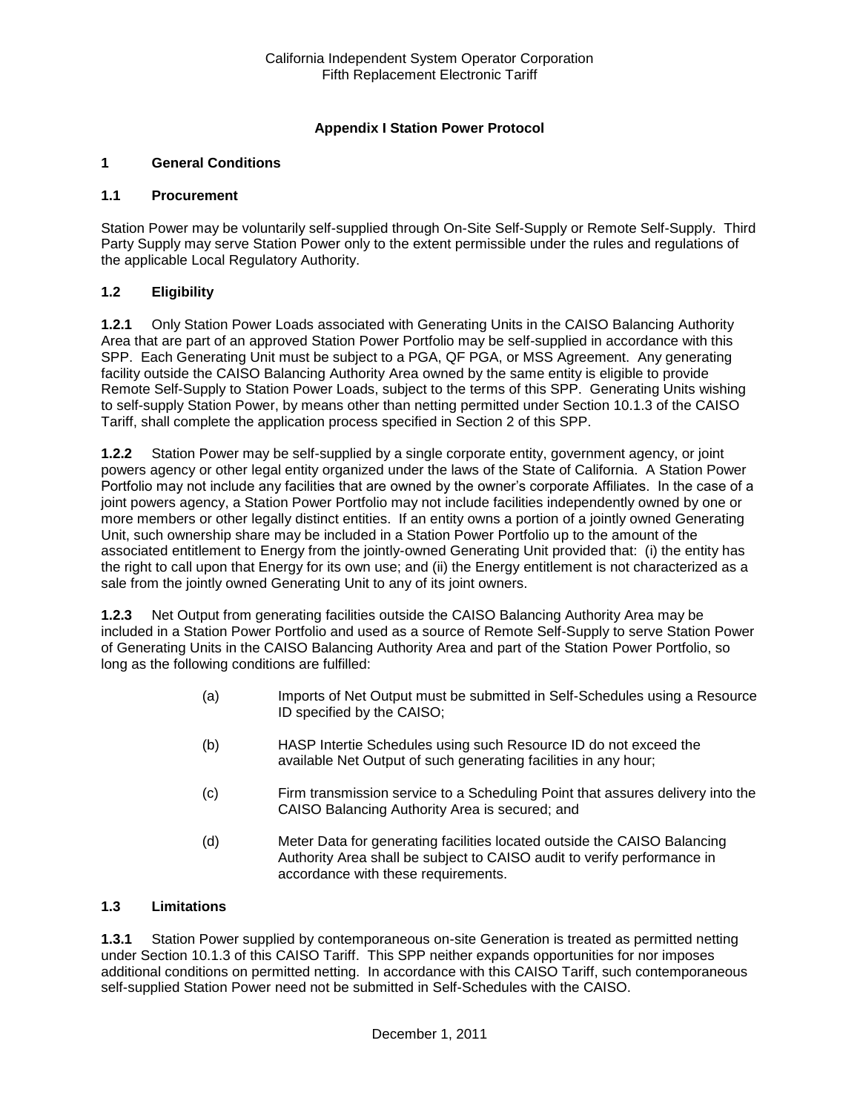## **Appendix I Station Power Protocol**

## **1 General Conditions**

#### **1.1 Procurement**

Station Power may be voluntarily self-supplied through On-Site Self-Supply or Remote Self-Supply. Third Party Supply may serve Station Power only to the extent permissible under the rules and regulations of the applicable Local Regulatory Authority.

## **1.2 Eligibility**

**1.2.1** Only Station Power Loads associated with Generating Units in the CAISO Balancing Authority Area that are part of an approved Station Power Portfolio may be self-supplied in accordance with this SPP. Each Generating Unit must be subject to a PGA, QF PGA, or MSS Agreement. Any generating facility outside the CAISO Balancing Authority Area owned by the same entity is eligible to provide Remote Self-Supply to Station Power Loads, subject to the terms of this SPP. Generating Units wishing to self-supply Station Power, by means other than netting permitted under Section 10.1.3 of the CAISO Tariff, shall complete the application process specified in Section 2 of this SPP.

**1.2.2** Station Power may be self-supplied by a single corporate entity, government agency, or joint powers agency or other legal entity organized under the laws of the State of California. A Station Power Portfolio may not include any facilities that are owned by the owner's corporate Affiliates. In the case of a joint powers agency, a Station Power Portfolio may not include facilities independently owned by one or more members or other legally distinct entities. If an entity owns a portion of a jointly owned Generating Unit, such ownership share may be included in a Station Power Portfolio up to the amount of the associated entitlement to Energy from the jointly-owned Generating Unit provided that: (i) the entity has the right to call upon that Energy for its own use; and (ii) the Energy entitlement is not characterized as a sale from the jointly owned Generating Unit to any of its joint owners.

**1.2.3** Net Output from generating facilities outside the CAISO Balancing Authority Area may be included in a Station Power Portfolio and used as a source of Remote Self-Supply to serve Station Power of Generating Units in the CAISO Balancing Authority Area and part of the Station Power Portfolio, so long as the following conditions are fulfilled:

- (a) Imports of Net Output must be submitted in Self-Schedules using a Resource ID specified by the CAISO;
- (b) HASP Intertie Schedules using such Resource ID do not exceed the available Net Output of such generating facilities in any hour;
- (c) Firm transmission service to a Scheduling Point that assures delivery into the CAISO Balancing Authority Area is secured; and
- (d) Meter Data for generating facilities located outside the CAISO Balancing Authority Area shall be subject to CAISO audit to verify performance in accordance with these requirements.

## **1.3 Limitations**

**1.3.1** Station Power supplied by contemporaneous on-site Generation is treated as permitted netting under Section 10.1.3 of this CAISO Tariff. This SPP neither expands opportunities for nor imposes additional conditions on permitted netting. In accordance with this CAISO Tariff, such contemporaneous self-supplied Station Power need not be submitted in Self-Schedules with the CAISO.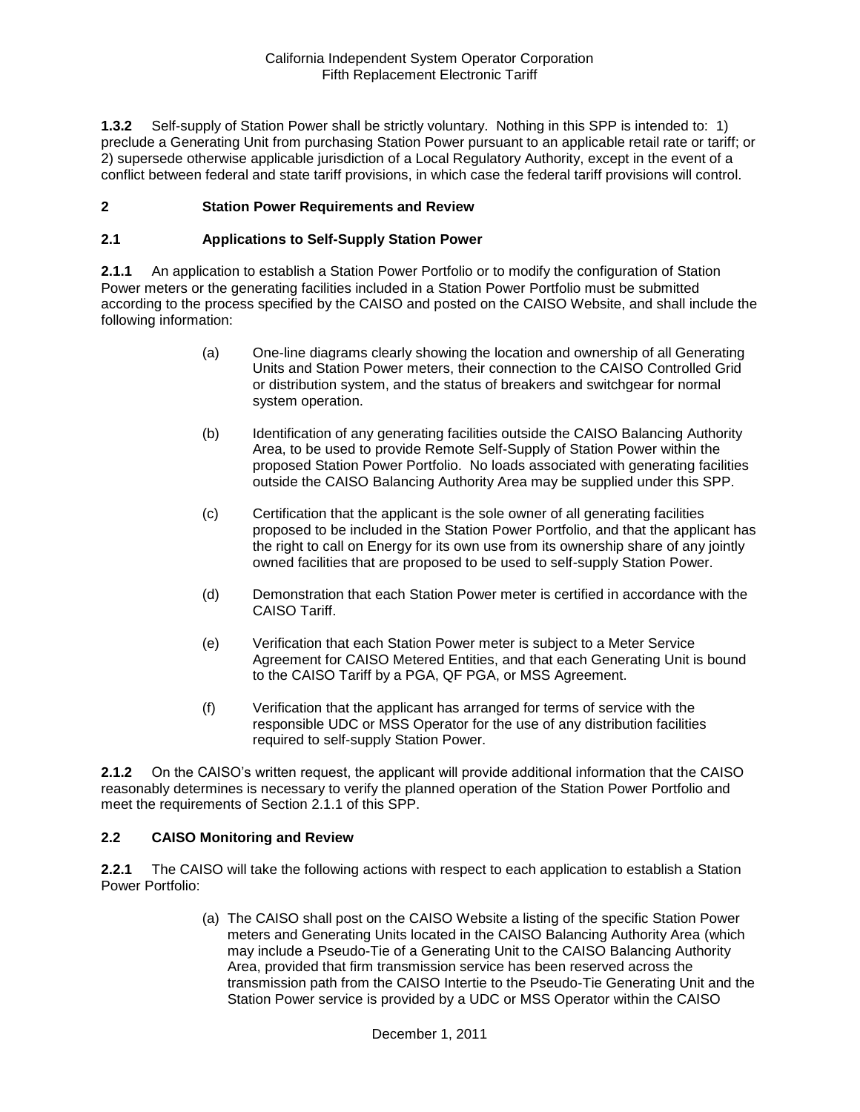**1.3.2** Self-supply of Station Power shall be strictly voluntary. Nothing in this SPP is intended to: 1) preclude a Generating Unit from purchasing Station Power pursuant to an applicable retail rate or tariff; or 2) supersede otherwise applicable jurisdiction of a Local Regulatory Authority, except in the event of a conflict between federal and state tariff provisions, in which case the federal tariff provisions will control.

## **2 Station Power Requirements and Review**

## **2.1 Applications to Self-Supply Station Power**

**2.1.1** An application to establish a Station Power Portfolio or to modify the configuration of Station Power meters or the generating facilities included in a Station Power Portfolio must be submitted according to the process specified by the CAISO and posted on the CAISO Website, and shall include the following information:

- (a) One-line diagrams clearly showing the location and ownership of all Generating Units and Station Power meters, their connection to the CAISO Controlled Grid or distribution system, and the status of breakers and switchgear for normal system operation.
- (b) Identification of any generating facilities outside the CAISO Balancing Authority Area, to be used to provide Remote Self-Supply of Station Power within the proposed Station Power Portfolio. No loads associated with generating facilities outside the CAISO Balancing Authority Area may be supplied under this SPP.
- (c) Certification that the applicant is the sole owner of all generating facilities proposed to be included in the Station Power Portfolio, and that the applicant has the right to call on Energy for its own use from its ownership share of any jointly owned facilities that are proposed to be used to self-supply Station Power.
- (d) Demonstration that each Station Power meter is certified in accordance with the CAISO Tariff.
- (e) Verification that each Station Power meter is subject to a Meter Service Agreement for CAISO Metered Entities, and that each Generating Unit is bound to the CAISO Tariff by a PGA, QF PGA, or MSS Agreement.
- (f) Verification that the applicant has arranged for terms of service with the responsible UDC or MSS Operator for the use of any distribution facilities required to self-supply Station Power.

**2.1.2** On the CAISO's written request, the applicant will provide additional information that the CAISO reasonably determines is necessary to verify the planned operation of the Station Power Portfolio and meet the requirements of Section 2.1.1 of this SPP.

## **2.2 CAISO Monitoring and Review**

**2.2.1** The CAISO will take the following actions with respect to each application to establish a Station Power Portfolio:

> (a) The CAISO shall post on the CAISO Website a listing of the specific Station Power meters and Generating Units located in the CAISO Balancing Authority Area (which may include a Pseudo-Tie of a Generating Unit to the CAISO Balancing Authority Area, provided that firm transmission service has been reserved across the transmission path from the CAISO Intertie to the Pseudo-Tie Generating Unit and the Station Power service is provided by a UDC or MSS Operator within the CAISO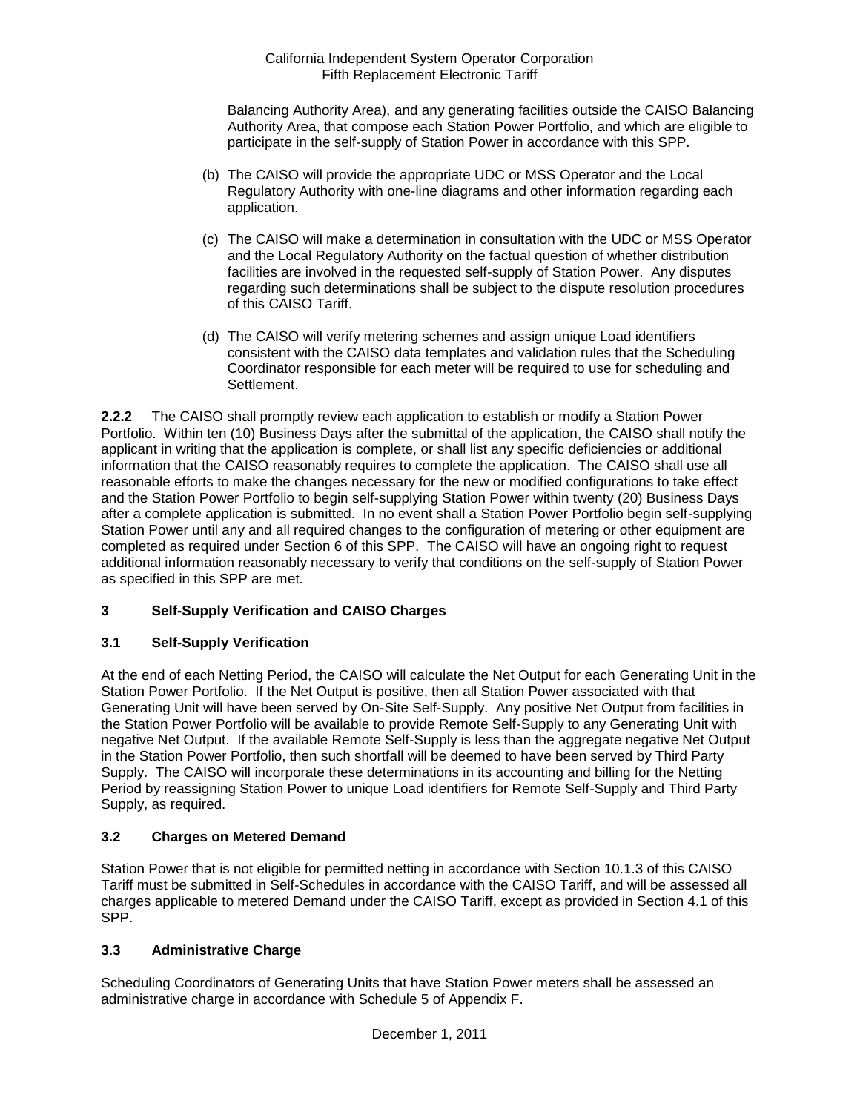Balancing Authority Area), and any generating facilities outside the CAISO Balancing Authority Area, that compose each Station Power Portfolio, and which are eligible to participate in the self-supply of Station Power in accordance with this SPP.

- (b) The CAISO will provide the appropriate UDC or MSS Operator and the Local Regulatory Authority with one-line diagrams and other information regarding each application.
- (c) The CAISO will make a determination in consultation with the UDC or MSS Operator and the Local Regulatory Authority on the factual question of whether distribution facilities are involved in the requested self-supply of Station Power. Any disputes regarding such determinations shall be subject to the dispute resolution procedures of this CAISO Tariff.
- (d) The CAISO will verify metering schemes and assign unique Load identifiers consistent with the CAISO data templates and validation rules that the Scheduling Coordinator responsible for each meter will be required to use for scheduling and Settlement.

**2.2.2** The CAISO shall promptly review each application to establish or modify a Station Power Portfolio. Within ten (10) Business Days after the submittal of the application, the CAISO shall notify the applicant in writing that the application is complete, or shall list any specific deficiencies or additional information that the CAISO reasonably requires to complete the application. The CAISO shall use all reasonable efforts to make the changes necessary for the new or modified configurations to take effect and the Station Power Portfolio to begin self-supplying Station Power within twenty (20) Business Days after a complete application is submitted. In no event shall a Station Power Portfolio begin self-supplying Station Power until any and all required changes to the configuration of metering or other equipment are completed as required under Section 6 of this SPP. The CAISO will have an ongoing right to request additional information reasonably necessary to verify that conditions on the self-supply of Station Power as specified in this SPP are met.

# **3 Self-Supply Verification and CAISO Charges**

## **3.1 Self-Supply Verification**

At the end of each Netting Period, the CAISO will calculate the Net Output for each Generating Unit in the Station Power Portfolio. If the Net Output is positive, then all Station Power associated with that Generating Unit will have been served by On-Site Self-Supply. Any positive Net Output from facilities in the Station Power Portfolio will be available to provide Remote Self-Supply to any Generating Unit with negative Net Output. If the available Remote Self-Supply is less than the aggregate negative Net Output in the Station Power Portfolio, then such shortfall will be deemed to have been served by Third Party Supply. The CAISO will incorporate these determinations in its accounting and billing for the Netting Period by reassigning Station Power to unique Load identifiers for Remote Self-Supply and Third Party Supply, as required.

## **3.2 Charges on Metered Demand**

Station Power that is not eligible for permitted netting in accordance with Section 10.1.3 of this CAISO Tariff must be submitted in Self-Schedules in accordance with the CAISO Tariff, and will be assessed all charges applicable to metered Demand under the CAISO Tariff, except as provided in Section 4.1 of this SPP.

## **3.3 Administrative Charge**

Scheduling Coordinators of Generating Units that have Station Power meters shall be assessed an administrative charge in accordance with Schedule 5 of Appendix F.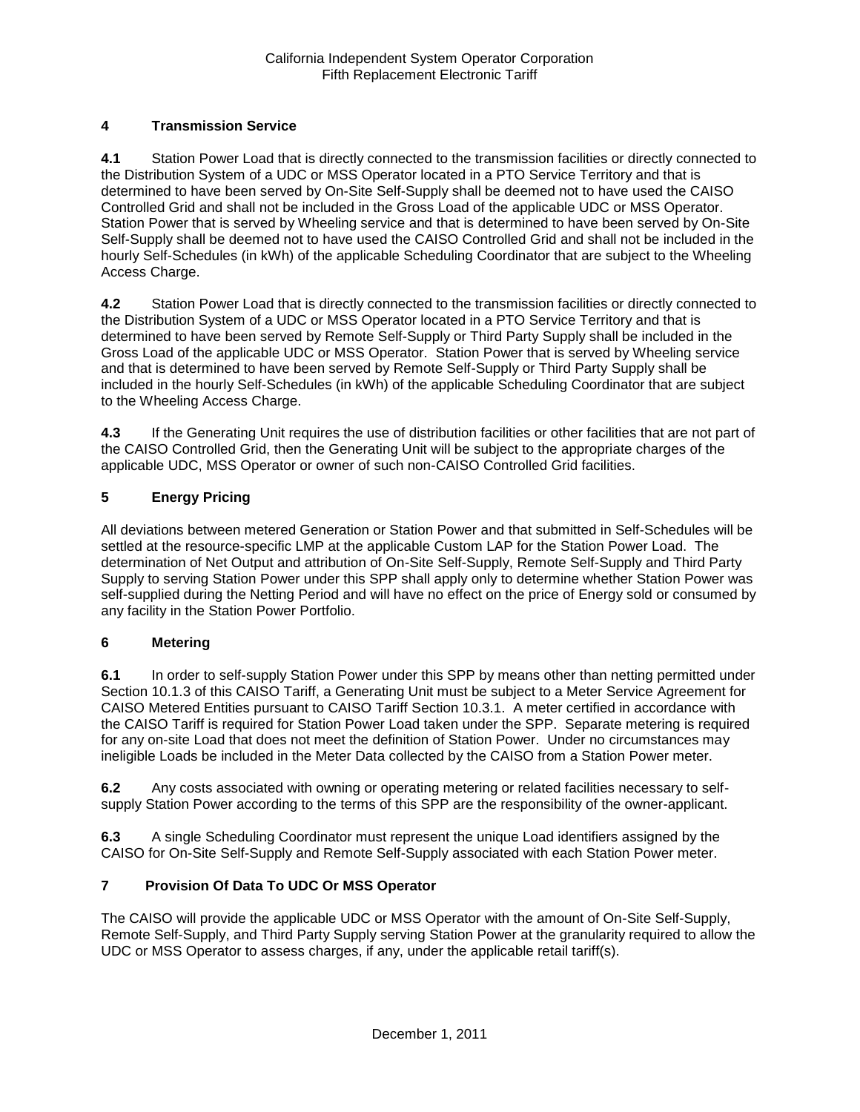# **4 Transmission Service**

**4.1** Station Power Load that is directly connected to the transmission facilities or directly connected to the Distribution System of a UDC or MSS Operator located in a PTO Service Territory and that is determined to have been served by On-Site Self-Supply shall be deemed not to have used the CAISO Controlled Grid and shall not be included in the Gross Load of the applicable UDC or MSS Operator. Station Power that is served by Wheeling service and that is determined to have been served by On-Site Self-Supply shall be deemed not to have used the CAISO Controlled Grid and shall not be included in the hourly Self-Schedules (in kWh) of the applicable Scheduling Coordinator that are subject to the Wheeling Access Charge.

**4.2** Station Power Load that is directly connected to the transmission facilities or directly connected to the Distribution System of a UDC or MSS Operator located in a PTO Service Territory and that is determined to have been served by Remote Self-Supply or Third Party Supply shall be included in the Gross Load of the applicable UDC or MSS Operator. Station Power that is served by Wheeling service and that is determined to have been served by Remote Self-Supply or Third Party Supply shall be included in the hourly Self-Schedules (in kWh) of the applicable Scheduling Coordinator that are subject to the Wheeling Access Charge.

**4.3** If the Generating Unit requires the use of distribution facilities or other facilities that are not part of the CAISO Controlled Grid, then the Generating Unit will be subject to the appropriate charges of the applicable UDC, MSS Operator or owner of such non-CAISO Controlled Grid facilities.

# **5 Energy Pricing**

All deviations between metered Generation or Station Power and that submitted in Self-Schedules will be settled at the resource-specific LMP at the applicable Custom LAP for the Station Power Load. The determination of Net Output and attribution of On-Site Self-Supply, Remote Self-Supply and Third Party Supply to serving Station Power under this SPP shall apply only to determine whether Station Power was self-supplied during the Netting Period and will have no effect on the price of Energy sold or consumed by any facility in the Station Power Portfolio.

## **6 Metering**

**6.1** In order to self-supply Station Power under this SPP by means other than netting permitted under Section 10.1.3 of this CAISO Tariff, a Generating Unit must be subject to a Meter Service Agreement for CAISO Metered Entities pursuant to CAISO Tariff Section 10.3.1. A meter certified in accordance with the CAISO Tariff is required for Station Power Load taken under the SPP. Separate metering is required for any on-site Load that does not meet the definition of Station Power. Under no circumstances may ineligible Loads be included in the Meter Data collected by the CAISO from a Station Power meter.

**6.2** Any costs associated with owning or operating metering or related facilities necessary to selfsupply Station Power according to the terms of this SPP are the responsibility of the owner-applicant.

**6.3** A single Scheduling Coordinator must represent the unique Load identifiers assigned by the CAISO for On-Site Self-Supply and Remote Self-Supply associated with each Station Power meter.

## **7 Provision Of Data To UDC Or MSS Operator**

The CAISO will provide the applicable UDC or MSS Operator with the amount of On-Site Self-Supply, Remote Self-Supply, and Third Party Supply serving Station Power at the granularity required to allow the UDC or MSS Operator to assess charges, if any, under the applicable retail tariff(s).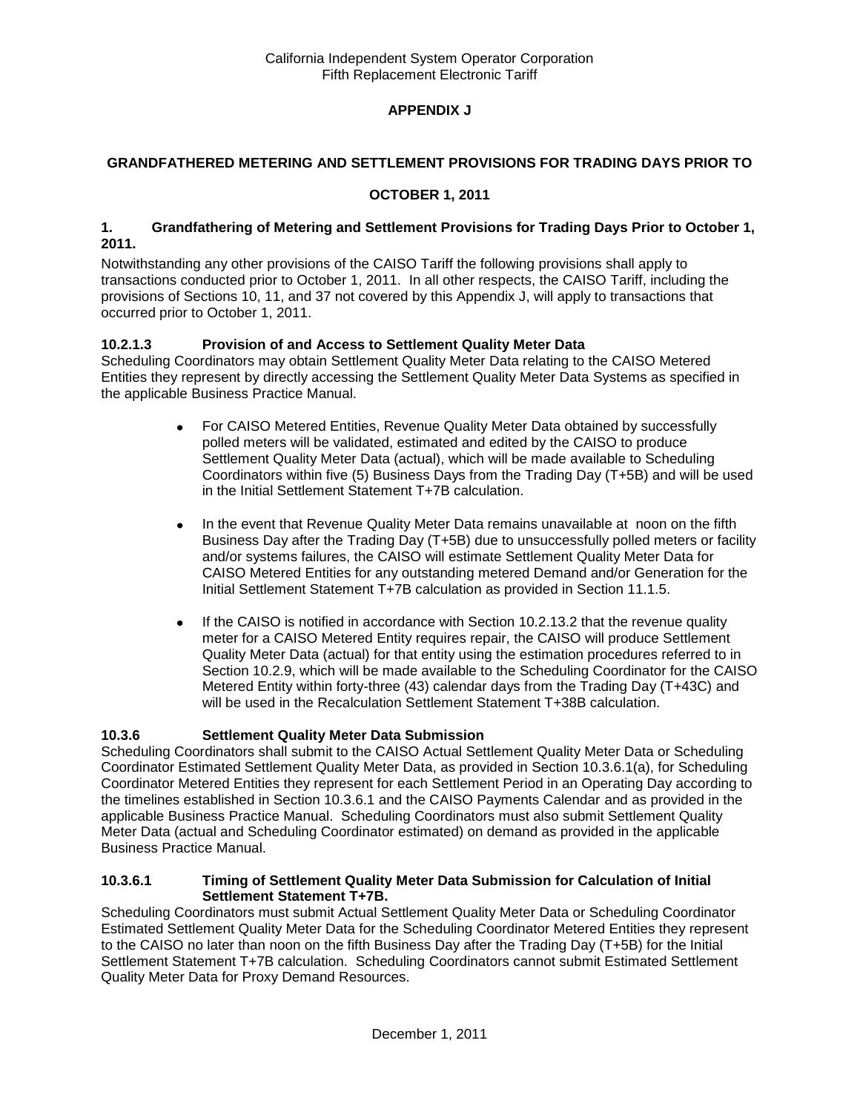# **APPENDIX J**

## **GRANDFATHERED METERING AND SETTLEMENT PROVISIONS FOR TRADING DAYS PRIOR TO**

## **OCTOBER 1, 2011**

#### **1. Grandfathering of Metering and Settlement Provisions for Trading Days Prior to October 1, 2011.**

Notwithstanding any other provisions of the CAISO Tariff the following provisions shall apply to transactions conducted prior to October 1, 2011. In all other respects, the CAISO Tariff, including the provisions of Sections 10, 11, and 37 not covered by this Appendix J, will apply to transactions that occurred prior to October 1, 2011.

## **10.2.1.3 Provision of and Access to Settlement Quality Meter Data**

Scheduling Coordinators may obtain Settlement Quality Meter Data relating to the CAISO Metered Entities they represent by directly accessing the Settlement Quality Meter Data Systems as specified in the applicable Business Practice Manual.

- For CAISO Metered Entities, Revenue Quality Meter Data obtained by successfully  $\bullet$ polled meters will be validated, estimated and edited by the CAISO to produce Settlement Quality Meter Data (actual), which will be made available to Scheduling Coordinators within five (5) Business Days from the Trading Day (T+5B) and will be used in the Initial Settlement Statement T+7B calculation.
- In the event that Revenue Quality Meter Data remains unavailable at noon on the fifth  $\bullet$ Business Day after the Trading Day (T+5B) due to unsuccessfully polled meters or facility and/or systems failures, the CAISO will estimate Settlement Quality Meter Data for CAISO Metered Entities for any outstanding metered Demand and/or Generation for the Initial Settlement Statement T+7B calculation as provided in Section 11.1.5.
- If the CAISO is notified in accordance with Section 10.2.13.2 that the revenue quality  $\bullet$ meter for a CAISO Metered Entity requires repair, the CAISO will produce Settlement Quality Meter Data (actual) for that entity using the estimation procedures referred to in Section 10.2.9, which will be made available to the Scheduling Coordinator for the CAISO Metered Entity within forty-three (43) calendar days from the Trading Day (T+43C) and will be used in the Recalculation Settlement Statement T+38B calculation.

## **10.3.6 Settlement Quality Meter Data Submission**

Scheduling Coordinators shall submit to the CAISO Actual Settlement Quality Meter Data or Scheduling Coordinator Estimated Settlement Quality Meter Data, as provided in Section 10.3.6.1(a), for Scheduling Coordinator Metered Entities they represent for each Settlement Period in an Operating Day according to the timelines established in Section 10.3.6.1 and the CAISO Payments Calendar and as provided in the applicable Business Practice Manual. Scheduling Coordinators must also submit Settlement Quality Meter Data (actual and Scheduling Coordinator estimated) on demand as provided in the applicable Business Practice Manual.

#### **10.3.6.1 Timing of Settlement Quality Meter Data Submission for Calculation of Initial Settlement Statement T+7B.**

Scheduling Coordinators must submit Actual Settlement Quality Meter Data or Scheduling Coordinator Estimated Settlement Quality Meter Data for the Scheduling Coordinator Metered Entities they represent to the CAISO no later than noon on the fifth Business Day after the Trading Day (T+5B) for the Initial Settlement Statement T+7B calculation. Scheduling Coordinators cannot submit Estimated Settlement Quality Meter Data for Proxy Demand Resources.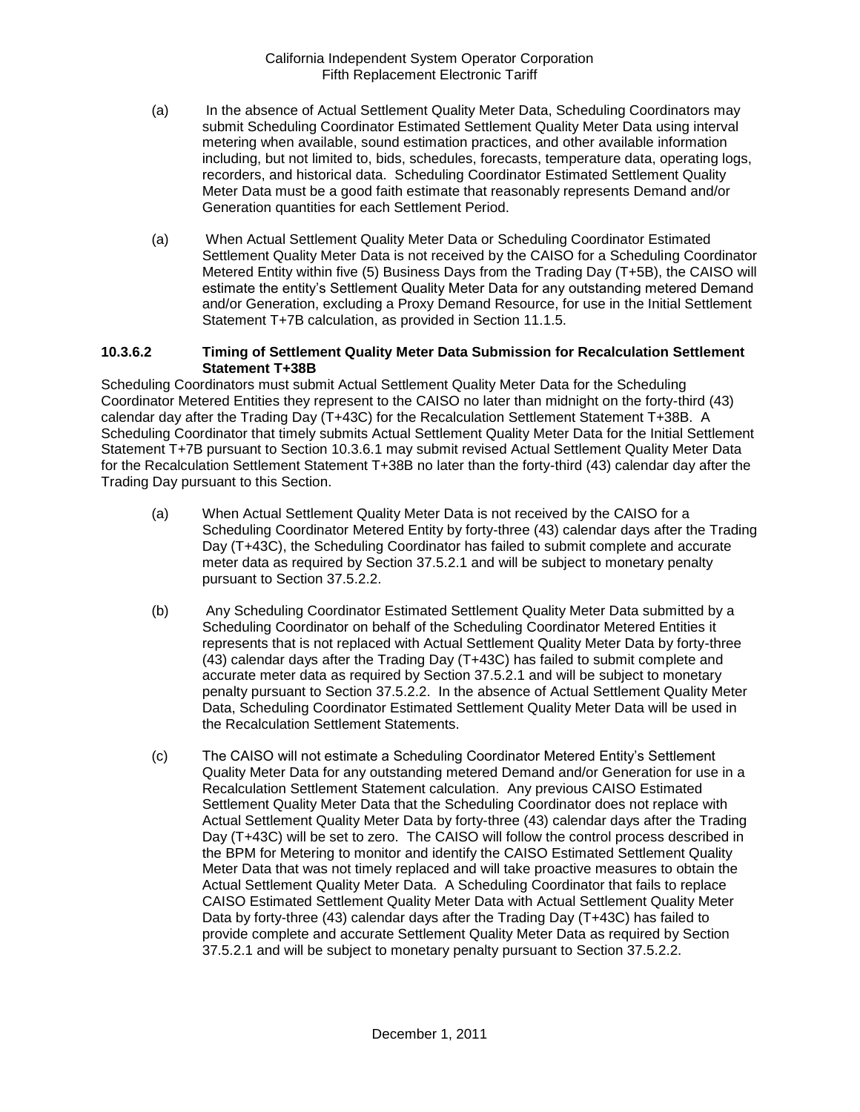- (a) In the absence of Actual Settlement Quality Meter Data, Scheduling Coordinators may submit Scheduling Coordinator Estimated Settlement Quality Meter Data using interval metering when available, sound estimation practices, and other available information including, but not limited to, bids, schedules, forecasts, temperature data, operating logs, recorders, and historical data. Scheduling Coordinator Estimated Settlement Quality Meter Data must be a good faith estimate that reasonably represents Demand and/or Generation quantities for each Settlement Period.
- (a) When Actual Settlement Quality Meter Data or Scheduling Coordinator Estimated Settlement Quality Meter Data is not received by the CAISO for a Scheduling Coordinator Metered Entity within five (5) Business Days from the Trading Day (T+5B), the CAISO will estimate the entity's Settlement Quality Meter Data for any outstanding metered Demand and/or Generation, excluding a Proxy Demand Resource, for use in the Initial Settlement Statement T+7B calculation, as provided in Section 11.1.5.

#### **10.3.6.2 Timing of Settlement Quality Meter Data Submission for Recalculation Settlement Statement T+38B**

Scheduling Coordinators must submit Actual Settlement Quality Meter Data for the Scheduling Coordinator Metered Entities they represent to the CAISO no later than midnight on the forty-third (43) calendar day after the Trading Day (T+43C) for the Recalculation Settlement Statement T+38B. A Scheduling Coordinator that timely submits Actual Settlement Quality Meter Data for the Initial Settlement Statement T+7B pursuant to Section 10.3.6.1 may submit revised Actual Settlement Quality Meter Data for the Recalculation Settlement Statement T+38B no later than the forty-third (43) calendar day after the Trading Day pursuant to this Section.

- (a) When Actual Settlement Quality Meter Data is not received by the CAISO for a Scheduling Coordinator Metered Entity by forty-three (43) calendar days after the Trading Day (T+43C), the Scheduling Coordinator has failed to submit complete and accurate meter data as required by Section 37.5.2.1 and will be subject to monetary penalty pursuant to Section 37.5.2.2.
- (b) Any Scheduling Coordinator Estimated Settlement Quality Meter Data submitted by a Scheduling Coordinator on behalf of the Scheduling Coordinator Metered Entities it represents that is not replaced with Actual Settlement Quality Meter Data by forty-three (43) calendar days after the Trading Day (T+43C) has failed to submit complete and accurate meter data as required by Section 37.5.2.1 and will be subject to monetary penalty pursuant to Section 37.5.2.2. In the absence of Actual Settlement Quality Meter Data, Scheduling Coordinator Estimated Settlement Quality Meter Data will be used in the Recalculation Settlement Statements.
- (c) The CAISO will not estimate a Scheduling Coordinator Metered Entity's Settlement Quality Meter Data for any outstanding metered Demand and/or Generation for use in a Recalculation Settlement Statement calculation. Any previous CAISO Estimated Settlement Quality Meter Data that the Scheduling Coordinator does not replace with Actual Settlement Quality Meter Data by forty-three (43) calendar days after the Trading Day (T+43C) will be set to zero. The CAISO will follow the control process described in the BPM for Metering to monitor and identify the CAISO Estimated Settlement Quality Meter Data that was not timely replaced and will take proactive measures to obtain the Actual Settlement Quality Meter Data. A Scheduling Coordinator that fails to replace CAISO Estimated Settlement Quality Meter Data with Actual Settlement Quality Meter Data by forty-three (43) calendar days after the Trading Day (T+43C) has failed to provide complete and accurate Settlement Quality Meter Data as required by Section 37.5.2.1 and will be subject to monetary penalty pursuant to Section 37.5.2.2.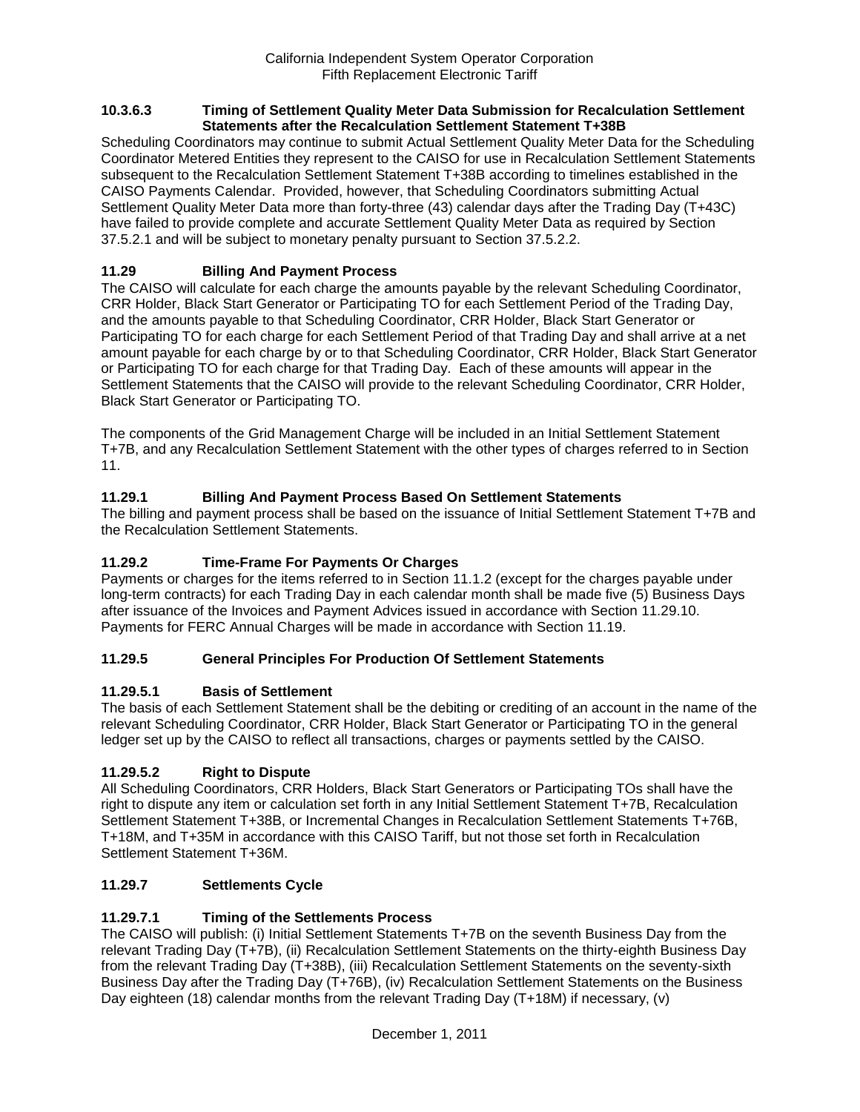#### **10.3.6.3 Timing of Settlement Quality Meter Data Submission for Recalculation Settlement Statements after the Recalculation Settlement Statement T+38B**

Scheduling Coordinators may continue to submit Actual Settlement Quality Meter Data for the Scheduling Coordinator Metered Entities they represent to the CAISO for use in Recalculation Settlement Statements subsequent to the Recalculation Settlement Statement T+38B according to timelines established in the CAISO Payments Calendar. Provided, however, that Scheduling Coordinators submitting Actual Settlement Quality Meter Data more than forty-three (43) calendar days after the Trading Day (T+43C) have failed to provide complete and accurate Settlement Quality Meter Data as required by Section 37.5.2.1 and will be subject to monetary penalty pursuant to Section 37.5.2.2.

# **11.29 Billing And Payment Process**

The CAISO will calculate for each charge the amounts payable by the relevant Scheduling Coordinator, CRR Holder, Black Start Generator or Participating TO for each Settlement Period of the Trading Day, and the amounts payable to that Scheduling Coordinator, CRR Holder, Black Start Generator or Participating TO for each charge for each Settlement Period of that Trading Day and shall arrive at a net amount payable for each charge by or to that Scheduling Coordinator, CRR Holder, Black Start Generator or Participating TO for each charge for that Trading Day. Each of these amounts will appear in the Settlement Statements that the CAISO will provide to the relevant Scheduling Coordinator, CRR Holder, Black Start Generator or Participating TO.

The components of the Grid Management Charge will be included in an Initial Settlement Statement T+7B, and any Recalculation Settlement Statement with the other types of charges referred to in Section 11.

# **11.29.1 Billing And Payment Process Based On Settlement Statements**

The billing and payment process shall be based on the issuance of Initial Settlement Statement T+7B and the Recalculation Settlement Statements.

## **11.29.2 Time-Frame For Payments Or Charges**

Payments or charges for the items referred to in Section 11.1.2 (except for the charges payable under long-term contracts) for each Trading Day in each calendar month shall be made five (5) Business Days after issuance of the Invoices and Payment Advices issued in accordance with Section 11.29.10. Payments for FERC Annual Charges will be made in accordance with Section 11.19.

## **11.29.5 General Principles For Production Of Settlement Statements**

## **11.29.5.1 Basis of Settlement**

The basis of each Settlement Statement shall be the debiting or crediting of an account in the name of the relevant Scheduling Coordinator, CRR Holder, Black Start Generator or Participating TO in the general ledger set up by the CAISO to reflect all transactions, charges or payments settled by the CAISO.

# **11.29.5.2 Right to Dispute**

All Scheduling Coordinators, CRR Holders, Black Start Generators or Participating TOs shall have the right to dispute any item or calculation set forth in any Initial Settlement Statement T+7B, Recalculation Settlement Statement T+38B, or Incremental Changes in Recalculation Settlement Statements T+76B, T+18M, and T+35M in accordance with this CAISO Tariff, but not those set forth in Recalculation Settlement Statement T+36M.

## **11.29.7 Settlements Cycle**

# **11.29.7.1 Timing of the Settlements Process**

The CAISO will publish: (i) Initial Settlement Statements T+7B on the seventh Business Day from the relevant Trading Day (T+7B), (ii) Recalculation Settlement Statements on the thirty-eighth Business Day from the relevant Trading Day (T+38B), (iii) Recalculation Settlement Statements on the seventy-sixth Business Day after the Trading Day (T+76B), (iv) Recalculation Settlement Statements on the Business Day eighteen (18) calendar months from the relevant Trading Day (T+18M) if necessary, (v)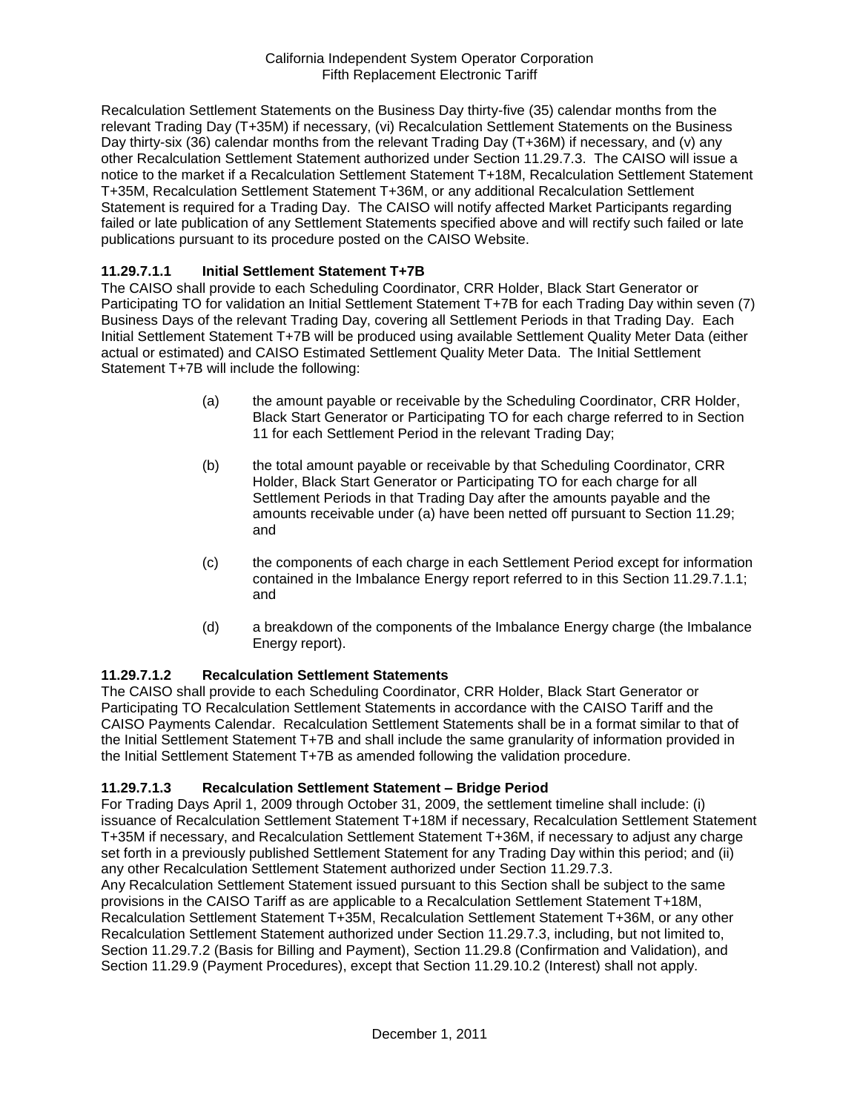Recalculation Settlement Statements on the Business Day thirty-five (35) calendar months from the relevant Trading Day (T+35M) if necessary, (vi) Recalculation Settlement Statements on the Business Day thirty-six (36) calendar months from the relevant Trading Day (T+36M) if necessary, and (v) any other Recalculation Settlement Statement authorized under Section 11.29.7.3. The CAISO will issue a notice to the market if a Recalculation Settlement Statement T+18M, Recalculation Settlement Statement T+35M, Recalculation Settlement Statement T+36M, or any additional Recalculation Settlement Statement is required for a Trading Day. The CAISO will notify affected Market Participants regarding failed or late publication of any Settlement Statements specified above and will rectify such failed or late publications pursuant to its procedure posted on the CAISO Website.

## **11.29.7.1.1 Initial Settlement Statement T+7B**

The CAISO shall provide to each Scheduling Coordinator, CRR Holder, Black Start Generator or Participating TO for validation an Initial Settlement Statement T+7B for each Trading Day within seven (7) Business Days of the relevant Trading Day, covering all Settlement Periods in that Trading Day. Each Initial Settlement Statement T+7B will be produced using available Settlement Quality Meter Data (either actual or estimated) and CAISO Estimated Settlement Quality Meter Data. The Initial Settlement Statement T+7B will include the following:

- (a) the amount payable or receivable by the Scheduling Coordinator, CRR Holder, Black Start Generator or Participating TO for each charge referred to in Section 11 for each Settlement Period in the relevant Trading Day;
- (b) the total amount payable or receivable by that Scheduling Coordinator, CRR Holder, Black Start Generator or Participating TO for each charge for all Settlement Periods in that Trading Day after the amounts payable and the amounts receivable under (a) have been netted off pursuant to Section 11.29; and
- (c) the components of each charge in each Settlement Period except for information contained in the Imbalance Energy report referred to in this Section 11.29.7.1.1; and
- (d) a breakdown of the components of the Imbalance Energy charge (the Imbalance Energy report).

## **11.29.7.1.2 Recalculation Settlement Statements**

The CAISO shall provide to each Scheduling Coordinator, CRR Holder, Black Start Generator or Participating TO Recalculation Settlement Statements in accordance with the CAISO Tariff and the CAISO Payments Calendar. Recalculation Settlement Statements shall be in a format similar to that of the Initial Settlement Statement T+7B and shall include the same granularity of information provided in the Initial Settlement Statement T+7B as amended following the validation procedure.

## **11.29.7.1.3 Recalculation Settlement Statement – Bridge Period**

For Trading Days April 1, 2009 through October 31, 2009, the settlement timeline shall include: (i) issuance of Recalculation Settlement Statement T+18M if necessary, Recalculation Settlement Statement T+35M if necessary, and Recalculation Settlement Statement T+36M, if necessary to adjust any charge set forth in a previously published Settlement Statement for any Trading Day within this period; and (ii) any other Recalculation Settlement Statement authorized under Section 11.29.7.3.

Any Recalculation Settlement Statement issued pursuant to this Section shall be subject to the same provisions in the CAISO Tariff as are applicable to a Recalculation Settlement Statement T+18M, Recalculation Settlement Statement T+35M, Recalculation Settlement Statement T+36M, or any other Recalculation Settlement Statement authorized under Section 11.29.7.3, including, but not limited to, Section 11.29.7.2 (Basis for Billing and Payment), Section 11.29.8 (Confirmation and Validation), and Section 11.29.9 (Payment Procedures), except that Section 11.29.10.2 (Interest) shall not apply.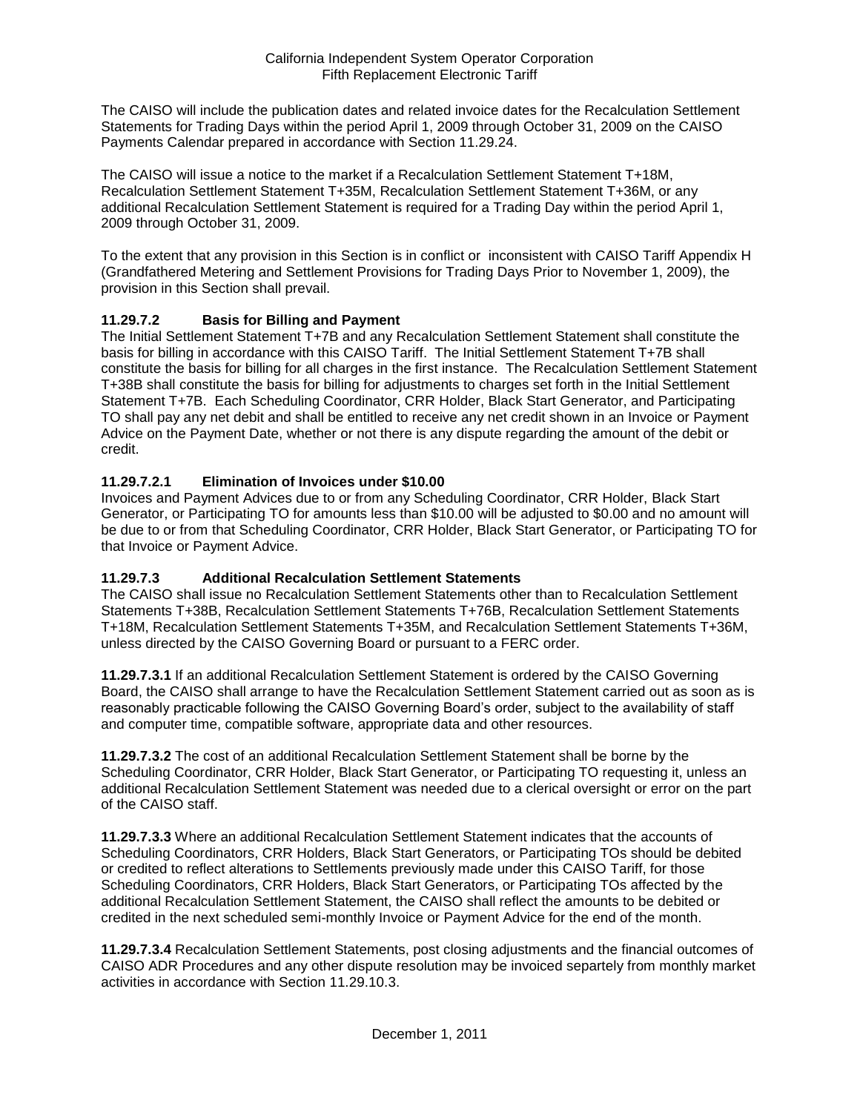The CAISO will include the publication dates and related invoice dates for the Recalculation Settlement Statements for Trading Days within the period April 1, 2009 through October 31, 2009 on the CAISO Payments Calendar prepared in accordance with Section 11.29.24.

The CAISO will issue a notice to the market if a Recalculation Settlement Statement T+18M, Recalculation Settlement Statement T+35M, Recalculation Settlement Statement T+36M, or any additional Recalculation Settlement Statement is required for a Trading Day within the period April 1, 2009 through October 31, 2009.

To the extent that any provision in this Section is in conflict or inconsistent with CAISO Tariff Appendix H (Grandfathered Metering and Settlement Provisions for Trading Days Prior to November 1, 2009), the provision in this Section shall prevail.

## **11.29.7.2 Basis for Billing and Payment**

The Initial Settlement Statement T+7B and any Recalculation Settlement Statement shall constitute the basis for billing in accordance with this CAISO Tariff. The Initial Settlement Statement T+7B shall constitute the basis for billing for all charges in the first instance. The Recalculation Settlement Statement T+38B shall constitute the basis for billing for adjustments to charges set forth in the Initial Settlement Statement T+7B. Each Scheduling Coordinator, CRR Holder, Black Start Generator, and Participating TO shall pay any net debit and shall be entitled to receive any net credit shown in an Invoice or Payment Advice on the Payment Date, whether or not there is any dispute regarding the amount of the debit or credit.

## **11.29.7.2.1 Elimination of Invoices under \$10.00**

Invoices and Payment Advices due to or from any Scheduling Coordinator, CRR Holder, Black Start Generator, or Participating TO for amounts less than \$10.00 will be adjusted to \$0.00 and no amount will be due to or from that Scheduling Coordinator, CRR Holder, Black Start Generator, or Participating TO for that Invoice or Payment Advice.

## **11.29.7.3 Additional Recalculation Settlement Statements**

The CAISO shall issue no Recalculation Settlement Statements other than to Recalculation Settlement Statements T+38B, Recalculation Settlement Statements T+76B, Recalculation Settlement Statements T+18M, Recalculation Settlement Statements T+35M, and Recalculation Settlement Statements T+36M, unless directed by the CAISO Governing Board or pursuant to a FERC order.

**11.29.7.3.1** If an additional Recalculation Settlement Statement is ordered by the CAISO Governing Board, the CAISO shall arrange to have the Recalculation Settlement Statement carried out as soon as is reasonably practicable following the CAISO Governing Board's order, subject to the availability of staff and computer time, compatible software, appropriate data and other resources.

**11.29.7.3.2** The cost of an additional Recalculation Settlement Statement shall be borne by the Scheduling Coordinator, CRR Holder, Black Start Generator, or Participating TO requesting it, unless an additional Recalculation Settlement Statement was needed due to a clerical oversight or error on the part of the CAISO staff.

**11.29.7.3.3** Where an additional Recalculation Settlement Statement indicates that the accounts of Scheduling Coordinators, CRR Holders, Black Start Generators, or Participating TOs should be debited or credited to reflect alterations to Settlements previously made under this CAISO Tariff, for those Scheduling Coordinators, CRR Holders, Black Start Generators, or Participating TOs affected by the additional Recalculation Settlement Statement, the CAISO shall reflect the amounts to be debited or credited in the next scheduled semi-monthly Invoice or Payment Advice for the end of the month.

**11.29.7.3.4** Recalculation Settlement Statements, post closing adjustments and the financial outcomes of CAISO ADR Procedures and any other dispute resolution may be invoiced separtely from monthly market activities in accordance with Section 11.29.10.3.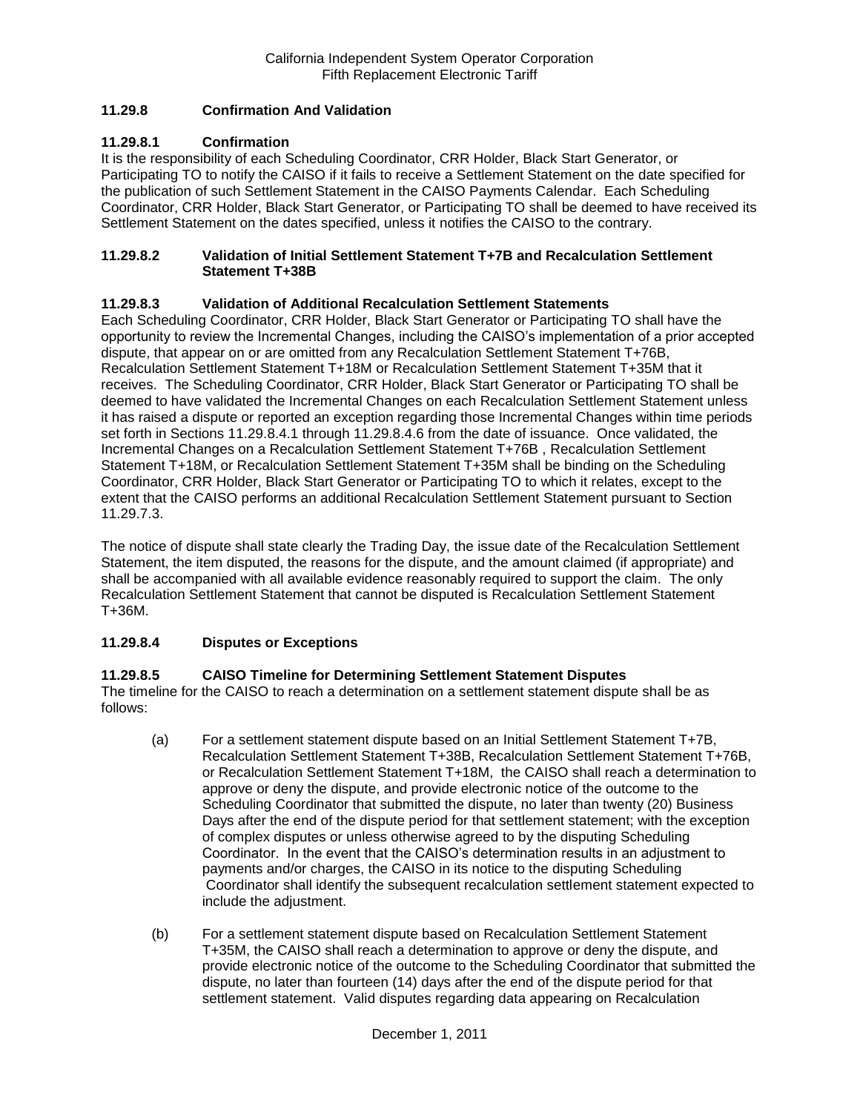## **11.29.8 Confirmation And Validation**

## **11.29.8.1 Confirmation**

It is the responsibility of each Scheduling Coordinator, CRR Holder, Black Start Generator, or Participating TO to notify the CAISO if it fails to receive a Settlement Statement on the date specified for the publication of such Settlement Statement in the CAISO Payments Calendar. Each Scheduling Coordinator, CRR Holder, Black Start Generator, or Participating TO shall be deemed to have received its Settlement Statement on the dates specified, unless it notifies the CAISO to the contrary.

### **11.29.8.2 Validation of Initial Settlement Statement T+7B and Recalculation Settlement Statement T+38B**

## **11.29.8.3 Validation of Additional Recalculation Settlement Statements**

Each Scheduling Coordinator, CRR Holder, Black Start Generator or Participating TO shall have the opportunity to review the Incremental Changes, including the CAISO's implementation of a prior accepted dispute, that appear on or are omitted from any Recalculation Settlement Statement T+76B, Recalculation Settlement Statement T+18M or Recalculation Settlement Statement T+35M that it receives. The Scheduling Coordinator, CRR Holder, Black Start Generator or Participating TO shall be deemed to have validated the Incremental Changes on each Recalculation Settlement Statement unless it has raised a dispute or reported an exception regarding those Incremental Changes within time periods set forth in Sections 11.29.8.4.1 through 11.29.8.4.6 from the date of issuance. Once validated, the Incremental Changes on a Recalculation Settlement Statement T+76B , Recalculation Settlement Statement T+18M, or Recalculation Settlement Statement T+35M shall be binding on the Scheduling Coordinator, CRR Holder, Black Start Generator or Participating TO to which it relates, except to the extent that the CAISO performs an additional Recalculation Settlement Statement pursuant to Section 11.29.7.3.

The notice of dispute shall state clearly the Trading Day, the issue date of the Recalculation Settlement Statement, the item disputed, the reasons for the dispute, and the amount claimed (if appropriate) and shall be accompanied with all available evidence reasonably required to support the claim. The only Recalculation Settlement Statement that cannot be disputed is Recalculation Settlement Statement T+36M.

## **11.29.8.4 Disputes or Exceptions**

## **11.29.8.5 CAISO Timeline for Determining Settlement Statement Disputes**

The timeline for the CAISO to reach a determination on a settlement statement dispute shall be as follows:

- (a) For a settlement statement dispute based on an Initial Settlement Statement T+7B, Recalculation Settlement Statement T+38B, Recalculation Settlement Statement T+76B, or Recalculation Settlement Statement T+18M, the CAISO shall reach a determination to approve or deny the dispute, and provide electronic notice of the outcome to the Scheduling Coordinator that submitted the dispute, no later than twenty (20) Business Days after the end of the dispute period for that settlement statement; with the exception of complex disputes or unless otherwise agreed to by the disputing Scheduling Coordinator. In the event that the CAISO's determination results in an adjustment to payments and/or charges, the CAISO in its notice to the disputing Scheduling Coordinator shall identify the subsequent recalculation settlement statement expected to include the adjustment.
- (b) For a settlement statement dispute based on Recalculation Settlement Statement T+35M, the CAISO shall reach a determination to approve or deny the dispute, and provide electronic notice of the outcome to the Scheduling Coordinator that submitted the dispute, no later than fourteen (14) days after the end of the dispute period for that settlement statement. Valid disputes regarding data appearing on Recalculation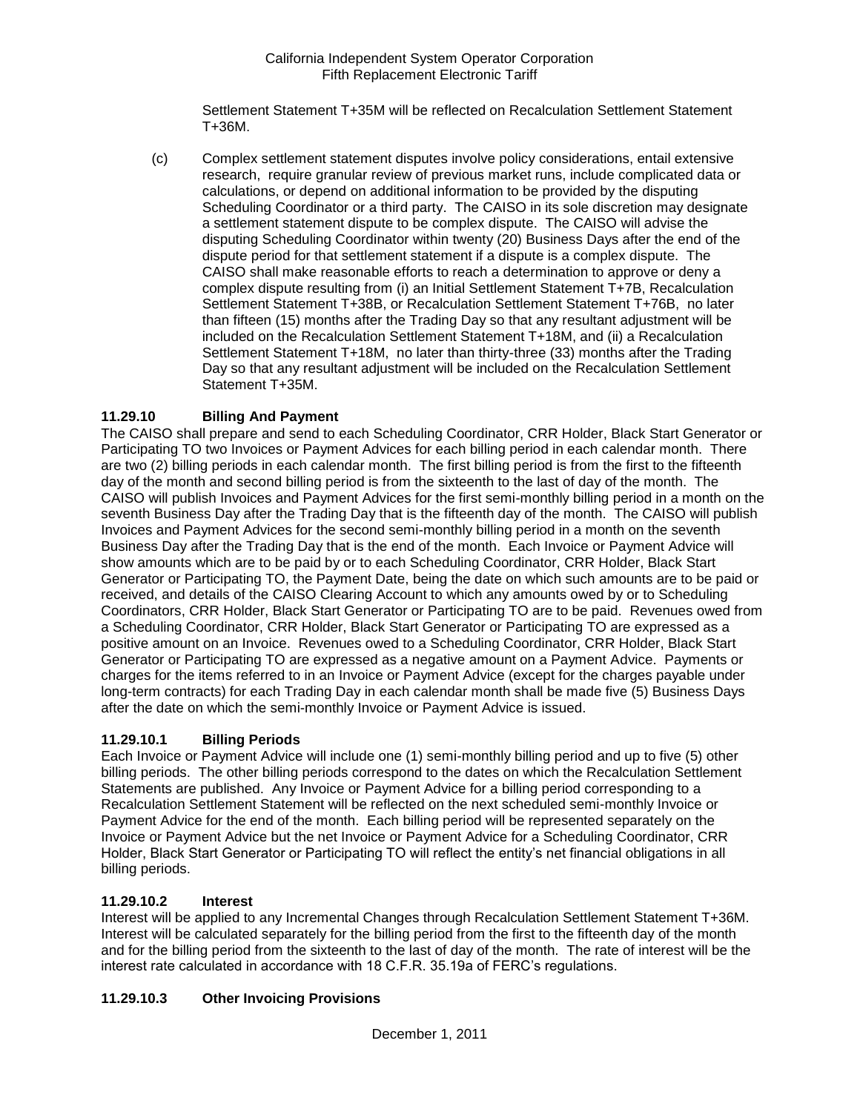Settlement Statement T+35M will be reflected on Recalculation Settlement Statement T+36M.

(c) Complex settlement statement disputes involve policy considerations, entail extensive research, require granular review of previous market runs, include complicated data or calculations, or depend on additional information to be provided by the disputing Scheduling Coordinator or a third party. The CAISO in its sole discretion may designate a settlement statement dispute to be complex dispute. The CAISO will advise the disputing Scheduling Coordinator within twenty (20) Business Days after the end of the dispute period for that settlement statement if a dispute is a complex dispute. The CAISO shall make reasonable efforts to reach a determination to approve or deny a complex dispute resulting from (i) an Initial Settlement Statement T+7B, Recalculation Settlement Statement T+38B, or Recalculation Settlement Statement T+76B, no later than fifteen (15) months after the Trading Day so that any resultant adjustment will be included on the Recalculation Settlement Statement T+18M, and (ii) a Recalculation Settlement Statement T+18M, no later than thirty-three (33) months after the Trading Day so that any resultant adjustment will be included on the Recalculation Settlement Statement T+35M.

# **11.29.10 Billing And Payment**

The CAISO shall prepare and send to each Scheduling Coordinator, CRR Holder, Black Start Generator or Participating TO two Invoices or Payment Advices for each billing period in each calendar month. There are two (2) billing periods in each calendar month. The first billing period is from the first to the fifteenth day of the month and second billing period is from the sixteenth to the last of day of the month. The CAISO will publish Invoices and Payment Advices for the first semi-monthly billing period in a month on the seventh Business Day after the Trading Day that is the fifteenth day of the month. The CAISO will publish Invoices and Payment Advices for the second semi-monthly billing period in a month on the seventh Business Day after the Trading Day that is the end of the month. Each Invoice or Payment Advice will show amounts which are to be paid by or to each Scheduling Coordinator, CRR Holder, Black Start Generator or Participating TO, the Payment Date, being the date on which such amounts are to be paid or received, and details of the CAISO Clearing Account to which any amounts owed by or to Scheduling Coordinators, CRR Holder, Black Start Generator or Participating TO are to be paid. Revenues owed from a Scheduling Coordinator, CRR Holder, Black Start Generator or Participating TO are expressed as a positive amount on an Invoice. Revenues owed to a Scheduling Coordinator, CRR Holder, Black Start Generator or Participating TO are expressed as a negative amount on a Payment Advice. Payments or charges for the items referred to in an Invoice or Payment Advice (except for the charges payable under long-term contracts) for each Trading Day in each calendar month shall be made five (5) Business Days after the date on which the semi-monthly Invoice or Payment Advice is issued.

# **11.29.10.1 Billing Periods**

Each Invoice or Payment Advice will include one (1) semi-monthly billing period and up to five (5) other billing periods. The other billing periods correspond to the dates on which the Recalculation Settlement Statements are published. Any Invoice or Payment Advice for a billing period corresponding to a Recalculation Settlement Statement will be reflected on the next scheduled semi-monthly Invoice or Payment Advice for the end of the month. Each billing period will be represented separately on the Invoice or Payment Advice but the net Invoice or Payment Advice for a Scheduling Coordinator, CRR Holder, Black Start Generator or Participating TO will reflect the entity's net financial obligations in all billing periods.

## **11.29.10.2 Interest**

Interest will be applied to any Incremental Changes through Recalculation Settlement Statement T+36M. Interest will be calculated separately for the billing period from the first to the fifteenth day of the month and for the billing period from the sixteenth to the last of day of the month. The rate of interest will be the interest rate calculated in accordance with 18 C.F.R. 35.19a of FERC's regulations.

# **11.29.10.3 Other Invoicing Provisions**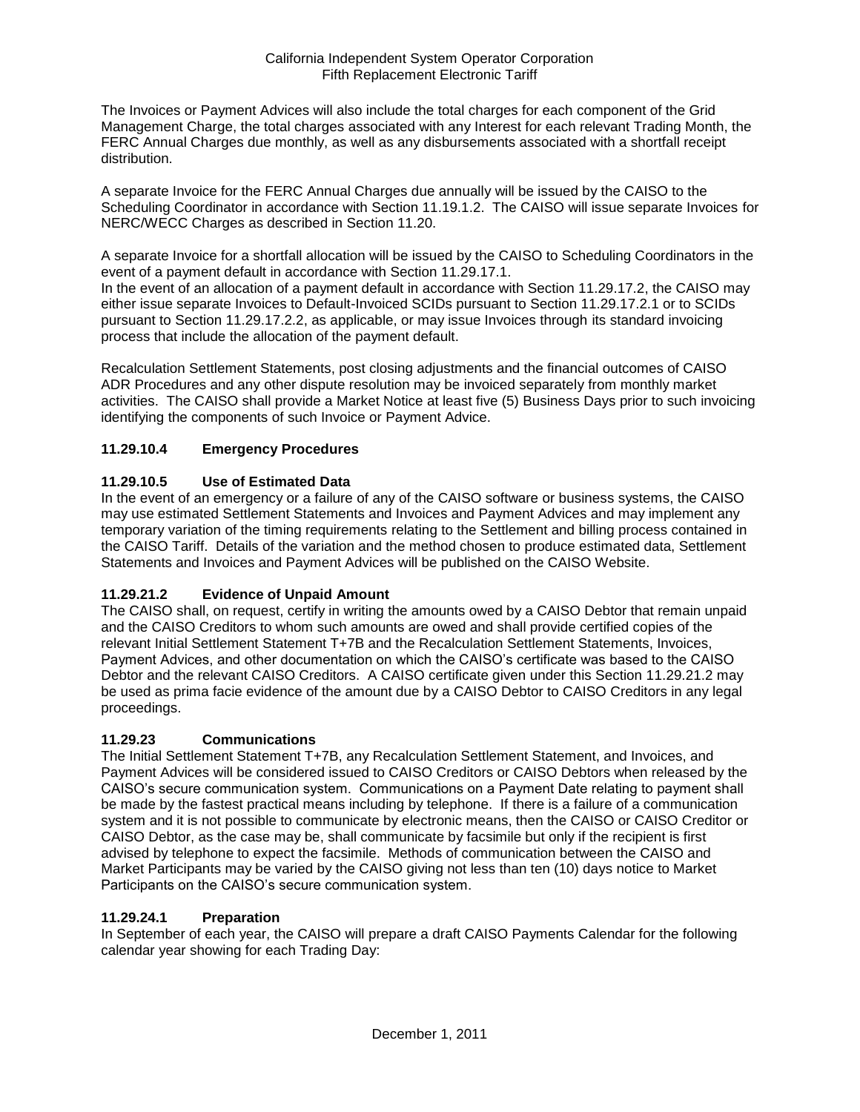The Invoices or Payment Advices will also include the total charges for each component of the Grid Management Charge, the total charges associated with any Interest for each relevant Trading Month, the FERC Annual Charges due monthly, as well as any disbursements associated with a shortfall receipt distribution.

A separate Invoice for the FERC Annual Charges due annually will be issued by the CAISO to the Scheduling Coordinator in accordance with Section 11.19.1.2. The CAISO will issue separate Invoices for NERC/WECC Charges as described in Section 11.20.

A separate Invoice for a shortfall allocation will be issued by the CAISO to Scheduling Coordinators in the event of a payment default in accordance with Section 11.29.17.1.

In the event of an allocation of a payment default in accordance with Section 11.29.17.2, the CAISO may either issue separate Invoices to Default-Invoiced SCIDs pursuant to Section 11.29.17.2.1 or to SCIDs pursuant to Section 11.29.17.2.2, as applicable, or may issue Invoices through its standard invoicing process that include the allocation of the payment default.

Recalculation Settlement Statements, post closing adjustments and the financial outcomes of CAISO ADR Procedures and any other dispute resolution may be invoiced separately from monthly market activities. The CAISO shall provide a Market Notice at least five (5) Business Days prior to such invoicing identifying the components of such Invoice or Payment Advice.

# **11.29.10.4 Emergency Procedures**

## **11.29.10.5 Use of Estimated Data**

In the event of an emergency or a failure of any of the CAISO software or business systems, the CAISO may use estimated Settlement Statements and Invoices and Payment Advices and may implement any temporary variation of the timing requirements relating to the Settlement and billing process contained in the CAISO Tariff. Details of the variation and the method chosen to produce estimated data, Settlement Statements and Invoices and Payment Advices will be published on the CAISO Website.

# **11.29.21.2 Evidence of Unpaid Amount**

The CAISO shall, on request, certify in writing the amounts owed by a CAISO Debtor that remain unpaid and the CAISO Creditors to whom such amounts are owed and shall provide certified copies of the relevant Initial Settlement Statement T+7B and the Recalculation Settlement Statements, Invoices, Payment Advices, and other documentation on which the CAISO's certificate was based to the CAISO Debtor and the relevant CAISO Creditors. A CAISO certificate given under this Section 11.29.21.2 may be used as prima facie evidence of the amount due by a CAISO Debtor to CAISO Creditors in any legal proceedings.

## **11.29.23 Communications**

The Initial Settlement Statement T+7B, any Recalculation Settlement Statement, and Invoices, and Payment Advices will be considered issued to CAISO Creditors or CAISO Debtors when released by the CAISO's secure communication system. Communications on a Payment Date relating to payment shall be made by the fastest practical means including by telephone. If there is a failure of a communication system and it is not possible to communicate by electronic means, then the CAISO or CAISO Creditor or CAISO Debtor, as the case may be, shall communicate by facsimile but only if the recipient is first advised by telephone to expect the facsimile. Methods of communication between the CAISO and Market Participants may be varied by the CAISO giving not less than ten (10) days notice to Market Participants on the CAISO's secure communication system.

## **11.29.24.1 Preparation**

In September of each year, the CAISO will prepare a draft CAISO Payments Calendar for the following calendar year showing for each Trading Day: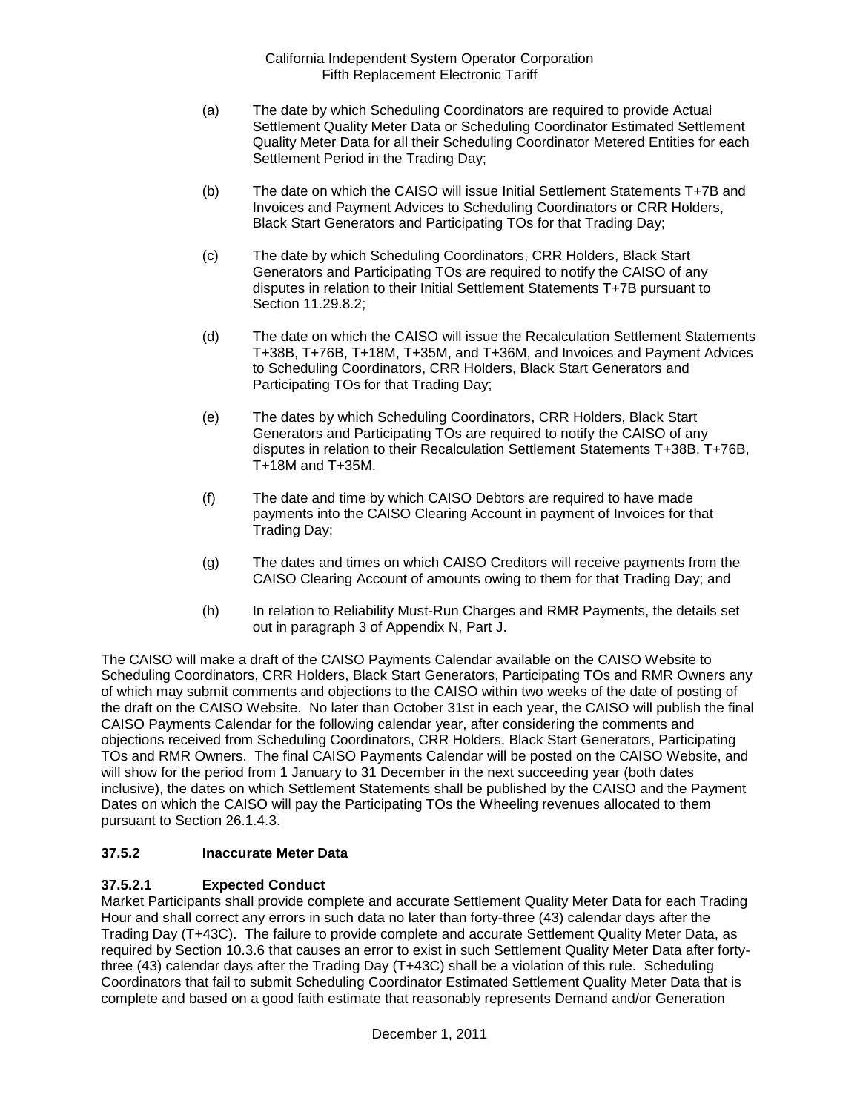- (a) The date by which Scheduling Coordinators are required to provide Actual Settlement Quality Meter Data or Scheduling Coordinator Estimated Settlement Quality Meter Data for all their Scheduling Coordinator Metered Entities for each Settlement Period in the Trading Day;
- (b) The date on which the CAISO will issue Initial Settlement Statements T+7B and Invoices and Payment Advices to Scheduling Coordinators or CRR Holders, Black Start Generators and Participating TOs for that Trading Day;
- (c) The date by which Scheduling Coordinators, CRR Holders, Black Start Generators and Participating TOs are required to notify the CAISO of any disputes in relation to their Initial Settlement Statements T+7B pursuant to Section 11.29.8.2;
- (d) The date on which the CAISO will issue the Recalculation Settlement Statements T+38B, T+76B, T+18M, T+35M, and T+36M, and Invoices and Payment Advices to Scheduling Coordinators, CRR Holders, Black Start Generators and Participating TOs for that Trading Day;
- (e) The dates by which Scheduling Coordinators, CRR Holders, Black Start Generators and Participating TOs are required to notify the CAISO of any disputes in relation to their Recalculation Settlement Statements T+38B, T+76B, T+18M and T+35M.
- (f) The date and time by which CAISO Debtors are required to have made payments into the CAISO Clearing Account in payment of Invoices for that Trading Day;
- (g) The dates and times on which CAISO Creditors will receive payments from the CAISO Clearing Account of amounts owing to them for that Trading Day; and
- (h) In relation to Reliability Must-Run Charges and RMR Payments, the details set out in paragraph 3 of Appendix N, Part J.

The CAISO will make a draft of the CAISO Payments Calendar available on the CAISO Website to Scheduling Coordinators, CRR Holders, Black Start Generators, Participating TOs and RMR Owners any of which may submit comments and objections to the CAISO within two weeks of the date of posting of the draft on the CAISO Website. No later than October 31st in each year, the CAISO will publish the final CAISO Payments Calendar for the following calendar year, after considering the comments and objections received from Scheduling Coordinators, CRR Holders, Black Start Generators, Participating TOs and RMR Owners. The final CAISO Payments Calendar will be posted on the CAISO Website, and will show for the period from 1 January to 31 December in the next succeeding year (both dates inclusive), the dates on which Settlement Statements shall be published by the CAISO and the Payment Dates on which the CAISO will pay the Participating TOs the Wheeling revenues allocated to them pursuant to Section 26.1.4.3.

# **37.5.2 Inaccurate Meter Data**

# **37.5.2.1 Expected Conduct**

Market Participants shall provide complete and accurate Settlement Quality Meter Data for each Trading Hour and shall correct any errors in such data no later than forty-three (43) calendar days after the Trading Day (T+43C). The failure to provide complete and accurate Settlement Quality Meter Data, as required by Section 10.3.6 that causes an error to exist in such Settlement Quality Meter Data after fortythree (43) calendar days after the Trading Day (T+43C) shall be a violation of this rule. Scheduling Coordinators that fail to submit Scheduling Coordinator Estimated Settlement Quality Meter Data that is complete and based on a good faith estimate that reasonably represents Demand and/or Generation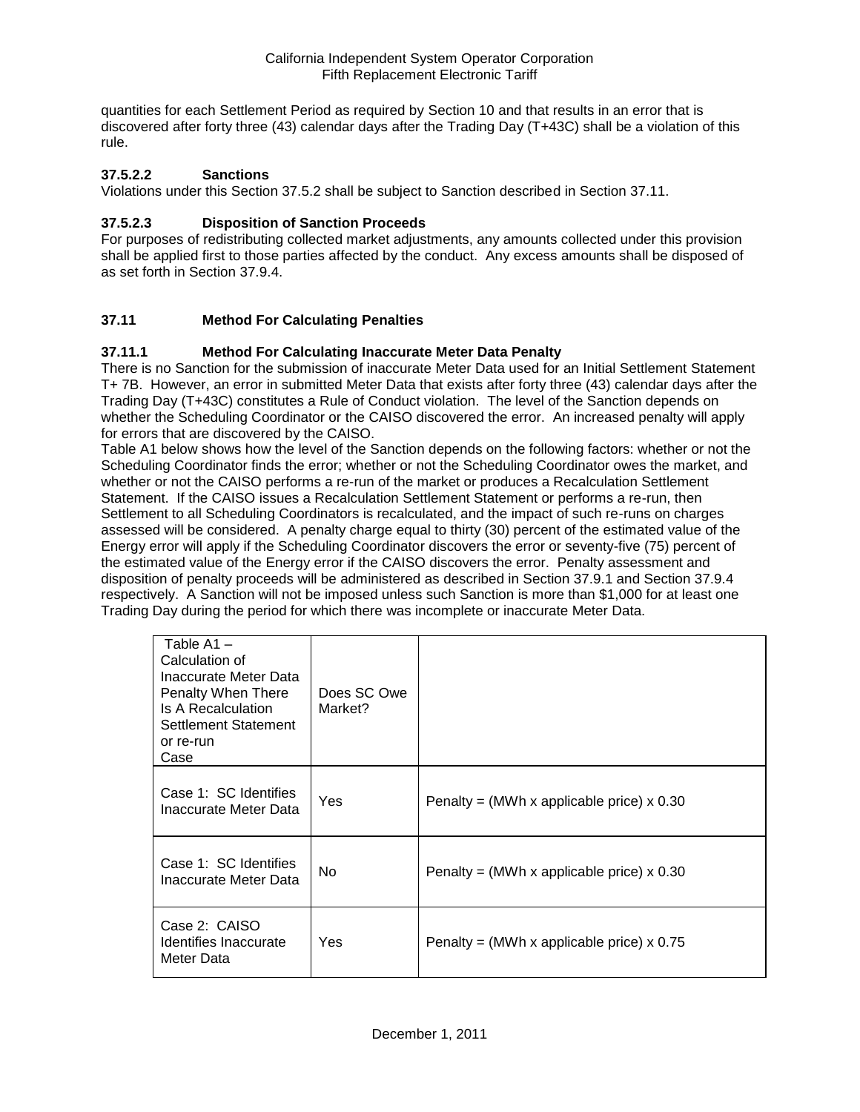quantities for each Settlement Period as required by Section 10 and that results in an error that is discovered after forty three (43) calendar days after the Trading Day (T+43C) shall be a violation of this rule.

## **37.5.2.2 Sanctions**

Violations under this Section 37.5.2 shall be subject to Sanction described in Section 37.11.

## **37.5.2.3 Disposition of Sanction Proceeds**

For purposes of redistributing collected market adjustments, any amounts collected under this provision shall be applied first to those parties affected by the conduct. Any excess amounts shall be disposed of as set forth in Section 37.9.4.

## **37.11 Method For Calculating Penalties**

## **37.11.1 Method For Calculating Inaccurate Meter Data Penalty**

There is no Sanction for the submission of inaccurate Meter Data used for an Initial Settlement Statement T+ 7B. However, an error in submitted Meter Data that exists after forty three (43) calendar days after the Trading Day (T+43C) constitutes a Rule of Conduct violation. The level of the Sanction depends on whether the Scheduling Coordinator or the CAISO discovered the error. An increased penalty will apply for errors that are discovered by the CAISO.

Table A1 below shows how the level of the Sanction depends on the following factors: whether or not the Scheduling Coordinator finds the error; whether or not the Scheduling Coordinator owes the market, and whether or not the CAISO performs a re-run of the market or produces a Recalculation Settlement Statement. If the CAISO issues a Recalculation Settlement Statement or performs a re-run, then Settlement to all Scheduling Coordinators is recalculated, and the impact of such re-runs on charges assessed will be considered. A penalty charge equal to thirty (30) percent of the estimated value of the Energy error will apply if the Scheduling Coordinator discovers the error or seventy-five (75) percent of the estimated value of the Energy error if the CAISO discovers the error. Penalty assessment and disposition of penalty proceeds will be administered as described in Section 37.9.1 and Section 37.9.4 respectively. A Sanction will not be imposed unless such Sanction is more than \$1,000 for at least one Trading Day during the period for which there was incomplete or inaccurate Meter Data.

| Table $A1 -$<br>Calculation of<br>Inaccurate Meter Data<br>Penalty When There<br>Is A Recalculation<br>Settlement Statement<br>or re-run<br>Case | Does SC Owe<br>Market? |                                             |
|--------------------------------------------------------------------------------------------------------------------------------------------------|------------------------|---------------------------------------------|
| Case 1: SC Identifies<br>Inaccurate Meter Data                                                                                                   | Yes                    | Penalty = (MWh x applicable price) $x$ 0.30 |
| Case 1: SC Identifies<br>Inaccurate Meter Data                                                                                                   | No.                    | Penalty = (MWh x applicable price) $x$ 0.30 |
| Case 2: CAISO<br>Identifies Inaccurate<br>Meter Data                                                                                             | Yes                    | Penalty = (MWh x applicable price) $x$ 0.75 |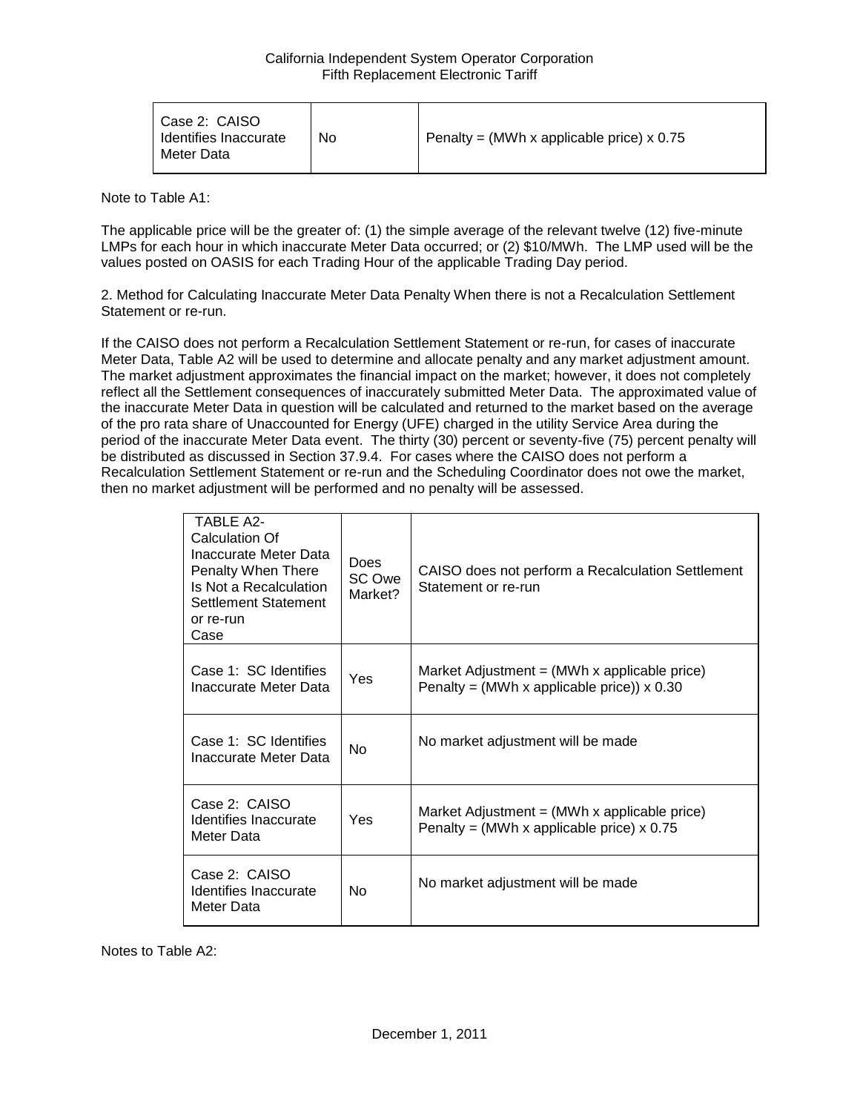| Case 2: CAISO<br>Identifies Inaccurate<br>Meter Data | No | Penalty = (MWh x applicable price) $x$ 0.75 |
|------------------------------------------------------|----|---------------------------------------------|
|------------------------------------------------------|----|---------------------------------------------|

Note to Table A1:

The applicable price will be the greater of: (1) the simple average of the relevant twelve (12) five-minute LMPs for each hour in which inaccurate Meter Data occurred; or (2) \$10/MWh. The LMP used will be the values posted on OASIS for each Trading Hour of the applicable Trading Day period.

2. Method for Calculating Inaccurate Meter Data Penalty When there is not a Recalculation Settlement Statement or re-run.

If the CAISO does not perform a Recalculation Settlement Statement or re-run, for cases of inaccurate Meter Data, Table A2 will be used to determine and allocate penalty and any market adjustment amount. The market adjustment approximates the financial impact on the market; however, it does not completely reflect all the Settlement consequences of inaccurately submitted Meter Data. The approximated value of the inaccurate Meter Data in question will be calculated and returned to the market based on the average of the pro rata share of Unaccounted for Energy (UFE) charged in the utility Service Area during the period of the inaccurate Meter Data event. The thirty (30) percent or seventy-five (75) percent penalty will be distributed as discussed in Section 37.9.4. For cases where the CAISO does not perform a Recalculation Settlement Statement or re-run and the Scheduling Coordinator does not owe the market, then no market adjustment will be performed and no penalty will be assessed.

| <b>TABLE A2-</b><br>Calculation Of<br>Inaccurate Meter Data<br>Penalty When There<br>Is Not a Recalculation<br>Settlement Statement<br>or re-run<br>Case | <b>Does</b><br>SC Owe<br>Market? | CAISO does not perform a Recalculation Settlement<br>Statement or re-run                                        |
|----------------------------------------------------------------------------------------------------------------------------------------------------------|----------------------------------|-----------------------------------------------------------------------------------------------------------------|
| Case 1: SC Identifies<br>Inaccurate Meter Data                                                                                                           | Yes                              | Market Adjustment = $(MWh \times \text{applicable price})$<br>Penalty = (MWh x applicable price)) $\times$ 0.30 |
| Case 1: SC Identifies<br>Inaccurate Meter Data                                                                                                           | <b>No</b>                        | No market adjustment will be made                                                                               |
| Case 2: CAISO<br>Identifies Inaccurate<br>Meter Data                                                                                                     | Yes                              | Market Adjustment $=$ (MWh x applicable price)<br>Penalty = (MWh x applicable price) $x$ 0.75                   |
| Case 2: CAISO<br>Identifies Inaccurate<br>Meter Data                                                                                                     | No                               | No market adjustment will be made                                                                               |

Notes to Table A2: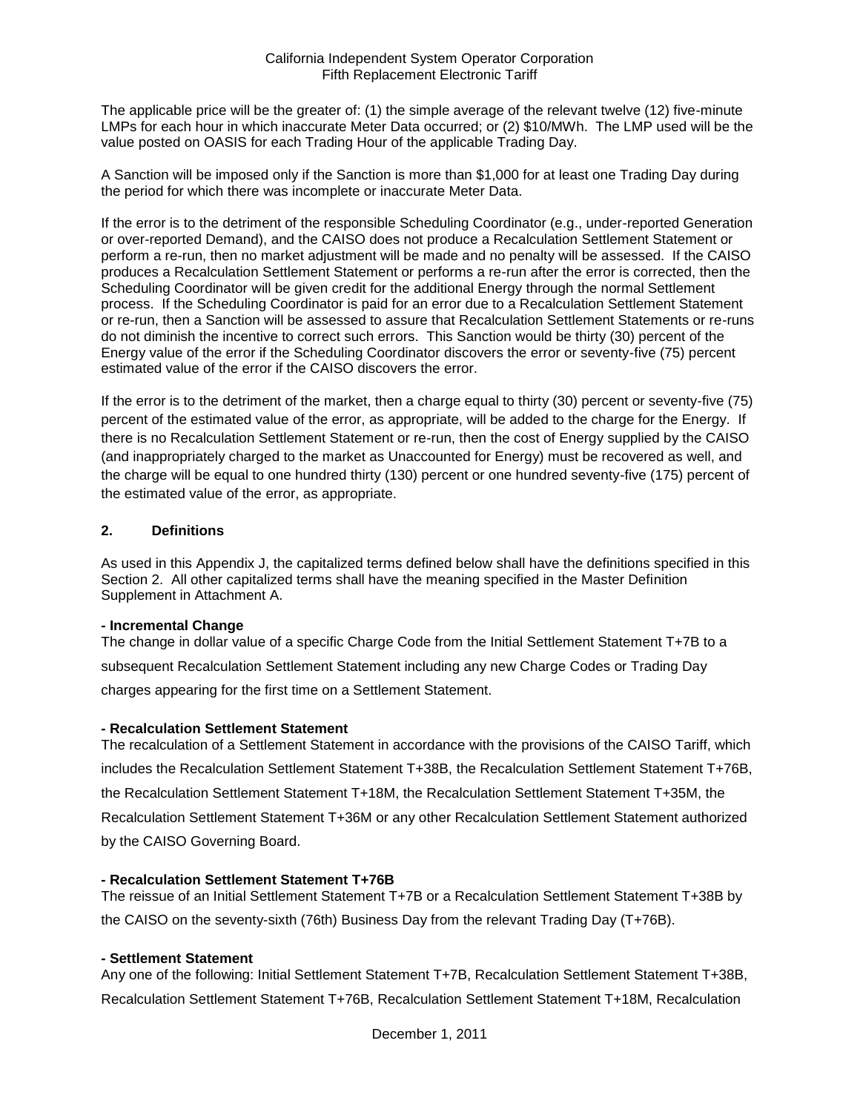The applicable price will be the greater of: (1) the simple average of the relevant twelve (12) five-minute LMPs for each hour in which inaccurate Meter Data occurred; or (2) \$10/MWh. The LMP used will be the value posted on OASIS for each Trading Hour of the applicable Trading Day.

A Sanction will be imposed only if the Sanction is more than \$1,000 for at least one Trading Day during the period for which there was incomplete or inaccurate Meter Data.

If the error is to the detriment of the responsible Scheduling Coordinator (e.g., under-reported Generation or over-reported Demand), and the CAISO does not produce a Recalculation Settlement Statement or perform a re-run, then no market adjustment will be made and no penalty will be assessed. If the CAISO produces a Recalculation Settlement Statement or performs a re-run after the error is corrected, then the Scheduling Coordinator will be given credit for the additional Energy through the normal Settlement process. If the Scheduling Coordinator is paid for an error due to a Recalculation Settlement Statement or re-run, then a Sanction will be assessed to assure that Recalculation Settlement Statements or re-runs do not diminish the incentive to correct such errors. This Sanction would be thirty (30) percent of the Energy value of the error if the Scheduling Coordinator discovers the error or seventy-five (75) percent estimated value of the error if the CAISO discovers the error.

If the error is to the detriment of the market, then a charge equal to thirty (30) percent or seventy-five (75) percent of the estimated value of the error, as appropriate, will be added to the charge for the Energy. If there is no Recalculation Settlement Statement or re-run, then the cost of Energy supplied by the CAISO (and inappropriately charged to the market as Unaccounted for Energy) must be recovered as well, and the charge will be equal to one hundred thirty (130) percent or one hundred seventy-five (175) percent of the estimated value of the error, as appropriate.

## **2. Definitions**

As used in this Appendix J, the capitalized terms defined below shall have the definitions specified in this Section 2. All other capitalized terms shall have the meaning specified in the Master Definition Supplement in Attachment A.

## **- Incremental Change**

The change in dollar value of a specific Charge Code from the Initial Settlement Statement T+7B to a subsequent Recalculation Settlement Statement including any new Charge Codes or Trading Day charges appearing for the first time on a Settlement Statement.

## **- Recalculation Settlement Statement**

The recalculation of a Settlement Statement in accordance with the provisions of the CAISO Tariff, which includes the Recalculation Settlement Statement T+38B, the Recalculation Settlement Statement T+76B, the Recalculation Settlement Statement T+18M, the Recalculation Settlement Statement T+35M, the Recalculation Settlement Statement T+36M or any other Recalculation Settlement Statement authorized by the CAISO Governing Board.

## **- Recalculation Settlement Statement T+76B**

The reissue of an Initial Settlement Statement T+7B or a Recalculation Settlement Statement T+38B by the CAISO on the seventy-sixth (76th) Business Day from the relevant Trading Day (T+76B).

#### **- Settlement Statement**

Any one of the following: Initial Settlement Statement T+7B, Recalculation Settlement Statement T+38B, Recalculation Settlement Statement T+76B, Recalculation Settlement Statement T+18M, Recalculation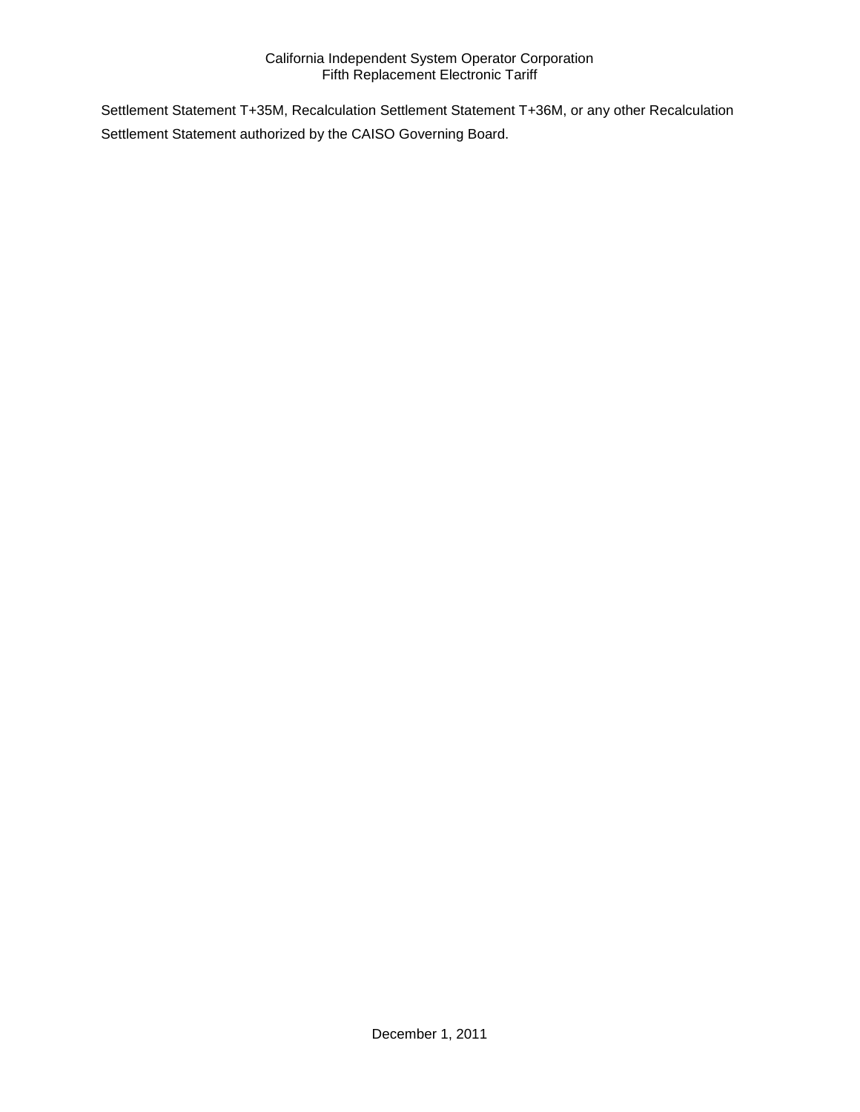Settlement Statement T+35M, Recalculation Settlement Statement T+36M, or any other Recalculation Settlement Statement authorized by the CAISO Governing Board.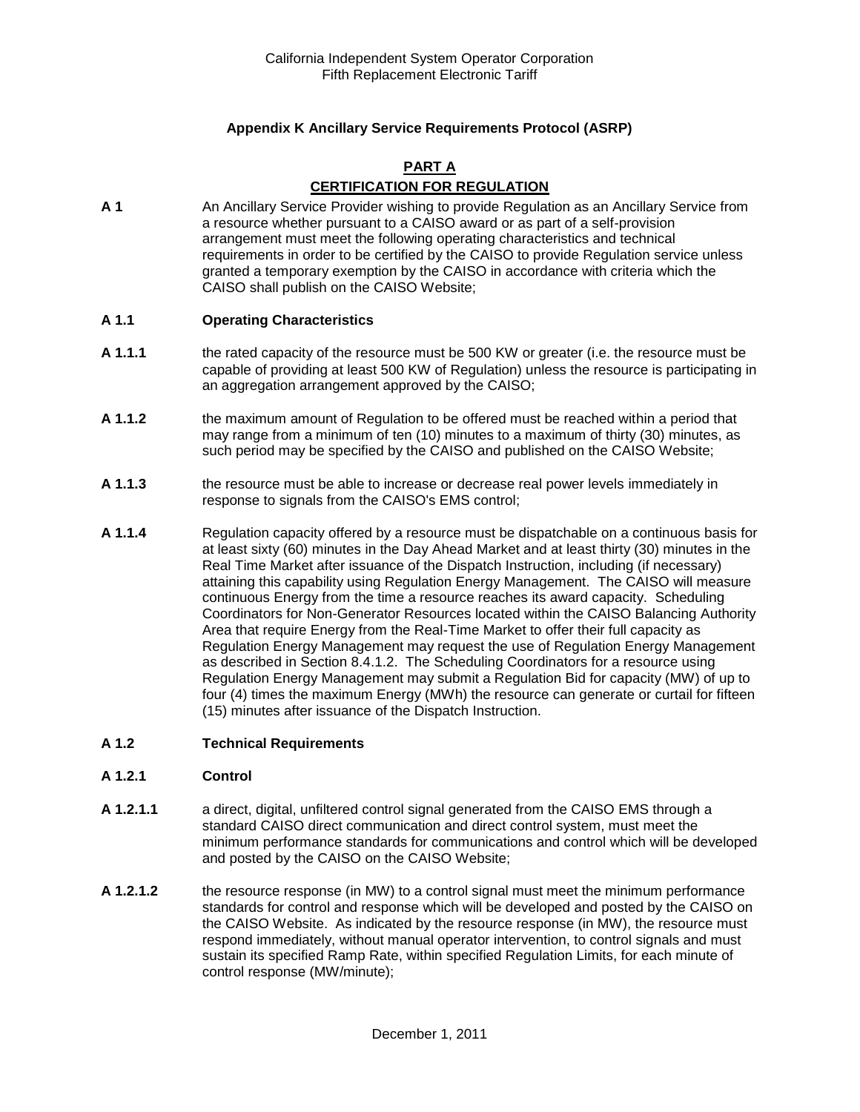## **Appendix K Ancillary Service Requirements Protocol (ASRP)**

## **PART A CERTIFICATION FOR REGULATION**

**A 1** An Ancillary Service Provider wishing to provide Regulation as an Ancillary Service from a resource whether pursuant to a CAISO award or as part of a self-provision arrangement must meet the following operating characteristics and technical requirements in order to be certified by the CAISO to provide Regulation service unless granted a temporary exemption by the CAISO in accordance with criteria which the CAISO shall publish on the CAISO Website;

#### **A 1.1 Operating Characteristics**

- **A 1.1.1** the rated capacity of the resource must be 500 KW or greater (i.e. the resource must be capable of providing at least 500 KW of Regulation) unless the resource is participating in an aggregation arrangement approved by the CAISO;
- **A 1.1.2** the maximum amount of Regulation to be offered must be reached within a period that may range from a minimum of ten (10) minutes to a maximum of thirty (30) minutes, as such period may be specified by the CAISO and published on the CAISO Website;
- **A 1.1.3** the resource must be able to increase or decrease real power levels immediately in response to signals from the CAISO's EMS control;
- **A 1.1.4** Regulation capacity offered by a resource must be dispatchable on a continuous basis for at least sixty (60) minutes in the Day Ahead Market and at least thirty (30) minutes in the Real Time Market after issuance of the Dispatch Instruction, including (if necessary) attaining this capability using Regulation Energy Management. The CAISO will measure continuous Energy from the time a resource reaches its award capacity. Scheduling Coordinators for Non-Generator Resources located within the CAISO Balancing Authority Area that require Energy from the Real-Time Market to offer their full capacity as Regulation Energy Management may request the use of Regulation Energy Management as described in Section 8.4.1.2. The Scheduling Coordinators for a resource using Regulation Energy Management may submit a Regulation Bid for capacity (MW) of up to four (4) times the maximum Energy (MWh) the resource can generate or curtail for fifteen (15) minutes after issuance of the Dispatch Instruction.

#### **A 1.2 Technical Requirements**

#### **A 1.2.1 Control**

- **A 1.2.1.1** a direct, digital, unfiltered control signal generated from the CAISO EMS through a standard CAISO direct communication and direct control system, must meet the minimum performance standards for communications and control which will be developed and posted by the CAISO on the CAISO Website;
- **A 1.2.1.2** the resource response (in MW) to a control signal must meet the minimum performance standards for control and response which will be developed and posted by the CAISO on the CAISO Website. As indicated by the resource response (in MW), the resource must respond immediately, without manual operator intervention, to control signals and must sustain its specified Ramp Rate, within specified Regulation Limits, for each minute of control response (MW/minute);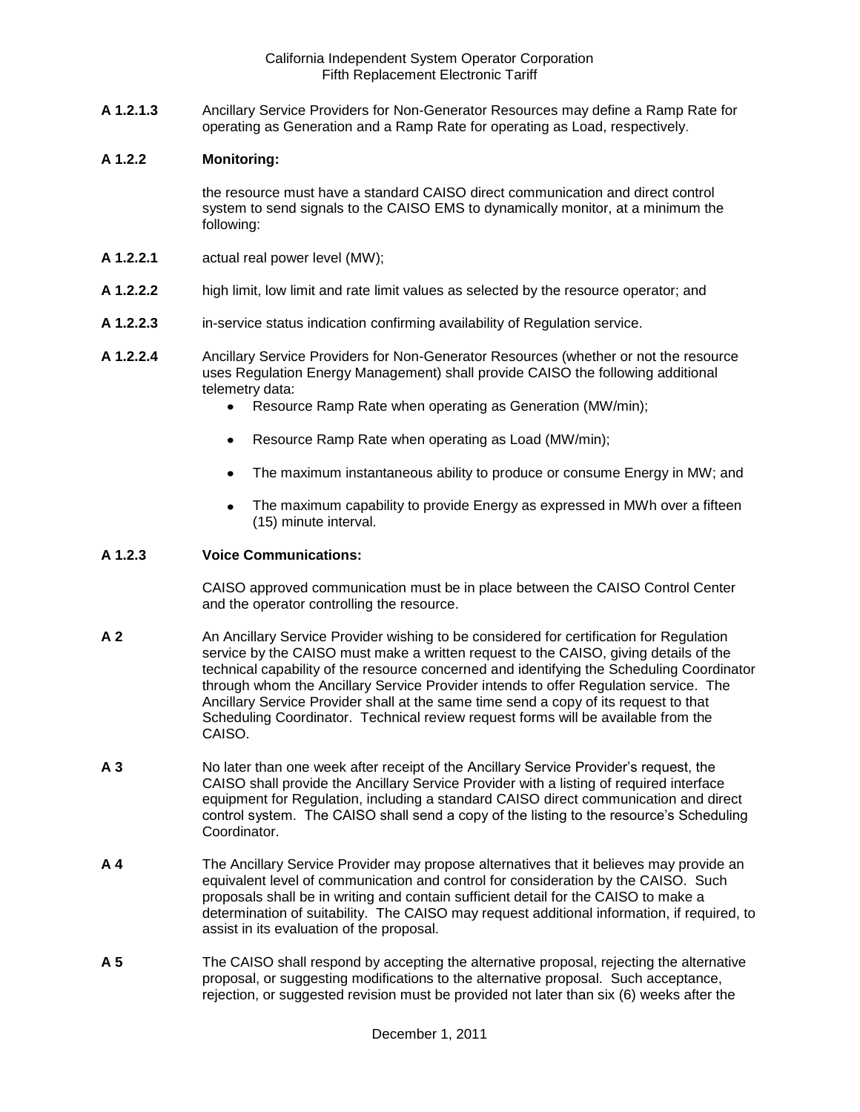**A 1.2.1.3** Ancillary Service Providers for Non-Generator Resources may define a Ramp Rate for operating as Generation and a Ramp Rate for operating as Load, respectively.

#### **A 1.2.2 Monitoring:**

the resource must have a standard CAISO direct communication and direct control system to send signals to the CAISO EMS to dynamically monitor, at a minimum the following:

- **A 1.2.2.1** actual real power level (MW);
- **A 1.2.2.2** high limit, low limit and rate limit values as selected by the resource operator; and
- **A 1.2.2.3** in-service status indication confirming availability of Regulation service.
- **A 1.2.2.4** Ancillary Service Providers for Non-Generator Resources (whether or not the resource uses Regulation Energy Management) shall provide CAISO the following additional telemetry data:
	- Resource Ramp Rate when operating as Generation (MW/min);
	- Resource Ramp Rate when operating as Load (MW/min);
	- The maximum instantaneous ability to produce or consume Energy in MW; and
	- The maximum capability to provide Energy as expressed in MWh over a fifteen  $\bullet$ (15) minute interval.

## **A 1.2.3 Voice Communications:**

CAISO approved communication must be in place between the CAISO Control Center and the operator controlling the resource.

- **A 2** An Ancillary Service Provider wishing to be considered for certification for Regulation service by the CAISO must make a written request to the CAISO, giving details of the technical capability of the resource concerned and identifying the Scheduling Coordinator through whom the Ancillary Service Provider intends to offer Regulation service. The Ancillary Service Provider shall at the same time send a copy of its request to that Scheduling Coordinator. Technical review request forms will be available from the CAISO.
- **A 3** No later than one week after receipt of the Ancillary Service Provider's request, the CAISO shall provide the Ancillary Service Provider with a listing of required interface equipment for Regulation, including a standard CAISO direct communication and direct control system. The CAISO shall send a copy of the listing to the resource's Scheduling **Coordinator**
- **A 4** The Ancillary Service Provider may propose alternatives that it believes may provide an equivalent level of communication and control for consideration by the CAISO. Such proposals shall be in writing and contain sufficient detail for the CAISO to make a determination of suitability. The CAISO may request additional information, if required, to assist in its evaluation of the proposal.
- **A 5** The CAISO shall respond by accepting the alternative proposal, rejecting the alternative proposal, or suggesting modifications to the alternative proposal. Such acceptance, rejection, or suggested revision must be provided not later than six (6) weeks after the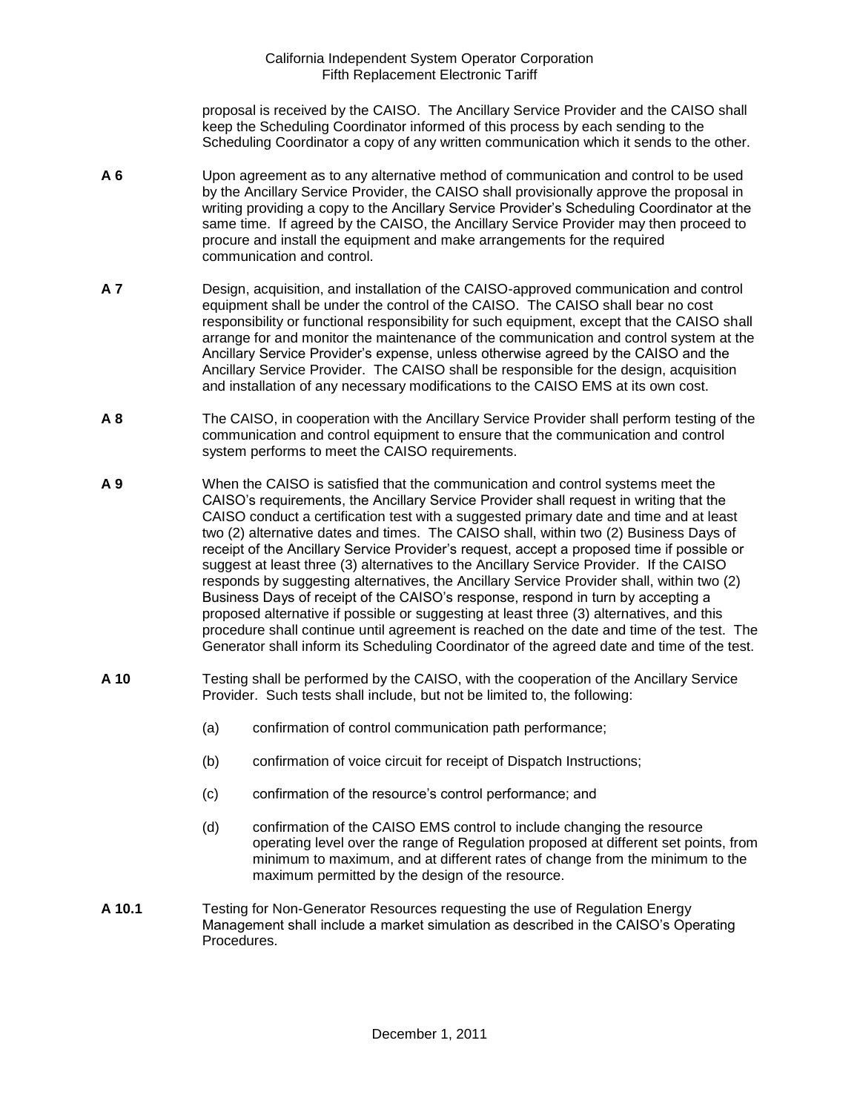proposal is received by the CAISO. The Ancillary Service Provider and the CAISO shall keep the Scheduling Coordinator informed of this process by each sending to the Scheduling Coordinator a copy of any written communication which it sends to the other.

- **A 6** Upon agreement as to any alternative method of communication and control to be used by the Ancillary Service Provider, the CAISO shall provisionally approve the proposal in writing providing a copy to the Ancillary Service Provider's Scheduling Coordinator at the same time. If agreed by the CAISO, the Ancillary Service Provider may then proceed to procure and install the equipment and make arrangements for the required communication and control.
- **A 7** Design, acquisition, and installation of the CAISO-approved communication and control equipment shall be under the control of the CAISO. The CAISO shall bear no cost responsibility or functional responsibility for such equipment, except that the CAISO shall arrange for and monitor the maintenance of the communication and control system at the Ancillary Service Provider's expense, unless otherwise agreed by the CAISO and the Ancillary Service Provider. The CAISO shall be responsible for the design, acquisition and installation of any necessary modifications to the CAISO EMS at its own cost.
- **A 8** The CAISO, in cooperation with the Ancillary Service Provider shall perform testing of the communication and control equipment to ensure that the communication and control system performs to meet the CAISO requirements.
- **A 9** When the CAISO is satisfied that the communication and control systems meet the CAISO's requirements, the Ancillary Service Provider shall request in writing that the CAISO conduct a certification test with a suggested primary date and time and at least two (2) alternative dates and times. The CAISO shall, within two (2) Business Days of receipt of the Ancillary Service Provider's request, accept a proposed time if possible or suggest at least three (3) alternatives to the Ancillary Service Provider. If the CAISO responds by suggesting alternatives, the Ancillary Service Provider shall, within two (2) Business Days of receipt of the CAISO's response, respond in turn by accepting a proposed alternative if possible or suggesting at least three (3) alternatives, and this procedure shall continue until agreement is reached on the date and time of the test. The Generator shall inform its Scheduling Coordinator of the agreed date and time of the test.
- **A 10** Testing shall be performed by the CAISO, with the cooperation of the Ancillary Service Provider. Such tests shall include, but not be limited to, the following:
	- (a) confirmation of control communication path performance;
	- (b) confirmation of voice circuit for receipt of Dispatch Instructions;
	- (c) confirmation of the resource's control performance; and
	- (d) confirmation of the CAISO EMS control to include changing the resource operating level over the range of Regulation proposed at different set points, from minimum to maximum, and at different rates of change from the minimum to the maximum permitted by the design of the resource.
- **A 10.1** Testing for Non-Generator Resources requesting the use of Regulation Energy Management shall include a market simulation as described in the CAISO's Operating Procedures.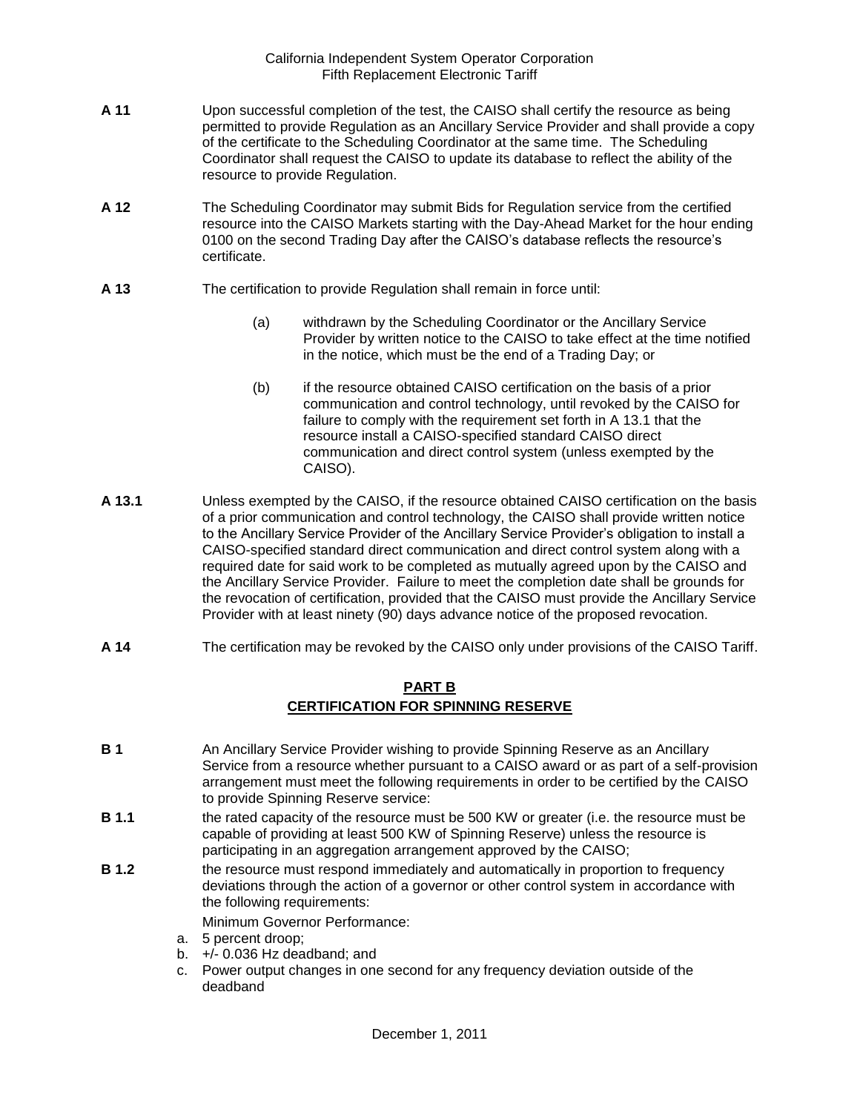- **A 11** Upon successful completion of the test, the CAISO shall certify the resource as being permitted to provide Regulation as an Ancillary Service Provider and shall provide a copy of the certificate to the Scheduling Coordinator at the same time. The Scheduling Coordinator shall request the CAISO to update its database to reflect the ability of the resource to provide Regulation.
- **A 12** The Scheduling Coordinator may submit Bids for Regulation service from the certified resource into the CAISO Markets starting with the Day-Ahead Market for the hour ending 0100 on the second Trading Day after the CAISO's database reflects the resource's certificate.
- **A 13** The certification to provide Regulation shall remain in force until:
	- (a) withdrawn by the Scheduling Coordinator or the Ancillary Service Provider by written notice to the CAISO to take effect at the time notified in the notice, which must be the end of a Trading Day; or
	- (b) if the resource obtained CAISO certification on the basis of a prior communication and control technology, until revoked by the CAISO for failure to comply with the requirement set forth in A 13.1 that the resource install a CAISO-specified standard CAISO direct communication and direct control system (unless exempted by the CAISO).
- **A 13.1** Unless exempted by the CAISO, if the resource obtained CAISO certification on the basis of a prior communication and control technology, the CAISO shall provide written notice to the Ancillary Service Provider of the Ancillary Service Provider's obligation to install a CAISO-specified standard direct communication and direct control system along with a required date for said work to be completed as mutually agreed upon by the CAISO and the Ancillary Service Provider. Failure to meet the completion date shall be grounds for the revocation of certification, provided that the CAISO must provide the Ancillary Service Provider with at least ninety (90) days advance notice of the proposed revocation.
- **A 14** The certification may be revoked by the CAISO only under provisions of the CAISO Tariff.

# **PART B CERTIFICATION FOR SPINNING RESERVE**

- **B 1** An Ancillary Service Provider wishing to provide Spinning Reserve as an Ancillary Service from a resource whether pursuant to a CAISO award or as part of a self-provision arrangement must meet the following requirements in order to be certified by the CAISO to provide Spinning Reserve service:
- **B 1.1** the rated capacity of the resource must be 500 KW or greater (i.e. the resource must be capable of providing at least 500 KW of Spinning Reserve) unless the resource is participating in an aggregation arrangement approved by the CAISO;
- **B 1.2** the resource must respond immediately and automatically in proportion to frequency deviations through the action of a governor or other control system in accordance with the following requirements:

Minimum Governor Performance:

- a. 5 percent droop;
- b.  $+/- 0.036$  Hz deadband; and
- c. Power output changes in one second for any frequency deviation outside of the deadband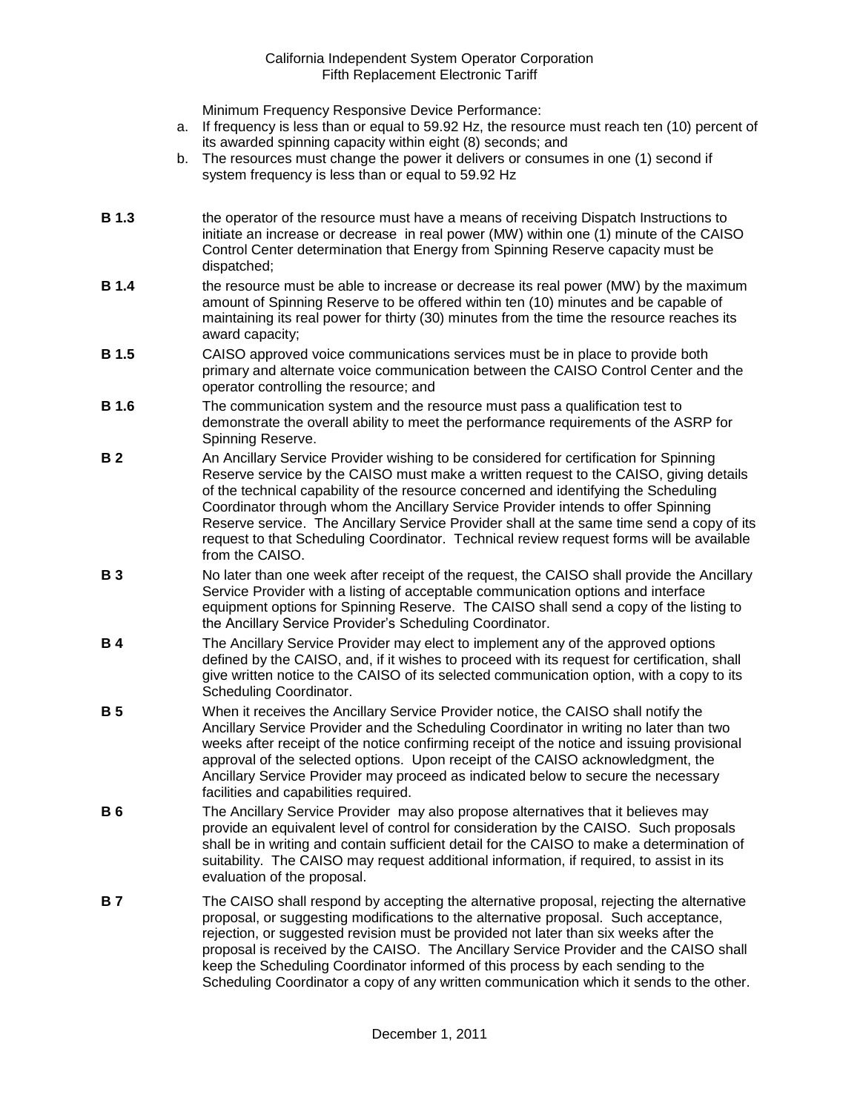Minimum Frequency Responsive Device Performance:

- a. If frequency is less than or equal to 59.92 Hz, the resource must reach ten (10) percent of its awarded spinning capacity within eight (8) seconds; and
- b. The resources must change the power it delivers or consumes in one (1) second if system frequency is less than or equal to 59.92 Hz
- **B 1.3** the operator of the resource must have a means of receiving Dispatch Instructions to initiate an increase or decrease in real power (MW) within one (1) minute of the CAISO Control Center determination that Energy from Spinning Reserve capacity must be dispatched;
- **B 1.4** the resource must be able to increase or decrease its real power (MW) by the maximum amount of Spinning Reserve to be offered within ten (10) minutes and be capable of maintaining its real power for thirty (30) minutes from the time the resource reaches its award capacity;
- **B 1.5** CAISO approved voice communications services must be in place to provide both primary and alternate voice communication between the CAISO Control Center and the operator controlling the resource; and
- **B 1.6** The communication system and the resource must pass a qualification test to demonstrate the overall ability to meet the performance requirements of the ASRP for Spinning Reserve.
- **B 2** An Ancillary Service Provider wishing to be considered for certification for Spinning Reserve service by the CAISO must make a written request to the CAISO, giving details of the technical capability of the resource concerned and identifying the Scheduling Coordinator through whom the Ancillary Service Provider intends to offer Spinning Reserve service. The Ancillary Service Provider shall at the same time send a copy of its request to that Scheduling Coordinator. Technical review request forms will be available from the CAISO.
- **B 3** No later than one week after receipt of the request, the CAISO shall provide the Ancillary Service Provider with a listing of acceptable communication options and interface equipment options for Spinning Reserve. The CAISO shall send a copy of the listing to the Ancillary Service Provider's Scheduling Coordinator.
- **B 4** The Ancillary Service Provider may elect to implement any of the approved options defined by the CAISO, and, if it wishes to proceed with its request for certification, shall give written notice to the CAISO of its selected communication option, with a copy to its Scheduling Coordinator.
- **B 5** When it receives the Ancillary Service Provider notice, the CAISO shall notify the Ancillary Service Provider and the Scheduling Coordinator in writing no later than two weeks after receipt of the notice confirming receipt of the notice and issuing provisional approval of the selected options. Upon receipt of the CAISO acknowledgment, the Ancillary Service Provider may proceed as indicated below to secure the necessary facilities and capabilities required.
- **B 6** The Ancillary Service Provider may also propose alternatives that it believes may provide an equivalent level of control for consideration by the CAISO. Such proposals shall be in writing and contain sufficient detail for the CAISO to make a determination of suitability. The CAISO may request additional information, if required, to assist in its evaluation of the proposal.
- **B 7** The CAISO shall respond by accepting the alternative proposal, rejecting the alternative proposal, or suggesting modifications to the alternative proposal. Such acceptance, rejection, or suggested revision must be provided not later than six weeks after the proposal is received by the CAISO. The Ancillary Service Provider and the CAISO shall keep the Scheduling Coordinator informed of this process by each sending to the Scheduling Coordinator a copy of any written communication which it sends to the other.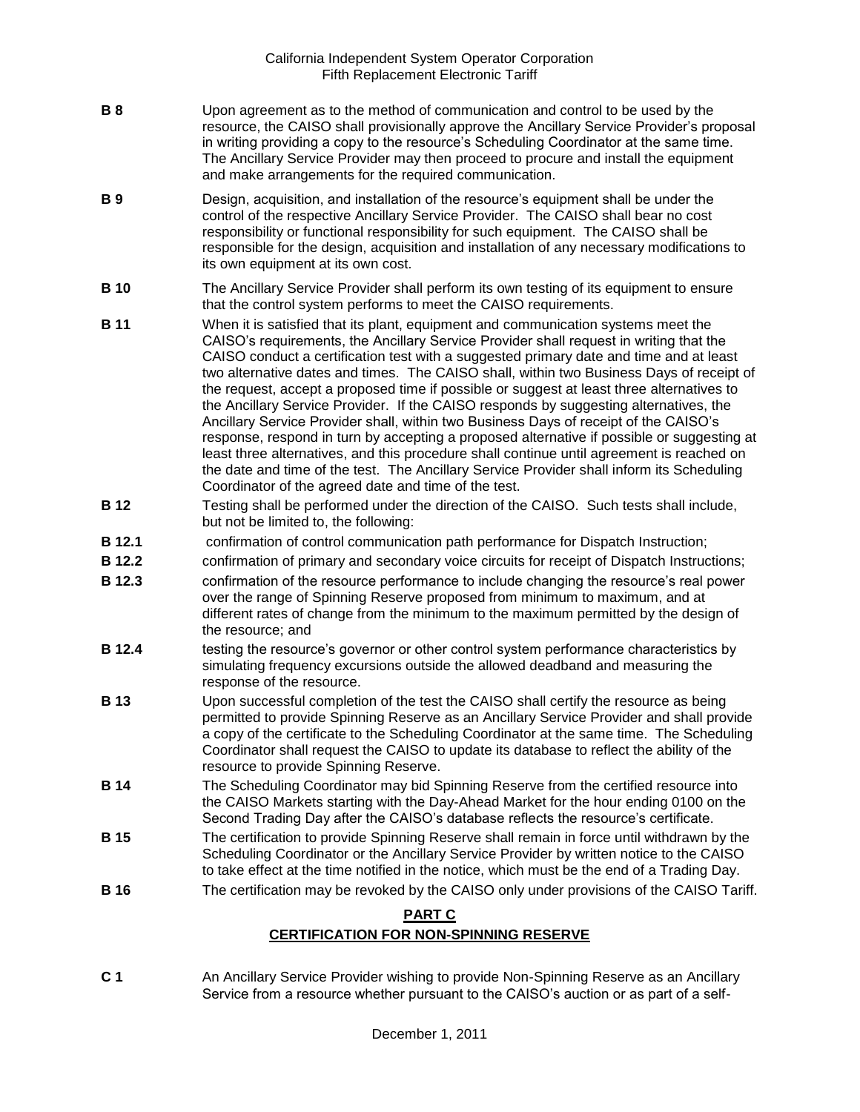- **B 8** Upon agreement as to the method of communication and control to be used by the resource, the CAISO shall provisionally approve the Ancillary Service Provider's proposal in writing providing a copy to the resource's Scheduling Coordinator at the same time. The Ancillary Service Provider may then proceed to procure and install the equipment and make arrangements for the required communication.
- **B 9** Design, acquisition, and installation of the resource's equipment shall be under the control of the respective Ancillary Service Provider. The CAISO shall bear no cost responsibility or functional responsibility for such equipment. The CAISO shall be responsible for the design, acquisition and installation of any necessary modifications to its own equipment at its own cost.
- **B 10** The Ancillary Service Provider shall perform its own testing of its equipment to ensure that the control system performs to meet the CAISO requirements.
- **B 11** When it is satisfied that its plant, equipment and communication systems meet the CAISO's requirements, the Ancillary Service Provider shall request in writing that the CAISO conduct a certification test with a suggested primary date and time and at least two alternative dates and times. The CAISO shall, within two Business Days of receipt of the request, accept a proposed time if possible or suggest at least three alternatives to the Ancillary Service Provider. If the CAISO responds by suggesting alternatives, the Ancillary Service Provider shall, within two Business Days of receipt of the CAISO's response, respond in turn by accepting a proposed alternative if possible or suggesting at least three alternatives, and this procedure shall continue until agreement is reached on the date and time of the test. The Ancillary Service Provider shall inform its Scheduling Coordinator of the agreed date and time of the test.
- **B 12** Testing shall be performed under the direction of the CAISO. Such tests shall include, but not be limited to, the following:
- **B 12.1** confirmation of control communication path performance for Dispatch Instruction;
- **B 12.2** confirmation of primary and secondary voice circuits for receipt of Dispatch Instructions;
- **B 12.3** confirmation of the resource performance to include changing the resource's real power over the range of Spinning Reserve proposed from minimum to maximum, and at different rates of change from the minimum to the maximum permitted by the design of the resource; and
- **B 12.4** testing the resource's governor or other control system performance characteristics by simulating frequency excursions outside the allowed deadband and measuring the response of the resource.
- **B 13** Upon successful completion of the test the CAISO shall certify the resource as being permitted to provide Spinning Reserve as an Ancillary Service Provider and shall provide a copy of the certificate to the Scheduling Coordinator at the same time. The Scheduling Coordinator shall request the CAISO to update its database to reflect the ability of the resource to provide Spinning Reserve.
- **B 14** The Scheduling Coordinator may bid Spinning Reserve from the certified resource into the CAISO Markets starting with the Day-Ahead Market for the hour ending 0100 on the Second Trading Day after the CAISO's database reflects the resource's certificate.
- **B 15** The certification to provide Spinning Reserve shall remain in force until withdrawn by the Scheduling Coordinator or the Ancillary Service Provider by written notice to the CAISO to take effect at the time notified in the notice, which must be the end of a Trading Day.
- **B 16** The certification may be revoked by the CAISO only under provisions of the CAISO Tariff.

## **PART C**

## **CERTIFICATION FOR NON-SPINNING RESERVE**

**C 1** An Ancillary Service Provider wishing to provide Non-Spinning Reserve as an Ancillary Service from a resource whether pursuant to the CAISO's auction or as part of a self-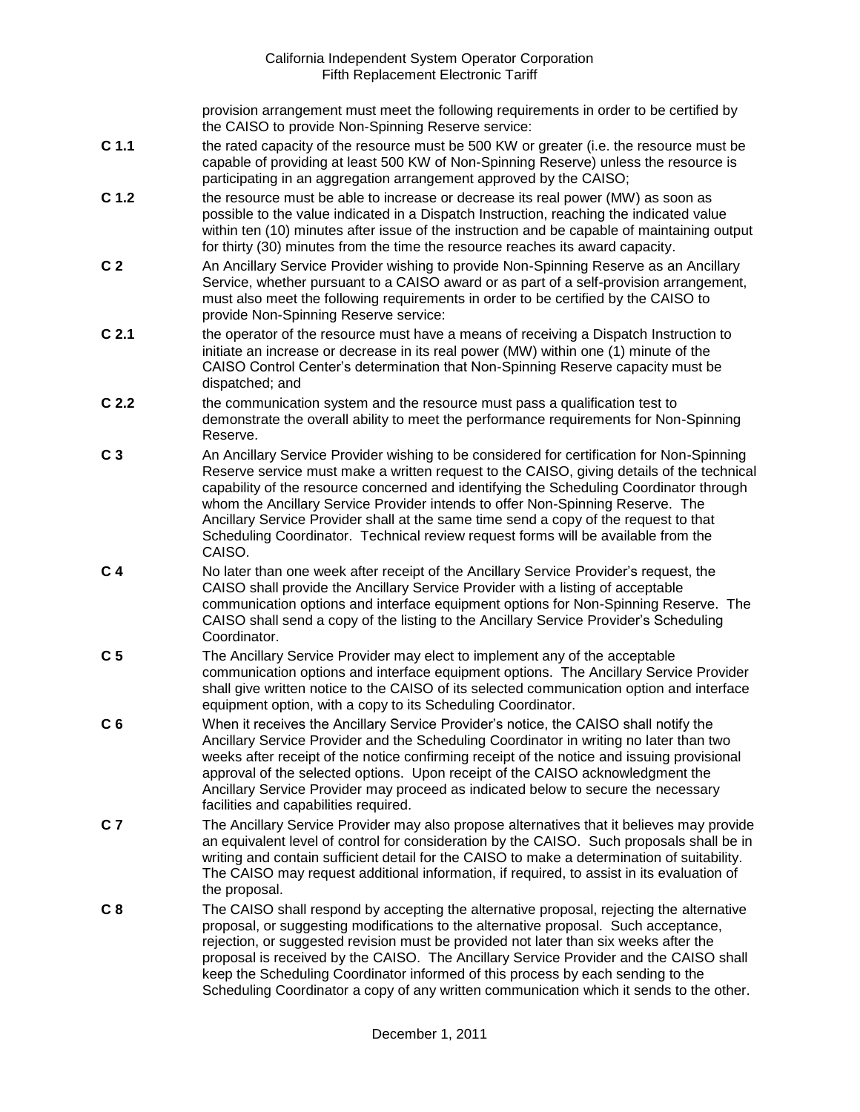provision arrangement must meet the following requirements in order to be certified by the CAISO to provide Non-Spinning Reserve service:

- **C 1.1** the rated capacity of the resource must be 500 KW or greater (i.e. the resource must be capable of providing at least 500 KW of Non-Spinning Reserve) unless the resource is participating in an aggregation arrangement approved by the CAISO;
- **C 1.2** the resource must be able to increase or decrease its real power (MW) as soon as possible to the value indicated in a Dispatch Instruction, reaching the indicated value within ten (10) minutes after issue of the instruction and be capable of maintaining output for thirty (30) minutes from the time the resource reaches its award capacity.
- **C 2** An Ancillary Service Provider wishing to provide Non-Spinning Reserve as an Ancillary Service, whether pursuant to a CAISO award or as part of a self-provision arrangement, must also meet the following requirements in order to be certified by the CAISO to provide Non-Spinning Reserve service:
- **C 2.1** the operator of the resource must have a means of receiving a Dispatch Instruction to initiate an increase or decrease in its real power (MW) within one (1) minute of the CAISO Control Center's determination that Non-Spinning Reserve capacity must be dispatched; and
- **C 2.2** the communication system and the resource must pass a qualification test to demonstrate the overall ability to meet the performance requirements for Non-Spinning Reserve.
- **C 3** An Ancillary Service Provider wishing to be considered for certification for Non-Spinning Reserve service must make a written request to the CAISO, giving details of the technical capability of the resource concerned and identifying the Scheduling Coordinator through whom the Ancillary Service Provider intends to offer Non-Spinning Reserve. The Ancillary Service Provider shall at the same time send a copy of the request to that Scheduling Coordinator. Technical review request forms will be available from the CAISO.
- **C 4** No later than one week after receipt of the Ancillary Service Provider's request, the CAISO shall provide the Ancillary Service Provider with a listing of acceptable communication options and interface equipment options for Non-Spinning Reserve. The CAISO shall send a copy of the listing to the Ancillary Service Provider's Scheduling Coordinator.
- **C 5** The Ancillary Service Provider may elect to implement any of the acceptable communication options and interface equipment options. The Ancillary Service Provider shall give written notice to the CAISO of its selected communication option and interface equipment option, with a copy to its Scheduling Coordinator.
- **C 6** When it receives the Ancillary Service Provider's notice, the CAISO shall notify the Ancillary Service Provider and the Scheduling Coordinator in writing no later than two weeks after receipt of the notice confirming receipt of the notice and issuing provisional approval of the selected options. Upon receipt of the CAISO acknowledgment the Ancillary Service Provider may proceed as indicated below to secure the necessary facilities and capabilities required.
- **C 7** The Ancillary Service Provider may also propose alternatives that it believes may provide an equivalent level of control for consideration by the CAISO. Such proposals shall be in writing and contain sufficient detail for the CAISO to make a determination of suitability. The CAISO may request additional information, if required, to assist in its evaluation of the proposal.
- **C 8** The CAISO shall respond by accepting the alternative proposal, rejecting the alternative proposal, or suggesting modifications to the alternative proposal. Such acceptance, rejection, or suggested revision must be provided not later than six weeks after the proposal is received by the CAISO. The Ancillary Service Provider and the CAISO shall keep the Scheduling Coordinator informed of this process by each sending to the Scheduling Coordinator a copy of any written communication which it sends to the other.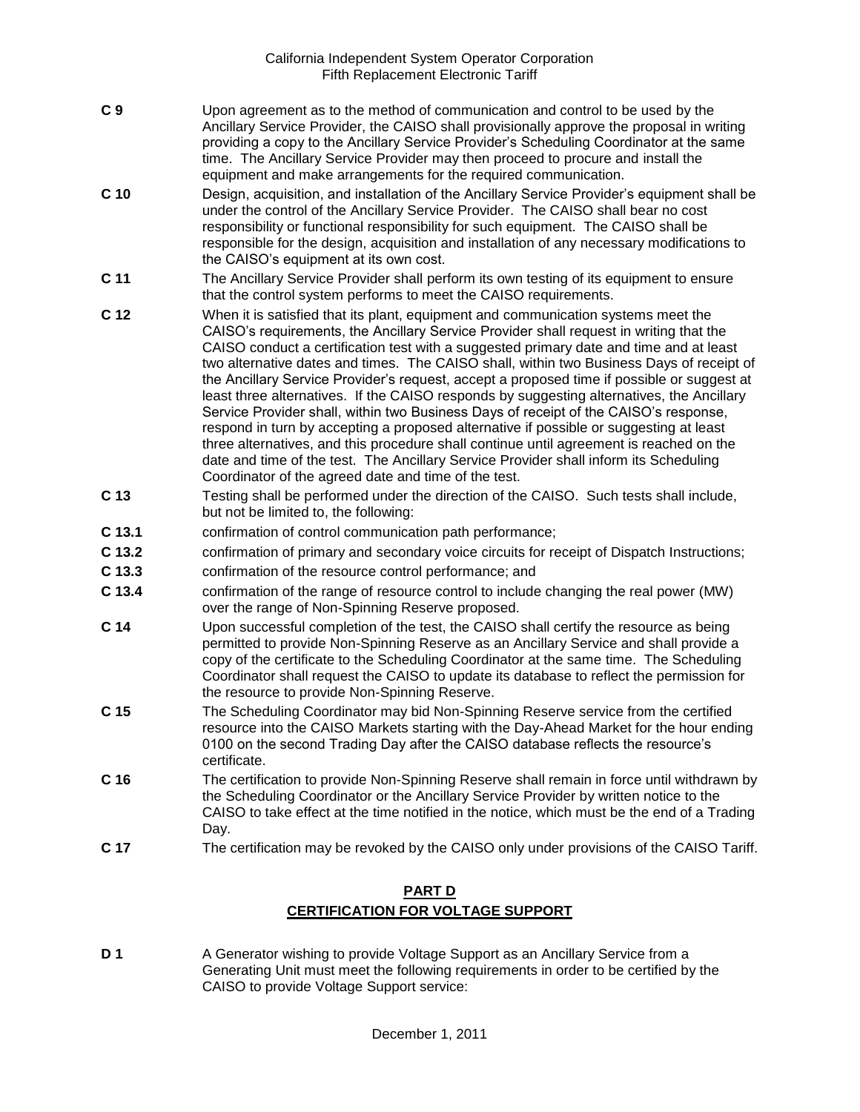- **C 9** Upon agreement as to the method of communication and control to be used by the Ancillary Service Provider, the CAISO shall provisionally approve the proposal in writing providing a copy to the Ancillary Service Provider's Scheduling Coordinator at the same time. The Ancillary Service Provider may then proceed to procure and install the equipment and make arrangements for the required communication.
- **C 10** Design, acquisition, and installation of the Ancillary Service Provider's equipment shall be under the control of the Ancillary Service Provider. The CAISO shall bear no cost responsibility or functional responsibility for such equipment. The CAISO shall be responsible for the design, acquisition and installation of any necessary modifications to the CAISO's equipment at its own cost.
- **C 11** The Ancillary Service Provider shall perform its own testing of its equipment to ensure that the control system performs to meet the CAISO requirements.
- **C 12** When it is satisfied that its plant, equipment and communication systems meet the CAISO's requirements, the Ancillary Service Provider shall request in writing that the CAISO conduct a certification test with a suggested primary date and time and at least two alternative dates and times. The CAISO shall, within two Business Days of receipt of the Ancillary Service Provider's request, accept a proposed time if possible or suggest at least three alternatives. If the CAISO responds by suggesting alternatives, the Ancillary Service Provider shall, within two Business Days of receipt of the CAISO's response, respond in turn by accepting a proposed alternative if possible or suggesting at least three alternatives, and this procedure shall continue until agreement is reached on the date and time of the test. The Ancillary Service Provider shall inform its Scheduling Coordinator of the agreed date and time of the test.
- **C 13** Testing shall be performed under the direction of the CAISO. Such tests shall include, but not be limited to, the following:
- **C 13.1** confirmation of control communication path performance;
- **C 13.2** confirmation of primary and secondary voice circuits for receipt of Dispatch Instructions;
- **C 13.3** confirmation of the resource control performance; and
- **C 13.4** confirmation of the range of resource control to include changing the real power (MW) over the range of Non-Spinning Reserve proposed.
- **C 14** Upon successful completion of the test, the CAISO shall certify the resource as being permitted to provide Non-Spinning Reserve as an Ancillary Service and shall provide a copy of the certificate to the Scheduling Coordinator at the same time. The Scheduling Coordinator shall request the CAISO to update its database to reflect the permission for the resource to provide Non-Spinning Reserve.
- **C 15** The Scheduling Coordinator may bid Non-Spinning Reserve service from the certified resource into the CAISO Markets starting with the Day-Ahead Market for the hour ending 0100 on the second Trading Day after the CAISO database reflects the resource's certificate.
- **C 16** The certification to provide Non-Spinning Reserve shall remain in force until withdrawn by the Scheduling Coordinator or the Ancillary Service Provider by written notice to the CAISO to take effect at the time notified in the notice, which must be the end of a Trading Day.
- **C 17** The certification may be revoked by the CAISO only under provisions of the CAISO Tariff.

# **PART D CERTIFICATION FOR VOLTAGE SUPPORT**

**D 1** A Generator wishing to provide Voltage Support as an Ancillary Service from a Generating Unit must meet the following requirements in order to be certified by the CAISO to provide Voltage Support service: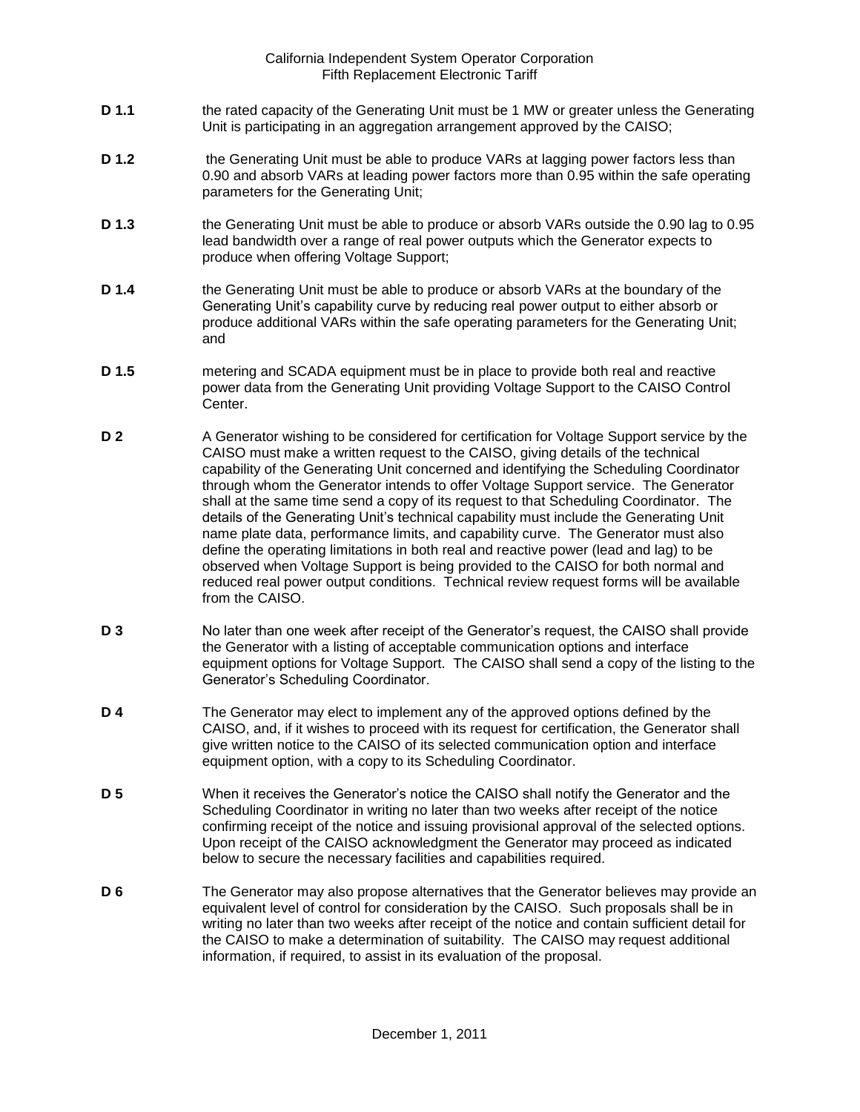- **D 1.1** the rated capacity of the Generating Unit must be 1 MW or greater unless the Generating Unit is participating in an aggregation arrangement approved by the CAISO;
- **D 1.2** the Generating Unit must be able to produce VARs at lagging power factors less than 0.90 and absorb VARs at leading power factors more than 0.95 within the safe operating parameters for the Generating Unit;
- **D 1.3** the Generating Unit must be able to produce or absorb VARs outside the 0.90 lag to 0.95 lead bandwidth over a range of real power outputs which the Generator expects to produce when offering Voltage Support;
- **D 1.4** the Generating Unit must be able to produce or absorb VARs at the boundary of the Generating Unit's capability curve by reducing real power output to either absorb or produce additional VARs within the safe operating parameters for the Generating Unit; and
- **D 1.5** metering and SCADA equipment must be in place to provide both real and reactive power data from the Generating Unit providing Voltage Support to the CAISO Control Center.
- **D 2** A Generator wishing to be considered for certification for Voltage Support service by the CAISO must make a written request to the CAISO, giving details of the technical capability of the Generating Unit concerned and identifying the Scheduling Coordinator through whom the Generator intends to offer Voltage Support service. The Generator shall at the same time send a copy of its request to that Scheduling Coordinator. The details of the Generating Unit's technical capability must include the Generating Unit name plate data, performance limits, and capability curve. The Generator must also define the operating limitations in both real and reactive power (lead and lag) to be observed when Voltage Support is being provided to the CAISO for both normal and reduced real power output conditions. Technical review request forms will be available from the CAISO.
- **D 3** No later than one week after receipt of the Generator's request, the CAISO shall provide the Generator with a listing of acceptable communication options and interface equipment options for Voltage Support. The CAISO shall send a copy of the listing to the Generator's Scheduling Coordinator.
- **D 4** The Generator may elect to implement any of the approved options defined by the CAISO, and, if it wishes to proceed with its request for certification, the Generator shall give written notice to the CAISO of its selected communication option and interface equipment option, with a copy to its Scheduling Coordinator.
- **D 5** When it receives the Generator's notice the CAISO shall notify the Generator and the Scheduling Coordinator in writing no later than two weeks after receipt of the notice confirming receipt of the notice and issuing provisional approval of the selected options. Upon receipt of the CAISO acknowledgment the Generator may proceed as indicated below to secure the necessary facilities and capabilities required.
- **D 6** The Generator may also propose alternatives that the Generator believes may provide an equivalent level of control for consideration by the CAISO. Such proposals shall be in writing no later than two weeks after receipt of the notice and contain sufficient detail for the CAISO to make a determination of suitability. The CAISO may request additional information, if required, to assist in its evaluation of the proposal.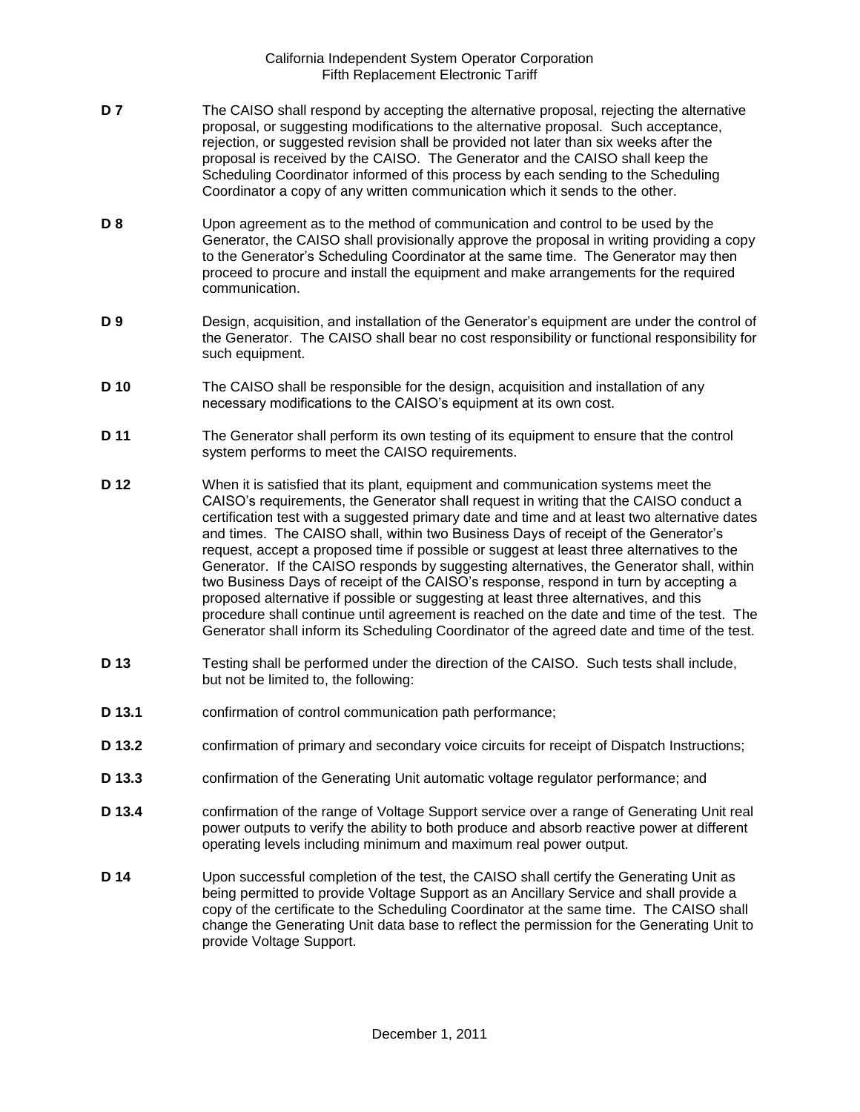- **D 7** The CAISO shall respond by accepting the alternative proposal, rejecting the alternative proposal, or suggesting modifications to the alternative proposal. Such acceptance, rejection, or suggested revision shall be provided not later than six weeks after the proposal is received by the CAISO. The Generator and the CAISO shall keep the Scheduling Coordinator informed of this process by each sending to the Scheduling Coordinator a copy of any written communication which it sends to the other.
- **D 8** Upon agreement as to the method of communication and control to be used by the Generator, the CAISO shall provisionally approve the proposal in writing providing a copy to the Generator's Scheduling Coordinator at the same time. The Generator may then proceed to procure and install the equipment and make arrangements for the required communication.
- **D 9** Design, acquisition, and installation of the Generator's equipment are under the control of the Generator. The CAISO shall bear no cost responsibility or functional responsibility for such equipment.
- **D 10** The CAISO shall be responsible for the design, acquisition and installation of any necessary modifications to the CAISO's equipment at its own cost.
- **D 11** The Generator shall perform its own testing of its equipment to ensure that the control system performs to meet the CAISO requirements.
- **D 12** When it is satisfied that its plant, equipment and communication systems meet the CAISO's requirements, the Generator shall request in writing that the CAISO conduct a certification test with a suggested primary date and time and at least two alternative dates and times. The CAISO shall, within two Business Days of receipt of the Generator's request, accept a proposed time if possible or suggest at least three alternatives to the Generator. If the CAISO responds by suggesting alternatives, the Generator shall, within two Business Days of receipt of the CAISO's response, respond in turn by accepting a proposed alternative if possible or suggesting at least three alternatives, and this procedure shall continue until agreement is reached on the date and time of the test. The Generator shall inform its Scheduling Coordinator of the agreed date and time of the test.
- **D 13** Testing shall be performed under the direction of the CAISO. Such tests shall include, but not be limited to, the following:
- **D 13.1** confirmation of control communication path performance;
- **D 13.2** confirmation of primary and secondary voice circuits for receipt of Dispatch Instructions;
- **D 13.3** confirmation of the Generating Unit automatic voltage regulator performance; and
- **D 13.4** confirmation of the range of Voltage Support service over a range of Generating Unit real power outputs to verify the ability to both produce and absorb reactive power at different operating levels including minimum and maximum real power output.
- **D 14** Upon successful completion of the test, the CAISO shall certify the Generating Unit as being permitted to provide Voltage Support as an Ancillary Service and shall provide a copy of the certificate to the Scheduling Coordinator at the same time. The CAISO shall change the Generating Unit data base to reflect the permission for the Generating Unit to provide Voltage Support.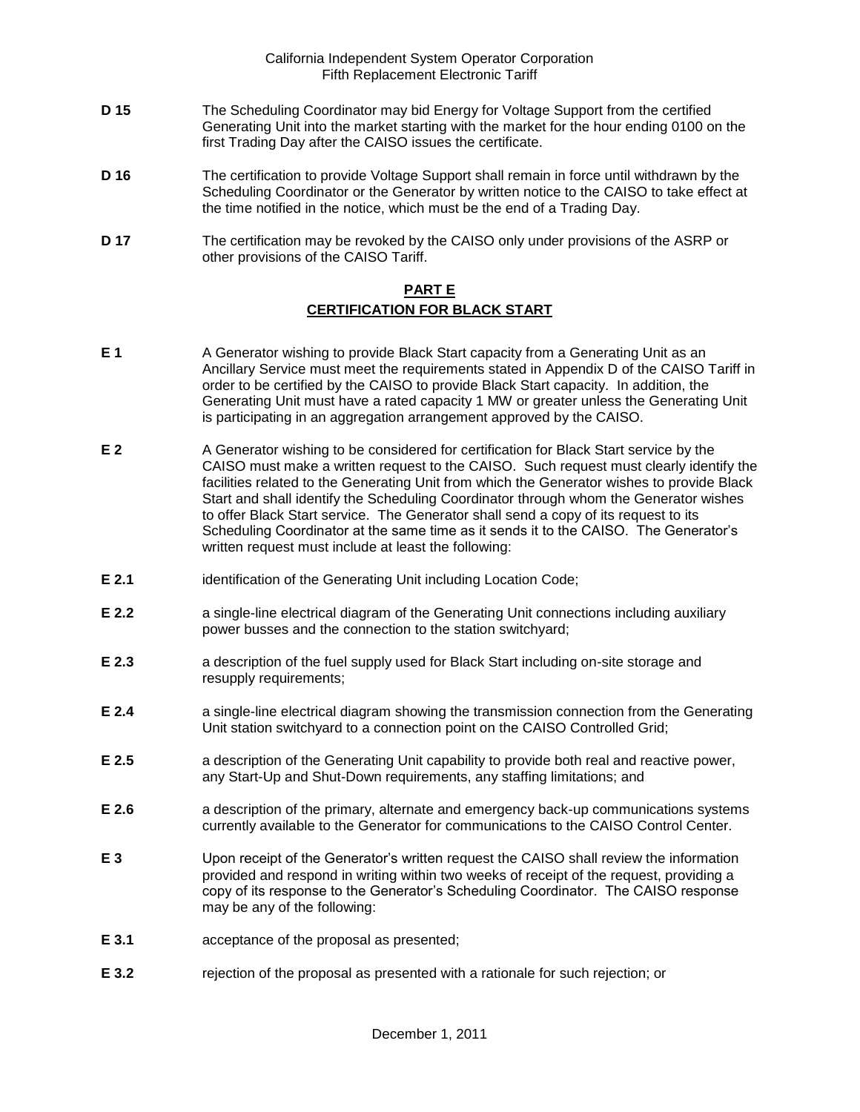- **D 15** The Scheduling Coordinator may bid Energy for Voltage Support from the certified Generating Unit into the market starting with the market for the hour ending 0100 on the first Trading Day after the CAISO issues the certificate.
- **D 16** The certification to provide Voltage Support shall remain in force until withdrawn by the Scheduling Coordinator or the Generator by written notice to the CAISO to take effect at the time notified in the notice, which must be the end of a Trading Day.
- **D 17** The certification may be revoked by the CAISO only under provisions of the ASRP or other provisions of the CAISO Tariff.

## **PART E CERTIFICATION FOR BLACK START**

- **E 1** A Generator wishing to provide Black Start capacity from a Generating Unit as an Ancillary Service must meet the requirements stated in Appendix D of the CAISO Tariff in order to be certified by the CAISO to provide Black Start capacity. In addition, the Generating Unit must have a rated capacity 1 MW or greater unless the Generating Unit is participating in an aggregation arrangement approved by the CAISO.
- **E 2** A Generator wishing to be considered for certification for Black Start service by the CAISO must make a written request to the CAISO. Such request must clearly identify the facilities related to the Generating Unit from which the Generator wishes to provide Black Start and shall identify the Scheduling Coordinator through whom the Generator wishes to offer Black Start service. The Generator shall send a copy of its request to its Scheduling Coordinator at the same time as it sends it to the CAISO. The Generator's written request must include at least the following:
- **E 2.1** identification of the Generating Unit including Location Code;
- **E 2.2 a** single-line electrical diagram of the Generating Unit connections including auxiliary power busses and the connection to the station switchyard;
- **E 2.3** a description of the fuel supply used for Black Start including on-site storage and resupply requirements;
- **E 2.4** a single-line electrical diagram showing the transmission connection from the Generating Unit station switchyard to a connection point on the CAISO Controlled Grid;
- **E 2.5** a description of the Generating Unit capability to provide both real and reactive power, any Start-Up and Shut-Down requirements, any staffing limitations; and
- **E 2.6** a description of the primary, alternate and emergency back-up communications systems currently available to the Generator for communications to the CAISO Control Center.
- **E 3** Upon receipt of the Generator's written request the CAISO shall review the information provided and respond in writing within two weeks of receipt of the request, providing a copy of its response to the Generator's Scheduling Coordinator. The CAISO response may be any of the following:
- **E 3.1** acceptance of the proposal as presented;
- **E 3.2** rejection of the proposal as presented with a rationale for such rejection; or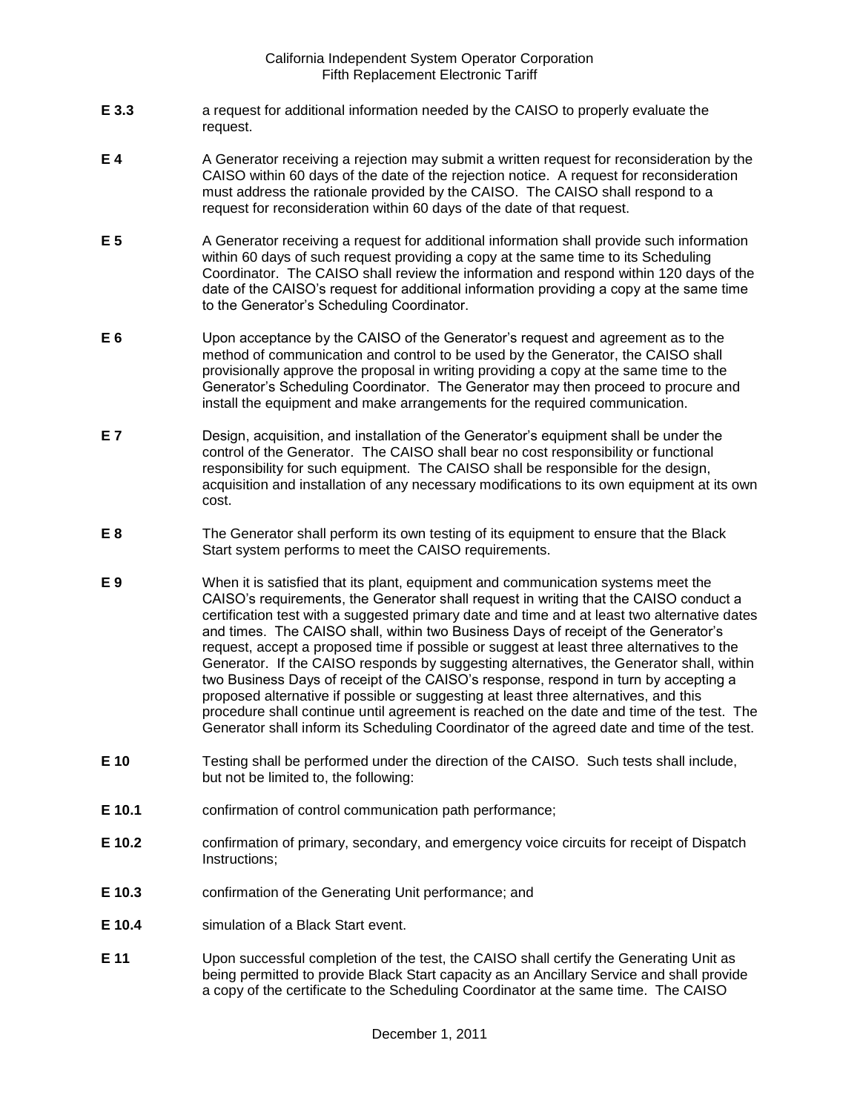- **E 3.3** a request for additional information needed by the CAISO to properly evaluate the request.
- **E 4** A Generator receiving a rejection may submit a written request for reconsideration by the CAISO within 60 days of the date of the rejection notice. A request for reconsideration must address the rationale provided by the CAISO. The CAISO shall respond to a request for reconsideration within 60 days of the date of that request.
- **E 5** A Generator receiving a request for additional information shall provide such information within 60 days of such request providing a copy at the same time to its Scheduling Coordinator. The CAISO shall review the information and respond within 120 days of the date of the CAISO's request for additional information providing a copy at the same time to the Generator's Scheduling Coordinator.
- **E 6** Upon acceptance by the CAISO of the Generator's request and agreement as to the method of communication and control to be used by the Generator, the CAISO shall provisionally approve the proposal in writing providing a copy at the same time to the Generator's Scheduling Coordinator. The Generator may then proceed to procure and install the equipment and make arrangements for the required communication.
- **E 7** Design, acquisition, and installation of the Generator's equipment shall be under the control of the Generator. The CAISO shall bear no cost responsibility or functional responsibility for such equipment. The CAISO shall be responsible for the design, acquisition and installation of any necessary modifications to its own equipment at its own cost.
- **E 8** The Generator shall perform its own testing of its equipment to ensure that the Black Start system performs to meet the CAISO requirements.
- **E 9** When it is satisfied that its plant, equipment and communication systems meet the CAISO's requirements, the Generator shall request in writing that the CAISO conduct a certification test with a suggested primary date and time and at least two alternative dates and times. The CAISO shall, within two Business Days of receipt of the Generator's request, accept a proposed time if possible or suggest at least three alternatives to the Generator. If the CAISO responds by suggesting alternatives, the Generator shall, within two Business Days of receipt of the CAISO's response, respond in turn by accepting a proposed alternative if possible or suggesting at least three alternatives, and this procedure shall continue until agreement is reached on the date and time of the test. The Generator shall inform its Scheduling Coordinator of the agreed date and time of the test.
- **E 10** Testing shall be performed under the direction of the CAISO. Such tests shall include, but not be limited to, the following:
- **E 10.1** confirmation of control communication path performance;
- **E 10.2** confirmation of primary, secondary, and emergency voice circuits for receipt of Dispatch Instructions;
- **E 10.3** confirmation of the Generating Unit performance; and
- **E 10.4** simulation of a Black Start event.
- **E 11** Upon successful completion of the test, the CAISO shall certify the Generating Unit as being permitted to provide Black Start capacity as an Ancillary Service and shall provide a copy of the certificate to the Scheduling Coordinator at the same time. The CAISO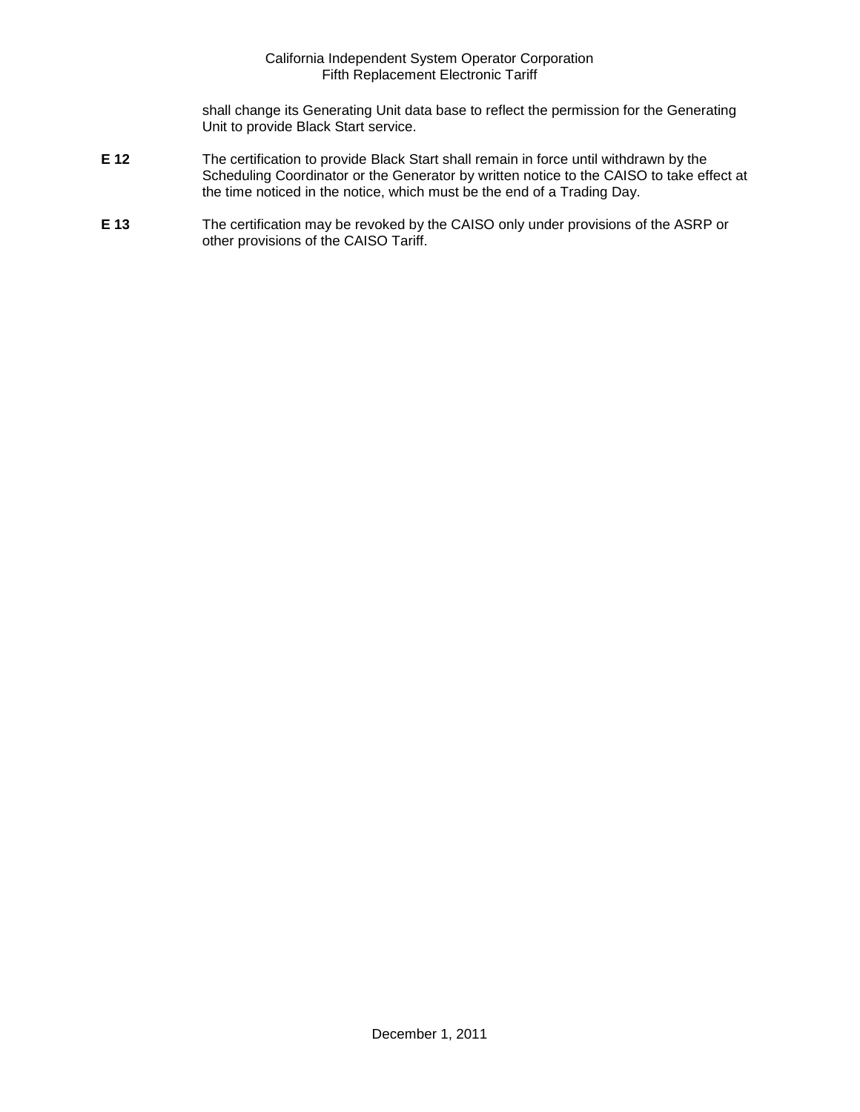shall change its Generating Unit data base to reflect the permission for the Generating Unit to provide Black Start service.

- **E 12** The certification to provide Black Start shall remain in force until withdrawn by the Scheduling Coordinator or the Generator by written notice to the CAISO to take effect at the time noticed in the notice, which must be the end of a Trading Day.
- **E 13** The certification may be revoked by the CAISO only under provisions of the ASRP or other provisions of the CAISO Tariff.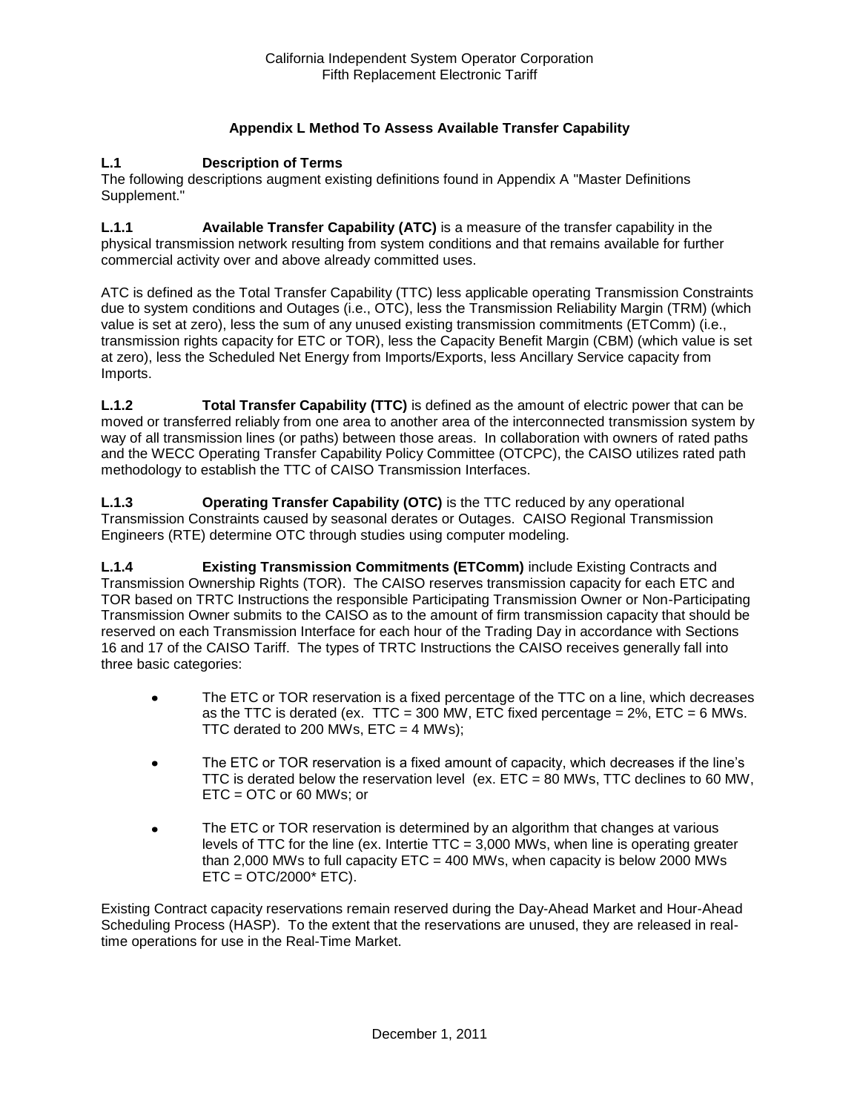# **Appendix L Method To Assess Available Transfer Capability**

#### **L.1 Description of Terms**

The following descriptions augment existing definitions found in Appendix A "Master Definitions Supplement."

**L.1.1 Available Transfer Capability (ATC)** is a measure of the transfer capability in the physical transmission network resulting from system conditions and that remains available for further commercial activity over and above already committed uses.

ATC is defined as the Total Transfer Capability (TTC) less applicable operating Transmission Constraints due to system conditions and Outages (i.e., OTC), less the Transmission Reliability Margin (TRM) (which value is set at zero), less the sum of any unused existing transmission commitments (ETComm) (i.e., transmission rights capacity for ETC or TOR), less the Capacity Benefit Margin (CBM) (which value is set at zero), less the Scheduled Net Energy from Imports/Exports, less Ancillary Service capacity from Imports.

**L.1.2 Total Transfer Capability (TTC)** is defined as the amount of electric power that can be moved or transferred reliably from one area to another area of the interconnected transmission system by way of all transmission lines (or paths) between those areas. In collaboration with owners of rated paths and the WECC Operating Transfer Capability Policy Committee (OTCPC), the CAISO utilizes rated path methodology to establish the TTC of CAISO Transmission Interfaces.

**L.1.3 Operating Transfer Capability (OTC)** is the TTC reduced by any operational Transmission Constraints caused by seasonal derates or Outages. CAISO Regional Transmission Engineers (RTE) determine OTC through studies using computer modeling.

**L.1.4 Existing Transmission Commitments (ETComm)** include Existing Contracts and Transmission Ownership Rights (TOR). The CAISO reserves transmission capacity for each ETC and TOR based on TRTC Instructions the responsible Participating Transmission Owner or Non-Participating Transmission Owner submits to the CAISO as to the amount of firm transmission capacity that should be reserved on each Transmission Interface for each hour of the Trading Day in accordance with Sections 16 and 17 of the CAISO Tariff. The types of TRTC Instructions the CAISO receives generally fall into three basic categories:

- The ETC or TOR reservation is a fixed percentage of the TTC on a line, which decreases  $\bullet$ as the TTC is derated (ex. TTC = 300 MW, ETC fixed percentage =  $2\%$ , ETC = 6 MWs. TTC derated to 200 MWs,  $ETC = 4$  MWs);
- The ETC or TOR reservation is a fixed amount of capacity, which decreases if the line's  $\bullet$ TTC is derated below the reservation level (ex. ETC = 80 MWs, TTC declines to 60 MW, ETC = OTC or 60 MWs; or
- The ETC or TOR reservation is determined by an algorithm that changes at various  $\bullet$ levels of TTC for the line (ex. Intertie TTC = 3,000 MWs, when line is operating greater than 2,000 MWs to full capacity  $ETC = 400$  MWs, when capacity is below 2000 MWs  $ETC = OTC/2000* ETC$ ).

Existing Contract capacity reservations remain reserved during the Day-Ahead Market and Hour-Ahead Scheduling Process (HASP). To the extent that the reservations are unused, they are released in realtime operations for use in the Real-Time Market.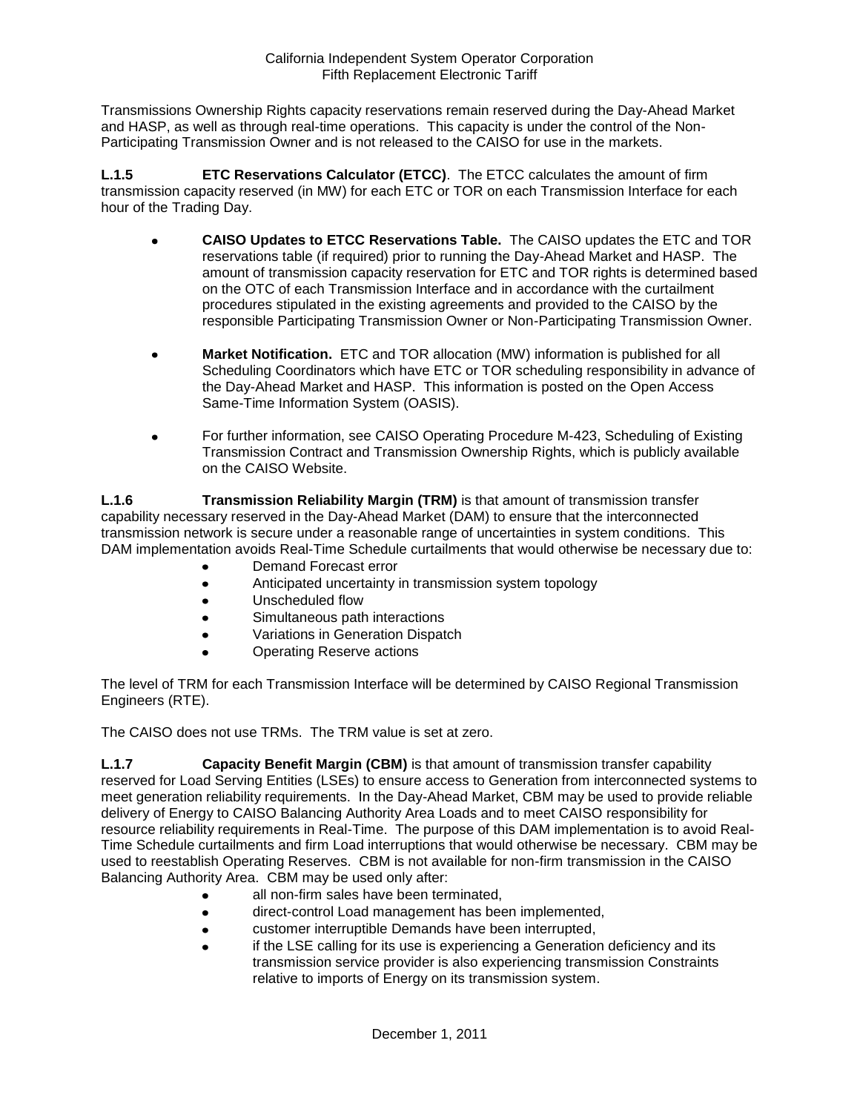Transmissions Ownership Rights capacity reservations remain reserved during the Day-Ahead Market and HASP, as well as through real-time operations. This capacity is under the control of the Non-Participating Transmission Owner and is not released to the CAISO for use in the markets.

**L.1.5 ETC Reservations Calculator (ETCC)**. The ETCC calculates the amount of firm transmission capacity reserved (in MW) for each ETC or TOR on each Transmission Interface for each hour of the Trading Day.

- **CAISO Updates to ETCC Reservations Table.** The CAISO updates the ETC and TOR  $\bullet$ reservations table (if required) prior to running the Day-Ahead Market and HASP. The amount of transmission capacity reservation for ETC and TOR rights is determined based on the OTC of each Transmission Interface and in accordance with the curtailment procedures stipulated in the existing agreements and provided to the CAISO by the responsible Participating Transmission Owner or Non-Participating Transmission Owner.
- **Market Notification.** ETC and TOR allocation (MW) information is published for all Scheduling Coordinators which have ETC or TOR scheduling responsibility in advance of the Day-Ahead Market and HASP. This information is posted on the Open Access Same-Time Information System (OASIS).
- For further information, see CAISO Operating Procedure M-423, Scheduling of Existing  $\bullet$ Transmission Contract and Transmission Ownership Rights, which is publicly available on the CAISO Website.

**L.1.6 Transmission Reliability Margin (TRM)** is that amount of transmission transfer capability necessary reserved in the Day-Ahead Market (DAM) to ensure that the interconnected transmission network is secure under a reasonable range of uncertainties in system conditions. This DAM implementation avoids Real-Time Schedule curtailments that would otherwise be necessary due to:

- Demand Forecast error
- Anticipated uncertainty in transmission system topology
- $\bullet$ Unscheduled flow
- Simultaneous path interactions  $\bullet$
- Variations in Generation Dispatch  $\bullet$
- Operating Reserve actions

The level of TRM for each Transmission Interface will be determined by CAISO Regional Transmission Engineers (RTE).

The CAISO does not use TRMs. The TRM value is set at zero.

**L.1.7 Capacity Benefit Margin (CBM)** is that amount of transmission transfer capability reserved for Load Serving Entities (LSEs) to ensure access to Generation from interconnected systems to meet generation reliability requirements. In the Day-Ahead Market, CBM may be used to provide reliable delivery of Energy to CAISO Balancing Authority Area Loads and to meet CAISO responsibility for resource reliability requirements in Real-Time. The purpose of this DAM implementation is to avoid Real-Time Schedule curtailments and firm Load interruptions that would otherwise be necessary. CBM may be used to reestablish Operating Reserves. CBM is not available for non-firm transmission in the CAISO Balancing Authority Area. CBM may be used only after:

- all non-firm sales have been terminated,
- direct-control Load management has been implemented,
- customer interruptible Demands have been interrupted,  $\bullet$
- if the LSE calling for its use is experiencing a Generation deficiency and its transmission service provider is also experiencing transmission Constraints relative to imports of Energy on its transmission system.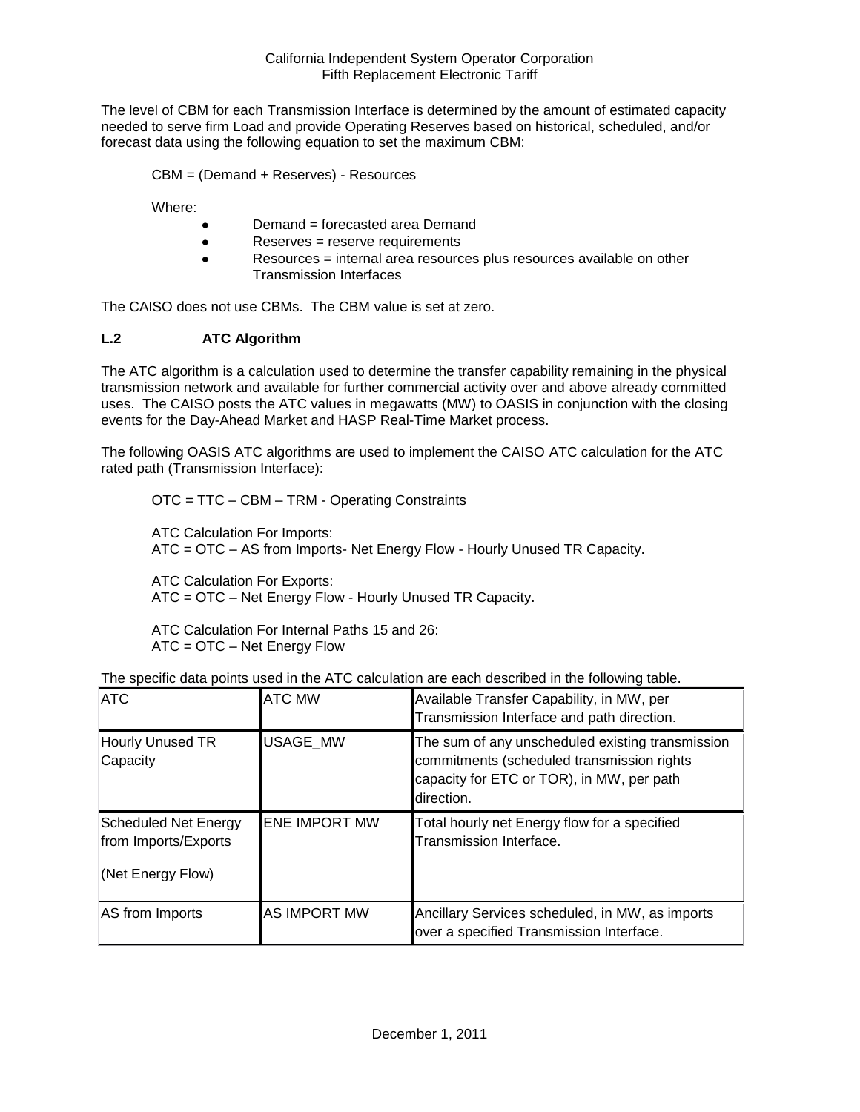The level of CBM for each Transmission Interface is determined by the amount of estimated capacity needed to serve firm Load and provide Operating Reserves based on historical, scheduled, and/or forecast data using the following equation to set the maximum CBM:

CBM = (Demand + Reserves) - Resources

Where:

- Demand = forecasted area Demand
- Reserves = reserve requirements  $\bullet$
- Resources = internal area resources plus resources available on other  $\bullet$ Transmission Interfaces

The CAISO does not use CBMs. The CBM value is set at zero.

# **L.2 ATC Algorithm**

The ATC algorithm is a calculation used to determine the transfer capability remaining in the physical transmission network and available for further commercial activity over and above already committed uses. The CAISO posts the ATC values in megawatts (MW) to OASIS in conjunction with the closing events for the Day-Ahead Market and HASP Real-Time Market process.

The following OASIS ATC algorithms are used to implement the CAISO ATC calculation for the ATC rated path (Transmission Interface):

OTC = TTC – CBM – TRM - Operating Constraints

ATC Calculation For Imports: ATC = OTC – AS from Imports- Net Energy Flow - Hourly Unused TR Capacity.

ATC Calculation For Exports: ATC = OTC – Net Energy Flow - Hourly Unused TR Capacity.

ATC Calculation For Internal Paths 15 and 26: ATC = OTC – Net Energy Flow

| <b>ATC</b>                                                               | <b>ATC MW</b>        | Available Transfer Capability, in MW, per<br>Transmission Interface and path direction.                                                                   |
|--------------------------------------------------------------------------|----------------------|-----------------------------------------------------------------------------------------------------------------------------------------------------------|
| Hourly Unused TR<br>Capacity                                             | <b>USAGE MW</b>      | The sum of any unscheduled existing transmission<br>commitments (scheduled transmission rights<br>capacity for ETC or TOR), in MW, per path<br>direction. |
| <b>Scheduled Net Energy</b><br>from Imports/Exports<br>(Net Energy Flow) | <b>ENE IMPORT MW</b> | Total hourly net Energy flow for a specified<br>Transmission Interface.                                                                                   |
| AS from Imports                                                          | <b>AS IMPORT MW</b>  | Ancillary Services scheduled, in MW, as imports<br>over a specified Transmission Interface.                                                               |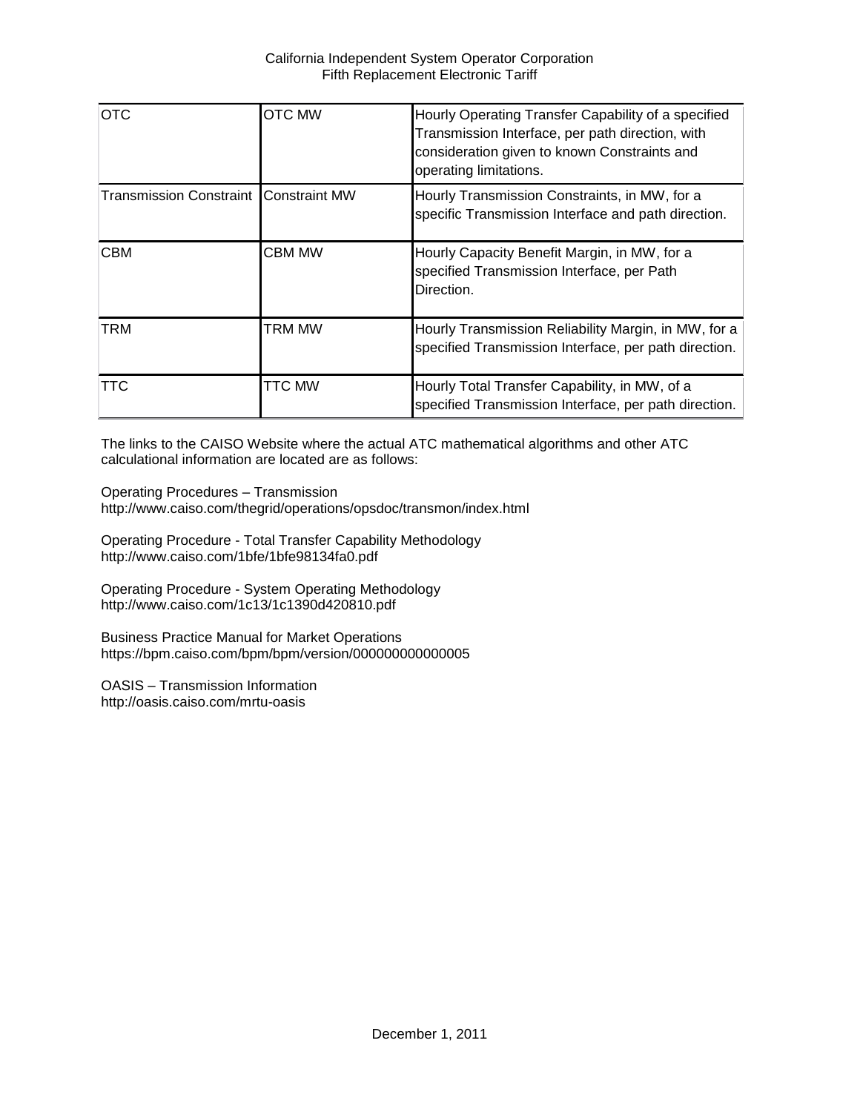| <b>OTC</b>                                   | <b>OTC MW</b> | Hourly Operating Transfer Capability of a specified<br>Transmission Interface, per path direction, with<br>consideration given to known Constraints and<br>operating limitations. |
|----------------------------------------------|---------------|-----------------------------------------------------------------------------------------------------------------------------------------------------------------------------------|
| <b>Transmission Constraint Constraint MW</b> |               | Hourly Transmission Constraints, in MW, for a<br>specific Transmission Interface and path direction.                                                                              |
| <b>CBM</b>                                   | <b>CBM MW</b> | Hourly Capacity Benefit Margin, in MW, for a<br>specified Transmission Interface, per Path<br>Direction.                                                                          |
| <b>TRM</b>                                   | TRM MW        | Hourly Transmission Reliability Margin, in MW, for a<br>specified Transmission Interface, per path direction.                                                                     |
| <b>TTC</b>                                   | <b>TTC MW</b> | Hourly Total Transfer Capability, in MW, of a<br>specified Transmission Interface, per path direction.                                                                            |

The links to the CAISO Website where the actual ATC mathematical algorithms and other ATC calculational information are located are as follows:

Operating Procedures – Transmission http://www.caiso.com/thegrid/operations/opsdoc/transmon/index.html

Operating Procedure - Total Transfer Capability Methodology http://www.caiso.com/1bfe/1bfe98134fa0.pdf

Operating Procedure - System Operating Methodology http://www.caiso.com/1c13/1c1390d420810.pdf

Business Practice Manual for Market Operations https://bpm.caiso.com/bpm/bpm/version/000000000000005

OASIS – Transmission Information http://oasis.caiso.com/mrtu-oasis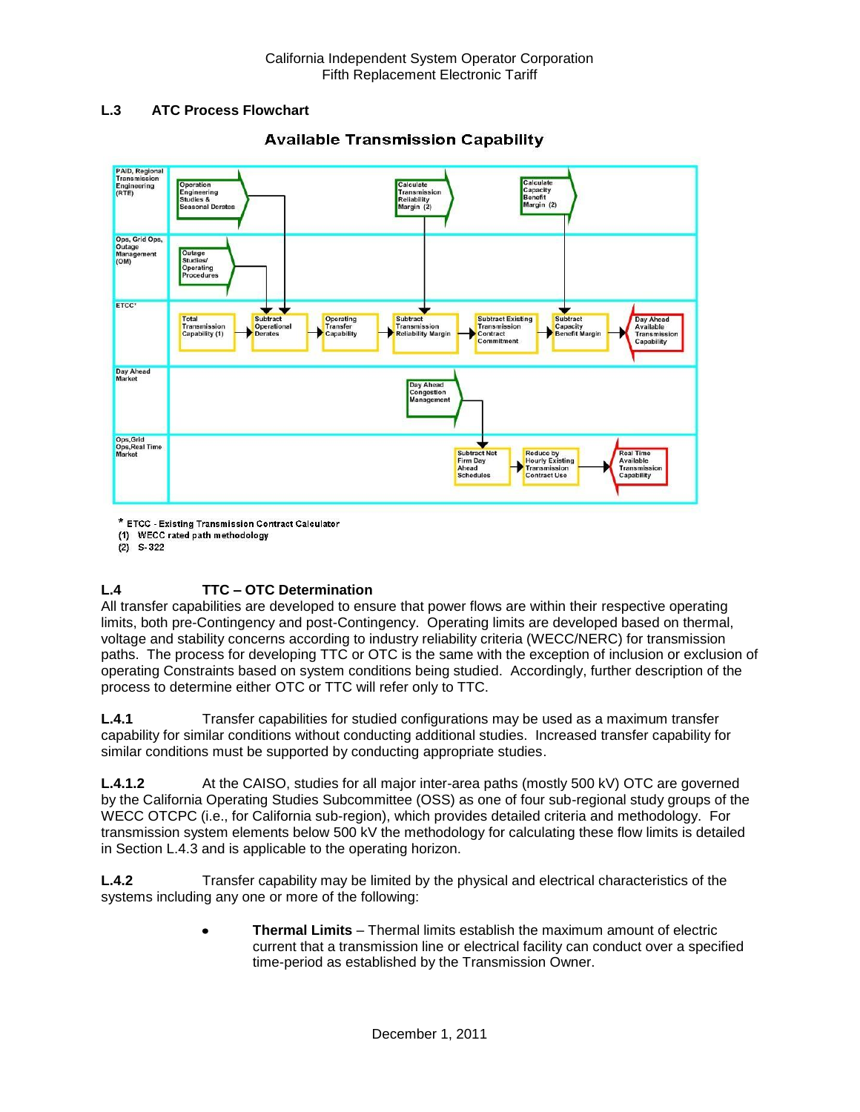## **L.3 ATC Process Flowchart**



# **Available Transmission Capability**

\* ETCC - Existing Transmission Contract Calculator

(1) WECC rated path methodology

 $(2)$  S-322

# **L.4 TTC – OTC Determination**

All transfer capabilities are developed to ensure that power flows are within their respective operating limits, both pre-Contingency and post-Contingency. Operating limits are developed based on thermal, voltage and stability concerns according to industry reliability criteria (WECC/NERC) for transmission paths. The process for developing TTC or OTC is the same with the exception of inclusion or exclusion of operating Constraints based on system conditions being studied. Accordingly, further description of the process to determine either OTC or TTC will refer only to TTC.

**L.4.1** Transfer capabilities for studied configurations may be used as a maximum transfer capability for similar conditions without conducting additional studies. Increased transfer capability for similar conditions must be supported by conducting appropriate studies.

**L.4.1.2** At the CAISO, studies for all major inter-area paths (mostly 500 kV) OTC are governed by the California Operating Studies Subcommittee (OSS) as one of four sub-regional study groups of the WECC OTCPC (i.e., for California sub-region), which provides detailed criteria and methodology. For transmission system elements below 500 kV the methodology for calculating these flow limits is detailed in Section L.4.3 and is applicable to the operating horizon.

**L.4.2** Transfer capability may be limited by the physical and electrical characteristics of the systems including any one or more of the following:

> **Thermal Limits** – Thermal limits establish the maximum amount of electric  $\bullet$ current that a transmission line or electrical facility can conduct over a specified time-period as established by the Transmission Owner.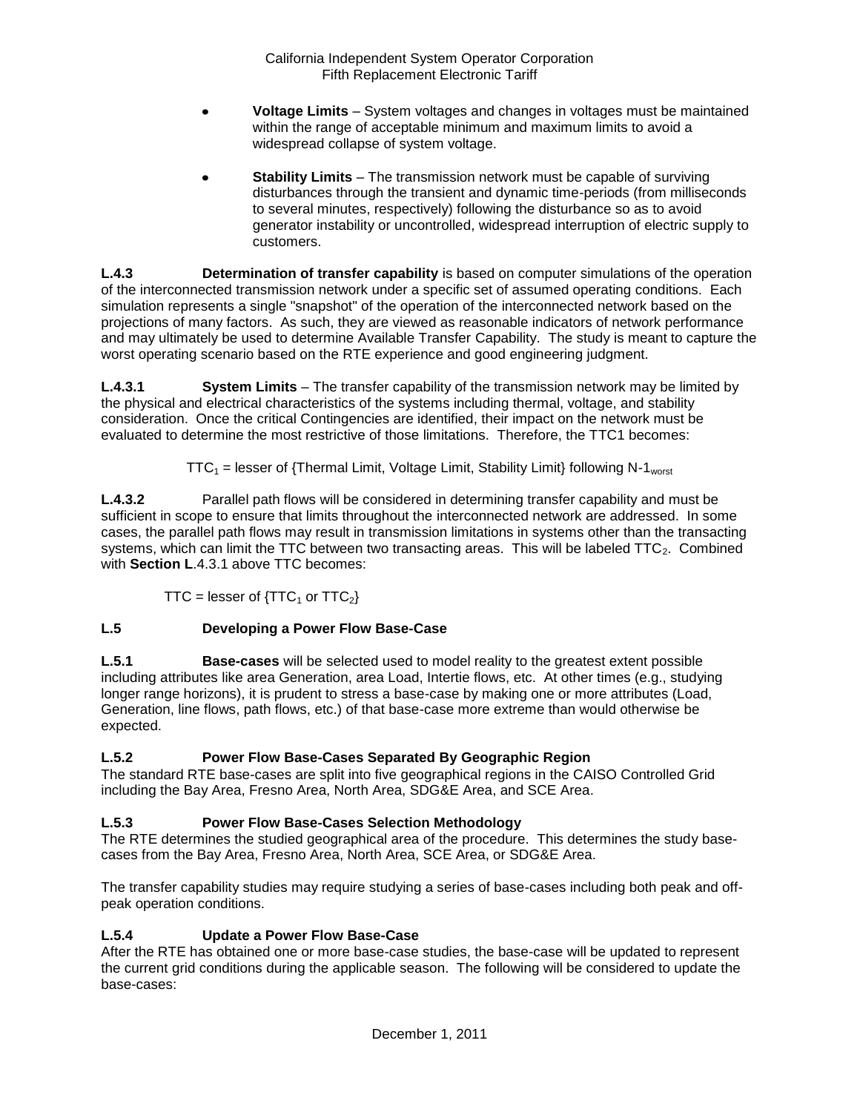- **Voltage Limits** System voltages and changes in voltages must be maintained within the range of acceptable minimum and maximum limits to avoid a widespread collapse of system voltage.
- **Stability Limits** The transmission network must be capable of surviving disturbances through the transient and dynamic time-periods (from milliseconds to several minutes, respectively) following the disturbance so as to avoid generator instability or uncontrolled, widespread interruption of electric supply to customers.

**L.4.3 Determination of transfer capability** is based on computer simulations of the operation of the interconnected transmission network under a specific set of assumed operating conditions. Each simulation represents a single "snapshot" of the operation of the interconnected network based on the projections of many factors. As such, they are viewed as reasonable indicators of network performance and may ultimately be used to determine Available Transfer Capability. The study is meant to capture the worst operating scenario based on the RTE experience and good engineering judgment.

**L.4.3.1 System Limits** – The transfer capability of the transmission network may be limited by the physical and electrical characteristics of the systems including thermal, voltage, and stability consideration. Once the critical Contingencies are identified, their impact on the network must be evaluated to determine the most restrictive of those limitations. Therefore, the TTC1 becomes:

 $TTC_1$  = lesser of {Thermal Limit, Voltage Limit, Stability Limit} following N-1<sub>worst</sub>

**L.4.3.2** Parallel path flows will be considered in determining transfer capability and must be sufficient in scope to ensure that limits throughout the interconnected network are addressed. In some cases, the parallel path flows may result in transmission limitations in systems other than the transacting systems, which can limit the TTC between two transacting areas. This will be labeled  $TTC_2$ . Combined with **Section L**.4.3.1 above TTC becomes:

TTC = lesser of  $\{TTC_1$  or  $TTC_2\}$ 

# **L.5 Developing a Power Flow Base-Case**

**L.5.1 Base-cases** will be selected used to model reality to the greatest extent possible including attributes like area Generation, area Load, Intertie flows, etc. At other times (e.g., studying longer range horizons), it is prudent to stress a base-case by making one or more attributes (Load, Generation, line flows, path flows, etc.) of that base-case more extreme than would otherwise be expected.

# **L.5.2 Power Flow Base-Cases Separated By Geographic Region**

The standard RTE base-cases are split into five geographical regions in the CAISO Controlled Grid including the Bay Area, Fresno Area, North Area, SDG&E Area, and SCE Area.

# **L.5.3 Power Flow Base-Cases Selection Methodology**

The RTE determines the studied geographical area of the procedure. This determines the study basecases from the Bay Area, Fresno Area, North Area, SCE Area, or SDG&E Area.

The transfer capability studies may require studying a series of base-cases including both peak and offpeak operation conditions.

# **L.5.4 Update a Power Flow Base-Case**

After the RTE has obtained one or more base-case studies, the base-case will be updated to represent the current grid conditions during the applicable season. The following will be considered to update the base-cases: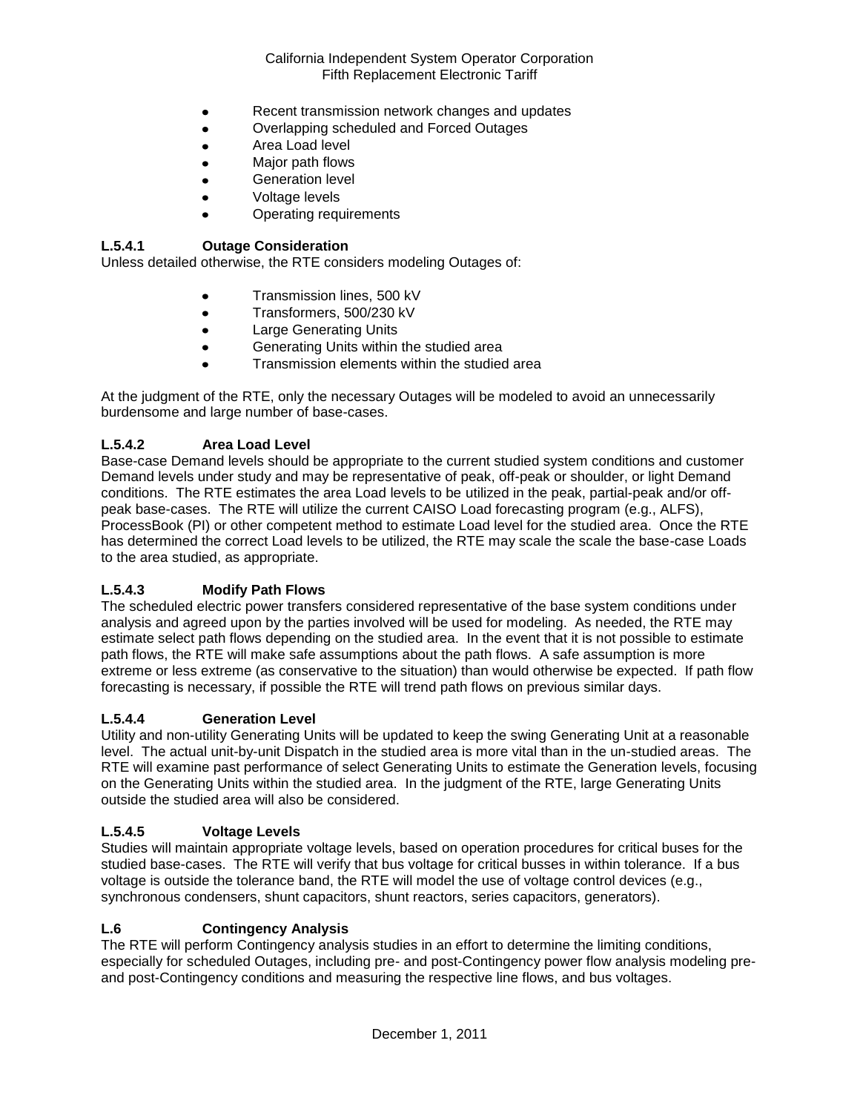- Recent transmission network changes and updates  $\bullet$
- Overlapping scheduled and Forced Outages  $\bullet$
- $\bullet$ Area Load level
- Major path flows
- Generation level
- Voltage levels
- Operating requirements

## **L.5.4.1 Outage Consideration**

Unless detailed otherwise, the RTE considers modeling Outages of:

- Transmission lines, 500 kV
- Transformers, 500/230 kV  $\bullet$
- Large Generating Units
- Generating Units within the studied area  $\bullet$
- Transmission elements within the studied area

At the judgment of the RTE, only the necessary Outages will be modeled to avoid an unnecessarily burdensome and large number of base-cases.

## **L.5.4.2 Area Load Level**

Base-case Demand levels should be appropriate to the current studied system conditions and customer Demand levels under study and may be representative of peak, off-peak or shoulder, or light Demand conditions. The RTE estimates the area Load levels to be utilized in the peak, partial-peak and/or offpeak base-cases. The RTE will utilize the current CAISO Load forecasting program (e.g., ALFS), ProcessBook (PI) or other competent method to estimate Load level for the studied area. Once the RTE has determined the correct Load levels to be utilized, the RTE may scale the scale the base-case Loads to the area studied, as appropriate.

## **L.5.4.3 Modify Path Flows**

The scheduled electric power transfers considered representative of the base system conditions under analysis and agreed upon by the parties involved will be used for modeling. As needed, the RTE may estimate select path flows depending on the studied area. In the event that it is not possible to estimate path flows, the RTE will make safe assumptions about the path flows. A safe assumption is more extreme or less extreme (as conservative to the situation) than would otherwise be expected. If path flow forecasting is necessary, if possible the RTE will trend path flows on previous similar days.

## **L.5.4.4 Generation Level**

Utility and non-utility Generating Units will be updated to keep the swing Generating Unit at a reasonable level. The actual unit-by-unit Dispatch in the studied area is more vital than in the un-studied areas. The RTE will examine past performance of select Generating Units to estimate the Generation levels, focusing on the Generating Units within the studied area. In the judgment of the RTE, large Generating Units outside the studied area will also be considered.

## **L.5.4.5 Voltage Levels**

Studies will maintain appropriate voltage levels, based on operation procedures for critical buses for the studied base-cases. The RTE will verify that bus voltage for critical busses in within tolerance. If a bus voltage is outside the tolerance band, the RTE will model the use of voltage control devices (e.g., synchronous condensers, shunt capacitors, shunt reactors, series capacitors, generators).

#### **L.6 Contingency Analysis**

The RTE will perform Contingency analysis studies in an effort to determine the limiting conditions, especially for scheduled Outages, including pre- and post-Contingency power flow analysis modeling preand post-Contingency conditions and measuring the respective line flows, and bus voltages.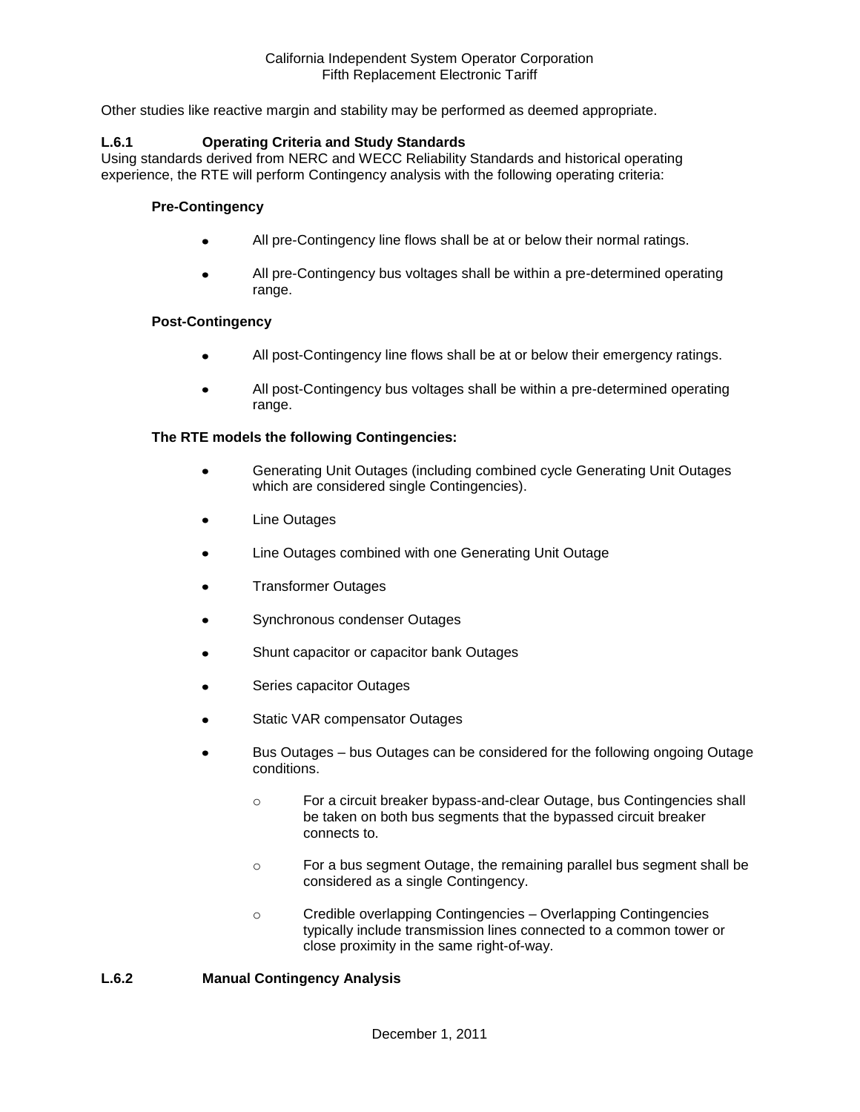Other studies like reactive margin and stability may be performed as deemed appropriate.

#### **L.6.1 Operating Criteria and Study Standards**

Using standards derived from NERC and WECC Reliability Standards and historical operating experience, the RTE will perform Contingency analysis with the following operating criteria:

#### **Pre-Contingency**

- All pre-Contingency line flows shall be at or below their normal ratings.
- All pre-Contingency bus voltages shall be within a pre-determined operating range.

#### **Post-Contingency**

- All post-Contingency line flows shall be at or below their emergency ratings.
- All post-Contingency bus voltages shall be within a pre-determined operating range.

#### **The RTE models the following Contingencies:**

- Generating Unit Outages (including combined cycle Generating Unit Outages which are considered single Contingencies).
- Line Outages
- Line Outages combined with one Generating Unit Outage
- Transformer Outages
- Synchronous condenser Outages
- Shunt capacitor or capacitor bank Outages
- Series capacitor Outages
- Static VAR compensator Outages
- Bus Outages bus Outages can be considered for the following ongoing Outage conditions.
	- o For a circuit breaker bypass-and-clear Outage, bus Contingencies shall be taken on both bus segments that the bypassed circuit breaker connects to.
	- o For a bus segment Outage, the remaining parallel bus segment shall be considered as a single Contingency.
	- o Credible overlapping Contingencies Overlapping Contingencies typically include transmission lines connected to a common tower or close proximity in the same right-of-way.

#### **L.6.2 Manual Contingency Analysis**